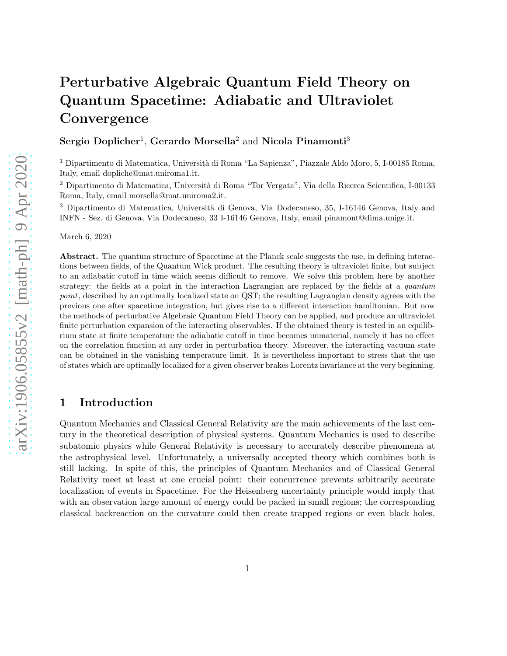# Perturbative Algebraic Quantum Field Theory on Quantum Spacetime: Adiabatic and Ultraviolet **Convergence**

 $Sergio\ Doplicher<sup>1</sup>, Gerardo Morsella<sup>2</sup> and Nicola Pinamonti<sup>3</sup>$ 

<sup>1</sup> Dipartimento di Matematica, Università di Roma "La Sapienza", Piazzale Aldo Moro, 5, I-00185 Roma, Italy, email dopliche@mat.uniroma1.it.

<sup>2</sup> Dipartimento di Matematica, Università di Roma "Tor Vergata", Via della Ricerca Scientifica, I-00133 Roma, Italy, email morsella@mat.uniroma2.it.

<sup>3</sup> Dipartimento di Matematica, Università di Genova, Via Dodecaneso, 35, I-16146 Genova, Italy and INFN - Sez. di Genova, Via Dodecaneso, 33 I-16146 Genova, Italy, email pinamont@dima.unige.it.

March 6, 2020

Abstract. The quantum structure of Spacetime at the Planck scale suggests the use, in defining interactions between fields, of the Quantum Wick product. The resulting theory is ultraviolet finite, but subject to an adiabatic cutoff in time which seems difficult to remove. We solve this problem here by another strategy: the fields at a point in the interaction Lagrangian are replaced by the fields at a *quantum* point, described by an optimally localized state on QST; the resulting Lagrangian density agrees with the previous one after spacetime integration, but gives rise to a different interaction hamiltonian. But now the methods of perturbative Algebraic Quantum Field Theory can be applied, and produce an ultraviolet finite perturbation expansion of the interacting observables. If the obtained theory is tested in an equilibrium state at finite temperature the adiabatic cutoff in time becomes immaterial, namely it has no effect on the correlation function at any order in perturbation theory. Moreover, the interacting vacuum state can be obtained in the vanishing temperature limit. It is nevertheless important to stress that the use of states which are optimally localized for a given observer brakes Lorentz invariance at the very beginning.

## 1 Introduction

Quantum Mechanics and Classical General Relativity are the main achievements of the last century in the theoretical description of physical systems. Quantum Mechanics is used to describe subatomic physics while General Relativity is necessary to accurately describe phenomena at the astrophysical level. Unfortunately, a universally accepted theory which combines both is still lacking. In spite of this, the principles of Quantum Mechanics and of Classical General Relativity meet at least at one crucial point: their concurrence prevents arbitrarily accurate localization of events in Spacetime. For the Heisenberg uncertainty principle would imply that with an observation large amount of energy could be packed in small regions; the corresponding classical backreaction on the curvature could then create trapped regions or even black holes.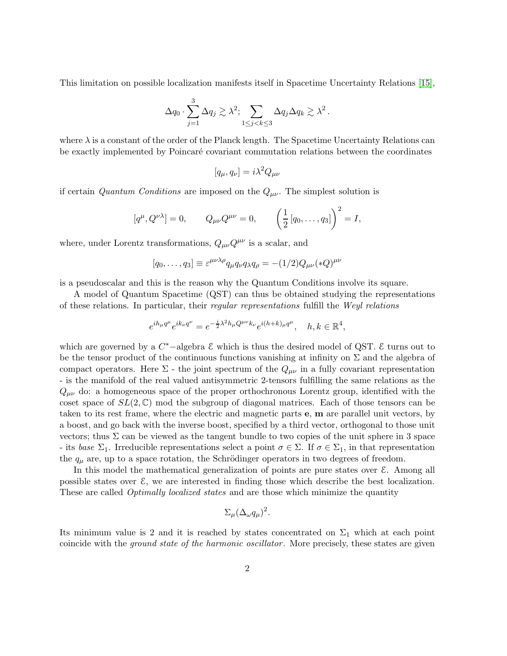This limitation on possible localization manifests itself in Spacetime Uncertainty Relations [\[15\]](#page-43-0),

$$
\Delta q_0 \cdot \sum_{j=1}^3 \Delta q_j \gtrsim \lambda^2; \sum_{1 \le j < k \le 3} \Delta q_j \Delta q_k \gtrsim \lambda^2.
$$

where  $\lambda$  is a constant of the order of the Planck length. The Spacetime Uncertainty Relations can be exactly implemented by Poincaré covariant commutation relations between the coordinates

$$
[q_{\mu}, q_{\nu}] = i\lambda^2 Q_{\mu\nu}
$$

if certain Quantum Conditions are imposed on the  $Q_{\mu\nu}$ . The simplest solution is

$$
[q^{\mu}, Q^{\nu\lambda}] = 0,
$$
  $Q_{\mu\nu}Q^{\mu\nu} = 0,$   $\left(\frac{1}{2}[q_0, \ldots, q_3]\right)^2 = I,$ 

where, under Lorentz transformations,  $Q_{\mu\nu}Q^{\mu\nu}$  is a scalar, and

$$
[q_0, \ldots, q_3] \equiv \varepsilon^{\mu\nu\lambda\rho} q_\mu q_\nu q_\lambda q_\rho = -(1/2) Q_{\mu\nu} (*Q)^{\mu\nu}
$$

is a pseudoscalar and this is the reason why the Quantum Conditions involve its square.

A model of Quantum Spacetime (QST) can thus be obtained studying the representations of these relations. In particular, their regular representations fulfill the Weyl relations

$$
e^{ih_{\mu}q^{\mu}}e^{ik_{\nu}q^{\nu}} = e^{-\frac{i}{2}\lambda^{2}h_{\mu}Q^{\mu\nu}k_{\nu}}e^{i(h+k)_{\mu}q^{\mu}}, \quad h, k \in \mathbb{R}^{4}
$$

,

which are governed by a  $C^*$ -algebra  $\mathcal E$  which is thus the desired model of QST.  $\mathcal E$  turns out to be the tensor product of the continuous functions vanishing at infinity on  $\Sigma$  and the algebra of compact operators. Here  $\Sigma$  - the joint spectrum of the  $Q_{\mu\nu}$  in a fully covariant representation - is the manifold of the real valued antisymmetric 2-tensors fulfilling the same relations as the  $Q_{\mu\nu}$  do: a homogeneous space of the proper orthochronous Lorentz group, identified with the coset space of  $SL(2,\mathbb{C})$  mod the subgroup of diagonal matrices. Each of those tensors can be taken to its rest frame, where the electric and magnetic parts e, m are parallel unit vectors, by a boost, and go back with the inverse boost, specified by a third vector, orthogonal to those unit vectors; thus  $\Sigma$  can be viewed as the tangent bundle to two copies of the unit sphere in 3 space - its base  $\Sigma_1$ . Irreducible representations select a point  $\sigma \in \Sigma$ . If  $\sigma \in \Sigma_1$ , in that representation the  $q_{\mu}$  are, up to a space rotation, the Schrödinger operators in two degrees of freedom.

In this model the mathematical generalization of points are pure states over E. Among all possible states over  $\mathcal{E}$ , we are interested in finding those which describe the best localization. These are called *Optimally localized states* and are those which minimize the quantity

$$
\Sigma_{\mu}(\Delta_{\omega}q_{\mu})^2.
$$

Its minimum value is 2 and it is reached by states concentrated on  $\Sigma_1$  which at each point coincide with the *ground state of the harmonic oscillator*. More precisely, these states are given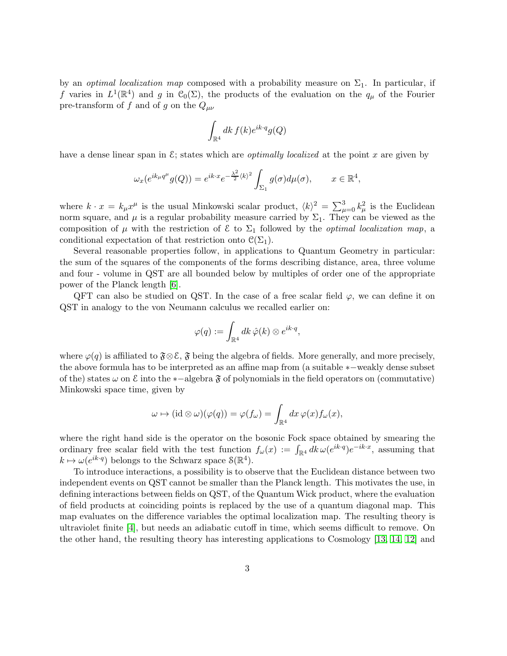by an *optimal localization map* composed with a probability measure on  $\Sigma_1$ . In particular, if f varies in  $L^1(\mathbb{R}^4)$  and g in  $\mathcal{C}_0(\Sigma)$ , the products of the evaluation on the  $q_\mu$  of the Fourier pre-transform of f and of g on the  $Q_{\mu\nu}$ 

$$
\int_{\mathbb{R}^4} dk f(k) e^{ik \cdot q} g(Q)
$$

have a dense linear span in  $\mathcal{E}$ ; states which are *optimally localized* at the point x are given by

$$
\omega_x(e^{ik_\mu q^\mu}g(Q)) = e^{ik\cdot x}e^{-\frac{\lambda^2}{2}\langle k\rangle^2} \int_{\Sigma_1} g(\sigma)d\mu(\sigma), \qquad x \in \mathbb{R}^4,
$$

where  $k \cdot x = k_{\mu} x^{\mu}$  is the usual Minkowski scalar product,  $\langle k \rangle^2 = \sum_{\mu=0}^3 k_{\mu}^2$  is the Euclidean norm square, and  $\mu$  is a regular probability measure carried by  $\Sigma_1$ . They can be viewed as the composition of  $\mu$  with the restriction of  $\mathcal E$  to  $\Sigma_1$  followed by the *optimal localization map*, a conditional expectation of that restriction onto  $\mathcal{C}(\Sigma_1)$ .

Several reasonable properties follow, in applications to Quantum Geometry in particular: the sum of the squares of the components of the forms describing distance, area, three volume and four - volume in QST are all bounded below by multiples of order one of the appropriate power of the Planck length [\[6\]](#page-43-1).

QFT can also be studied on QST. In the case of a free scalar field  $\varphi$ , we can define it on QST in analogy to the von Neumann calculus we recalled earlier on:

$$
\varphi(q):=\int_{\mathbb{R}^4} dk\,\hat{\varphi}(k)\otimes e^{ik\cdot q},
$$

where  $\varphi(q)$  is affiliated to  $\mathfrak{F} \otimes \mathcal{E}$ ,  $\mathfrak{F}$  being the algebra of fields. More generally, and more precisely, the above formula has to be interpreted as an affine map from (a suitable ∗−weakly dense subset of the) states  $\omega$  on  $\mathcal E$  into the ∗−algebra  $\mathfrak F$  of polynomials in the field operators on (commutative) Minkowski space time, given by

$$
\omega \mapsto (\mathrm{id} \otimes \omega)(\varphi(q)) = \varphi(f_\omega) = \int_{\mathbb{R}^4} dx \, \varphi(x) f_\omega(x),
$$

where the right hand side is the operator on the bosonic Fock space obtained by smearing the ordinary free scalar field with the test function  $f_\omega(x) := \int_{\mathbb{R}^4} dk \, \omega(e^{ik \cdot q}) e^{-ik \cdot x}$ , assuming that  $k \mapsto \omega(e^{ik \cdot q})$  belongs to the Schwarz space  $\mathcal{S}(\mathbb{R}^4)$ .

To introduce interactions, a possibility is to observe that the Euclidean distance between two independent events on QST cannot be smaller than the Planck length. This motivates the use, in defining interactions between fields on QST, of the Quantum Wick product, where the evaluation of field products at coinciding points is replaced by the use of a quantum diagonal map. This map evaluates on the difference variables the optimal localization map. The resulting theory is ultraviolet finite [\[4\]](#page-43-2), but needs an adiabatic cutoff in time, which seems difficult to remove. On the other hand, the resulting theory has interesting applications to Cosmology [\[13,](#page-43-3) [14,](#page-43-4) [12\]](#page-43-5) and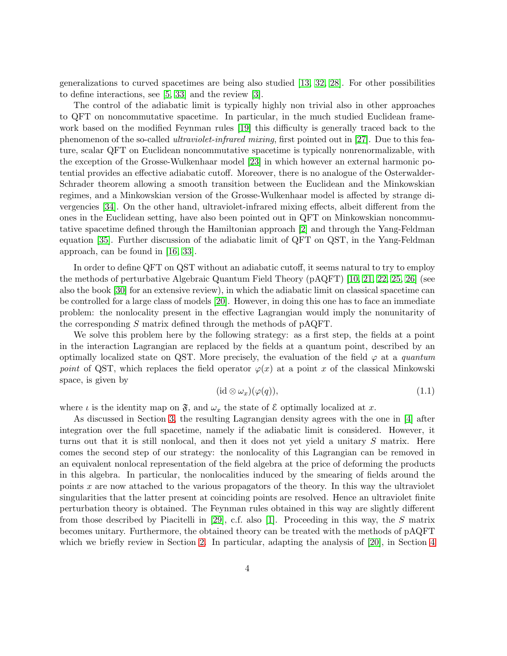generalizations to curved spacetimes are being also studied [\[13,](#page-43-3) [32,](#page-44-0) [28\]](#page-44-1). For other possibilities to define interactions, see [\[5,](#page-43-6) [33\]](#page-44-2) and the review [\[3\]](#page-43-7).

The control of the adiabatic limit is typically highly non trivial also in other approaches to QFT on noncommutative spacetime. In particular, in the much studied Euclidean framework based on the modified Feynman rules [\[19\]](#page-44-3) this difficulty is generally traced back to the phenomenon of the so-called ultraviolet-infrared mixing, first pointed out in [\[27\]](#page-44-4). Due to this feature, scalar QFT on Euclidean noncommutative spacetime is typically nonrenormalizable, with the exception of the Grosse-Wulkenhaar model [\[23\]](#page-44-5) in which however an external harmonic potential provides an effective adiabatic cutoff. Moreover, there is no analogue of the Osterwalder-Schrader theorem allowing a smooth transition between the Euclidean and the Minkowskian regimes, and a Minkowskian version of the Grosse-Wulkenhaar model is affected by strange divergencies [\[34\]](#page-45-0). On the other hand, ultraviolet-infrared mixing effects, albeit different from the ones in the Euclidean setting, have also been pointed out in QFT on Minkowskian noncommutative spacetime defined through the Hamiltonian approach [\[2\]](#page-42-0) and through the Yang-Feldman equation [\[35\]](#page-45-1). Further discussion of the adiabatic limit of QFT on QST, in the Yang-Feldman approach, can be found in [\[16,](#page-43-8) [33\]](#page-44-2).

In order to define QFT on QST without an adiabatic cutoff, it seems natural to try to employ the methods of perturbative Algebraic Quantum Field Theory (pAQFT) [\[10,](#page-43-9) [21,](#page-44-6) [22,](#page-44-7) [25,](#page-44-8) [26\]](#page-44-9) (see also the book [\[30\]](#page-44-10) for an extensive review), in which the adiabatic limit on classical spacetime can be controlled for a large class of models [\[20\]](#page-44-11). However, in doing this one has to face an immediate problem: the nonlocality present in the effective Lagrangian would imply the nonunitarity of the corresponding S matrix defined through the methods of pAQFT.

We solve this problem here by the following strategy: as a first step, the fields at a point in the interaction Lagrangian are replaced by the fields at a quantum point, described by an optimally localized state on QST. More precisely, the evaluation of the field  $\varphi$  at a quantum point of QST, which replaces the field operator  $\varphi(x)$  at a point x of the classical Minkowski space, is given by

<span id="page-3-0"></span>
$$
(\mathrm{id} \otimes \omega_x)(\varphi(q)),\tag{1.1}
$$

where  $\iota$  is the identity map on  $\mathfrak{F}$ , and  $\omega_x$  the state of  $\mathcal E$  optimally localized at x.

As discussed in Section [3,](#page-9-0) the resulting Lagrangian density agrees with the one in [\[4\]](#page-43-2) after integration over the full spacetime, namely if the adiabatic limit is considered. However, it turns out that it is still nonlocal, and then it does not yet yield a unitary S matrix. Here comes the second step of our strategy: the nonlocality of this Lagrangian can be removed in an equivalent nonlocal representation of the field algebra at the price of deforming the products in this algebra. In particular, the nonlocalities induced by the smearing of fields around the points  $x$  are now attached to the various propagators of the theory. In this way the ultraviolet singularities that the latter present at coinciding points are resolved. Hence an ultraviolet finite perturbation theory is obtained. The Feynman rules obtained in this way are slightly different from those described by Piacitelli in [\[29\]](#page-44-12), c.f. also [\[1\]](#page-42-1). Proceeding in this way, the S matrix becomes unitary. Furthermore, the obtained theory can be treated with the methods of pAQFT which we briefly review in Section [2.](#page-4-0) In particular, adapting the analysis of [\[20\]](#page-44-11), in Section [4](#page-10-0)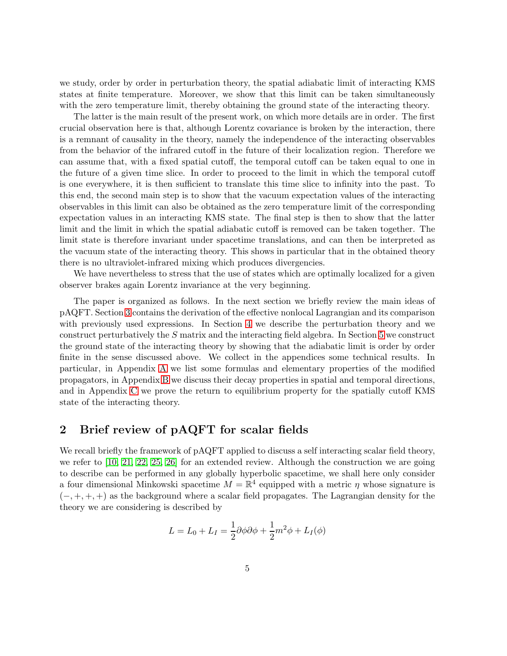we study, order by order in perturbation theory, the spatial adiabatic limit of interacting KMS states at finite temperature. Moreover, we show that this limit can be taken simultaneously with the zero temperature limit, thereby obtaining the ground state of the interacting theory.

The latter is the main result of the present work, on which more details are in order. The first crucial observation here is that, although Lorentz covariance is broken by the interaction, there is a remnant of causality in the theory, namely the independence of the interacting observables from the behavior of the infrared cutoff in the future of their localization region. Therefore we can assume that, with a fixed spatial cutoff, the temporal cutoff can be taken equal to one in the future of a given time slice. In order to proceed to the limit in which the temporal cutoff is one everywhere, it is then sufficient to translate this time slice to infinity into the past. To this end, the second main step is to show that the vacuum expectation values of the interacting observables in this limit can also be obtained as the zero temperature limit of the corresponding expectation values in an interacting KMS state. The final step is then to show that the latter limit and the limit in which the spatial adiabatic cutoff is removed can be taken together. The limit state is therefore invariant under spacetime translations, and can then be interpreted as the vacuum state of the interacting theory. This shows in particular that in the obtained theory there is no ultraviolet-infrared mixing which produces divergencies.

We have nevertheless to stress that the use of states which are optimally localized for a given observer brakes again Lorentz invariance at the very beginning.

The paper is organized as follows. In the next section we briefly review the main ideas of pAQFT. Section [3](#page-9-0) contains the derivation of the effective nonlocal Lagrangian and its comparison with previously used expressions. In Section [4](#page-10-0) we describe the perturbation theory and we construct perturbatively the S matrix and the interacting field algebra. In Section [5](#page-19-0) we construct the ground state of the interacting theory by showing that the adiabatic limit is order by order finite in the sense discussed above. We collect in the appendices some technical results. In particular, in Appendix [A](#page-33-0) we list some formulas and elementary properties of the modified propagators, in Appendix [B](#page-35-0) we discuss their decay properties in spatial and temporal directions, and in Appendix [C](#page-38-0) we prove the return to equilibrium property for the spatially cutoff KMS state of the interacting theory.

# <span id="page-4-0"></span>2 Brief review of pAQFT for scalar fields

We recall briefly the framework of pAQFT applied to discuss a self interacting scalar field theory, we refer to [\[10,](#page-43-9) [21,](#page-44-6) [22,](#page-44-7) [25,](#page-44-8) [26\]](#page-44-9) for an extended review. Although the construction we are going to describe can be performed in any globally hyperbolic spacetime, we shall here only consider a four dimensional Minkowski spacetime  $M = \mathbb{R}^4$  equipped with a metric  $\eta$  whose signature is  $(-, +, +, +)$  as the background where a scalar field propagates. The Lagrangian density for the theory we are considering is described by

$$
L = L_0 + L_I = \frac{1}{2}\partial\phi\partial\phi + \frac{1}{2}m^2\phi + L_I(\phi)
$$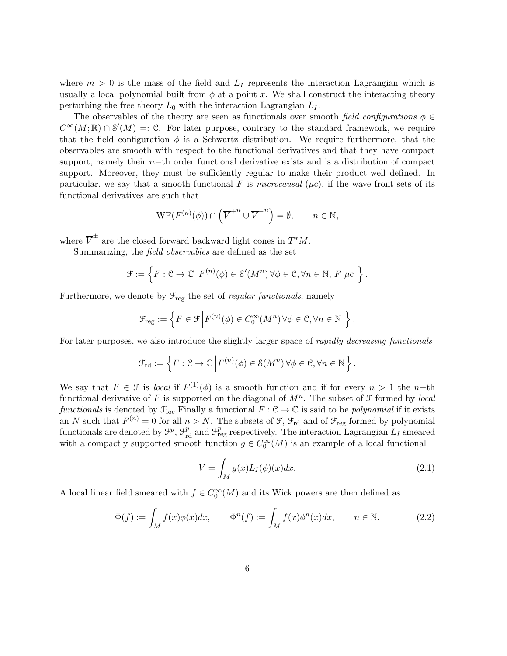where  $m > 0$  is the mass of the field and  $L<sub>I</sub>$  represents the interaction Lagrangian which is usually a local polynomial built from  $\phi$  at a point x. We shall construct the interacting theory perturbing the free theory  $L_0$  with the interaction Lagrangian  $L_I$ .

The observables of the theory are seen as functionals over smooth field configurations  $\phi \in$  $C^{\infty}(M;\mathbb{R}) \cap \mathcal{S}'(M) =: \mathbb{C}$ . For later purpose, contrary to the standard framework, we require that the field configuration  $\phi$  is a Schwartz distribution. We require furthermore, that the observables are smooth with respect to the functional derivatives and that they have compact support, namely their n−th order functional derivative exists and is a distribution of compact support. Moreover, they must be sufficiently regular to make their product well defined. In particular, we say that a smooth functional F is microcausal ( $\mu$ c), if the wave front sets of its functional derivatives are such that

$$
\mathrm{WF}(F^{(n)}(\phi)) \cap \left(\overline{V}^{+n} \cup \overline{V}^{-n}\right) = \emptyset, \qquad n \in \mathbb{N},
$$

where  $\overline{V}^{\pm}$  are the closed forward backward light cones in  $T^*M$ .

Summarizing, the field observables are defined as the set

$$
\mathcal{F} := \left\{ F : \mathcal{C} \to \mathbb{C} \, \middle| \, F^{(n)}(\phi) \in \mathcal{E}'(M^n) \, \forall \phi \in \mathcal{C}, \forall n \in \mathbb{N}, \, F \, \mu \mathcal{C} \, \right\}.
$$

Furthermore, we denote by  $\mathcal{F}_{reg}$  the set of *regular functionals*, namely

$$
\mathcal{F}_{\text{reg}} := \left\{ F \in \mathcal{F} \Big| F^{(n)}(\phi) \in C_0^{\infty}(M^n) \, \forall \phi \in \mathcal{C}, \forall n \in \mathbb{N} \right. \right\}.
$$

For later purposes, we also introduce the slightly larger space of rapidly decreasing functionals

$$
\mathcal{F}_{\mathrm{rd}} := \left\{ F : \mathcal{C} \to \mathbb{C} \left| F^{(n)}(\phi) \in \mathcal{S}(M^n) \, \forall \phi \in \mathcal{C}, \forall n \in \mathbb{N} \right. \right\}.
$$

We say that  $F \in \mathcal{F}$  is *local* if  $F^{(1)}(\phi)$  is a smooth function and if for every  $n > 1$  the n-th functional derivative of F is supported on the diagonal of  $M<sup>n</sup>$ . The subset of F formed by local functionals is denoted by  $\mathcal{F}_{loc}$  Finally a functional  $F: \mathcal{C} \to \mathbb{C}$  is said to be *polynomial* if it exists an N such that  $F^{(n)} = 0$  for all  $n > N$ . The subsets of  $\mathcal{F}, \mathcal{F}_{rd}$  and of  $\mathcal{F}_{reg}$  formed by polynomial functionals are denoted by  $\mathcal{F}^p$ ,  $\mathcal{F}^p_{\text{rd}}$  and  $\mathcal{F}^p_{\text{reg}}$  respectively. The interaction Lagrangian  $L_I$  smeared with a compactly supported smooth function  $g \in C_0^{\infty}(M)$  is an example of a local functional

<span id="page-5-0"></span>
$$
V = \int_{M} g(x)L_{I}(\phi)(x)dx.
$$
\n(2.1)

A local linear field smeared with  $f \in C_0^{\infty}(M)$  and its Wick powers are then defined as

$$
\Phi(f) := \int_M f(x)\phi(x)dx, \qquad \Phi^n(f) := \int_M f(x)\phi^n(x)dx, \qquad n \in \mathbb{N}.
$$
 (2.2)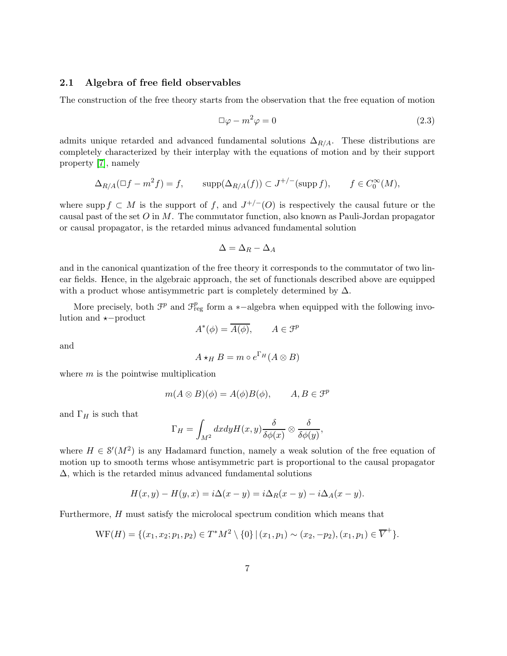#### 2.1 Algebra of free field observables

The construction of the free theory starts from the observation that the free equation of motion

<span id="page-6-0"></span>
$$
\Box \varphi - m^2 \varphi = 0 \tag{2.3}
$$

admits unique retarded and advanced fundamental solutions  $\Delta_{R/A}$ . These distributions are completely characterized by their interplay with the equations of motion and by their support property [\[7\]](#page-43-10), namely

$$
\Delta_{R/A}(\Box f - m^2 f) = f, \qquad \text{supp}(\Delta_{R/A}(f)) \subset J^{+/-}(\text{supp } f), \qquad f \in C_0^{\infty}(M),
$$

where supp  $f \subset M$  is the support of f, and  $J^{+/-}(O)$  is respectively the causal future or the causal past of the set  $O$  in  $M$ . The commutator function, also known as Pauli-Jordan propagator or causal propagator, is the retarded minus advanced fundamental solution

$$
\Delta = \Delta_R - \Delta_A
$$

and in the canonical quantization of the free theory it corresponds to the commutator of two linear fields. Hence, in the algebraic approach, the set of functionals described above are equipped with a product whose antisymmetric part is completely determined by  $\Delta$ .

More precisely, both  $\mathcal{F}^p$  and  $\mathcal{F}^p_{reg}$  form a ∗-algebra when equipped with the following involution and ⋆−product

$$
A^*(\phi) = \overline{A(\phi)}, \qquad A \in \mathcal{F}^p
$$

and

$$
A \star_H B = m \circ e^{\Gamma_H}(A \otimes B)
$$

where  $m$  is the pointwise multiplication

$$
m(A \otimes B)(\phi) = A(\phi)B(\phi), \qquad A, B \in \mathcal{F}^p
$$

and  $\Gamma_H$  is such that

$$
\Gamma_H = \int_{M^2} dx dy H(x,y) \frac{\delta}{\delta \phi(x)} \otimes \frac{\delta}{\delta \phi(y)},
$$

where  $H \in \mathcal{S}'(M^2)$  is any Hadamard function, namely a weak solution of the free equation of motion up to smooth terms whose antisymmetric part is proportional to the causal propagator ∆, which is the retarded minus advanced fundamental solutions

$$
H(x, y) - H(y, x) = i\Delta(x - y) = i\Delta_R(x - y) - i\Delta_A(x - y).
$$

Furthermore, H must satisfy the microlocal spectrum condition which means that

$$
\mathrm{WF}(H) = \{ (x_1, x_2; p_1, p_2) \in T^*M^2 \setminus \{0\} \mid (x_1, p_1) \sim (x_2, -p_2), (x_1, p_1) \in \overline{V}^+ \}.
$$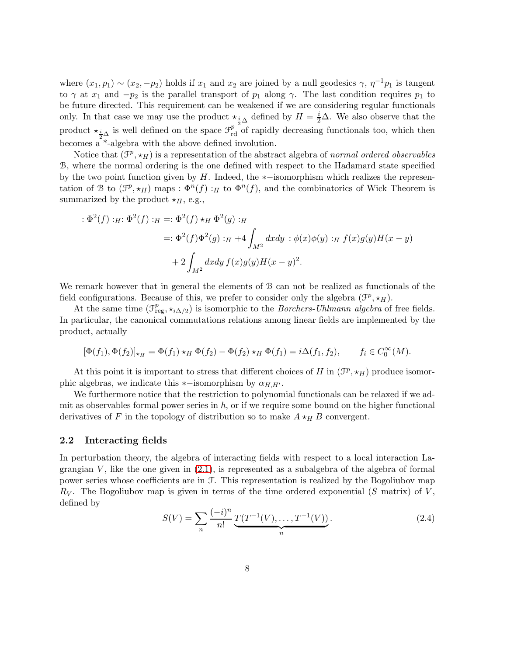where  $(x_1, p_1) \sim (x_2, -p_2)$  holds if  $x_1$  and  $x_2$  are joined by a null geodesics  $\gamma$ ,  $\eta^{-1}p_1$  is tangent to  $\gamma$  at  $x_1$  and  $-p_2$  is the parallel transport of  $p_1$  along  $\gamma$ . The last condition requires  $p_1$  to be future directed. This requirement can be weakened if we are considering regular functionals only. In that case we may use the product  $\star_{\frac{i}{2}\Delta}$  defined by  $H = \frac{i}{2}\Delta$ . We also observe that the product  $\star_{\frac{i}{2}\Delta}$  is well defined on the space  $\mathcal{F}_{rd}^{p}$  of rapidly decreasing functionals too, which then becomes a \*-algebra with the above defined involution.

Notice that  $(\mathcal{F}^p, \star_H)$  is a representation of the abstract algebra of normal ordered observables B, where the normal ordering is the one defined with respect to the Hadamard state specified by the two point function given by H. Indeed, the ∗−isomorphism which realizes the representation of B to  $(\mathcal{F}^p, \star_H)$  maps :  $\Phi^n(f)$ : H to  $\Phi^n(f)$ , and the combinatorics of Wick Theorem is summarized by the product  $\star_H$ , e.g.,

$$
\begin{aligned} : \Phi^2(f) : _H : \Phi^2(f) : _H = : \Phi^2(f) \star_H \Phi^2(g) : _H \\ & = : \Phi^2(f)\Phi^2(g) : _H + 4 \int_{M^2} dx dy : \phi(x)\phi(y) : _H f(x)g(y)H(x - y) \\ & + 2 \int_{M^2} dx dy f(x)g(y)H(x - y)^2. \end{aligned}
$$

We remark however that in general the elements of B can not be realized as functionals of the field configurations. Because of this, we prefer to consider only the algebra  $(\mathcal{F}^p, \star_H)$ .

At the same time  $(\mathcal{F}_{\text{reg}}^p, \star_{i\Delta/2})$  is isomorphic to the *Borchers-Uhlmann algebra* of free fields. In particular, the canonical commutations relations among linear fields are implemented by the product, actually

$$
[\Phi(f_1), \Phi(f_2)]_{\star_H} = \Phi(f_1) \star_H \Phi(f_2) - \Phi(f_2) \star_H \Phi(f_1) = i \Delta(f_1, f_2), \qquad f_i \in C_0^{\infty}(M).
$$

At this point it is important to stress that different choices of H in  $(\mathcal{F}^p, \star_H)$  produce isomorphic algebras, we indicate this  $*$ −isomorphism by  $\alpha_{H,H'}$ .

We furthermore notice that the restriction to polynomial functionals can be relaxed if we admit as observables formal power series in  $h$ , or if we require some bound on the higher functional derivatives of F in the topology of distribution so to make  $A \star_H B$  convergent.

#### <span id="page-7-1"></span>2.2 Interacting fields

In perturbation theory, the algebra of interacting fields with respect to a local interaction Lagrangian  $V$ , like the one given in  $(2.1)$ , is represented as a subalgebra of the algebra of formal power series whose coefficients are in F. This representation is realized by the Bogoliubov map  $R_V$ . The Bogoliubov map is given in terms of the time ordered exponential (S matrix) of V, defined by

<span id="page-7-0"></span>
$$
S(V) = \sum_{n} \frac{(-i)^n}{n!} \underbrace{T(T^{-1}(V), \dots, T^{-1}(V))}_{n}.
$$
\n(2.4)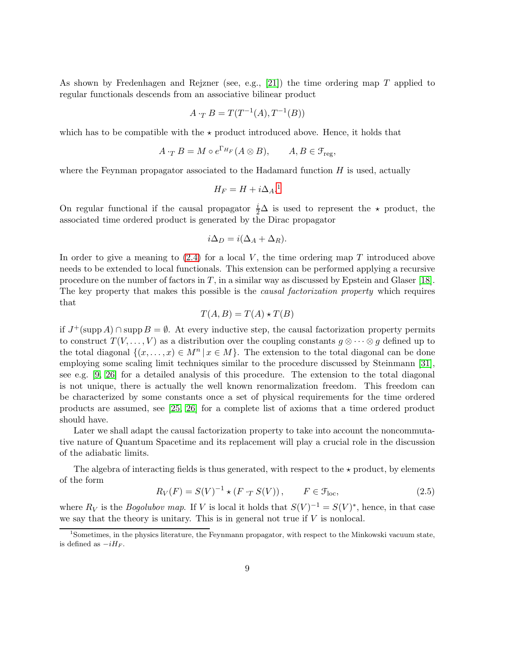As shown by Fredenhagen and Rejzner (see, e.g., [\[21\]](#page-44-6)) the time ordering map  $T$  applied to regular functionals descends from an associative bilinear product

$$
A \cdot_T B = T(T^{-1}(A), T^{-1}(B))
$$

which has to be compatible with the  $\star$  product introduced above. Hence, it holds that

$$
A \cdot_T B = M \circ e^{\Gamma_{H_F}} (A \otimes B), \qquad A, B \in \mathcal{F}_{reg},
$$

where the Feynman propagator associated to the Hadamard function  $H$  is used, actually

$$
H_F = H + i\Delta_A.^1
$$

On regular functional if the causal propagator  $\frac{i}{2}\Delta$  is used to represent the  $\star$  product, the associated time ordered product is generated by the Dirac propagator

$$
i\Delta_D = i(\Delta_A + \Delta_R).
$$

In order to give a meaning to  $(2.4)$  for a local V, the time ordering map T introduced above needs to be extended to local functionals. This extension can be performed applying a recursive procedure on the number of factors in  $T$ , in a similar way as discussed by Epstein and Glaser [\[18\]](#page-44-13). The key property that makes this possible is the *causal factorization property* which requires that

$$
T(A, B) = T(A) \star T(B)
$$

if  $J^+(\mathrm{supp}\,A) \cap \mathrm{supp}\,B = \emptyset$ . At every inductive step, the causal factorization property permits to construct  $T(V, \ldots, V)$  as a distribution over the coupling constants  $g \otimes \cdots \otimes g$  defined up to the total diagonal  $\{(x, \ldots, x) \in M^n | x \in M\}$ . The extension to the total diagonal can be done employing some scaling limit techniques similar to the procedure discussed by Steinmann [\[31\]](#page-44-14), see e.g. [\[9,](#page-43-11) [26\]](#page-44-9) for a detailed analysis of this procedure. The extension to the total diagonal is not unique, there is actually the well known renormalization freedom. This freedom can be characterized by some constants once a set of physical requirements for the time ordered products are assumed, see [\[25,](#page-44-8) [26\]](#page-44-9) for a complete list of axioms that a time ordered product should have.

Later we shall adapt the causal factorization property to take into account the noncommutative nature of Quantum Spacetime and its replacement will play a crucial role in the discussion of the adiabatic limits.

The algebra of interacting fields is thus generated, with respect to the  $\star$  product, by elements of the form

<span id="page-8-1"></span>
$$
R_V(F) = S(V)^{-1} \star (F \cdot_T S(V)), \qquad F \in \mathcal{F}_{\text{loc}}, \tag{2.5}
$$

where  $R_V$  is the *Bogolubov map*. If V is local it holds that  $S(V)^{-1} = S(V)^*$ , hence, in that case we say that the theory is unitary. This is in general not true if  $V$  is nonlocal.

<span id="page-8-0"></span><sup>1</sup>Sometimes, in the physics literature, the Feynmann propagator, with respect to the Minkowski vacuum state, is defined as  $-iH_F$ .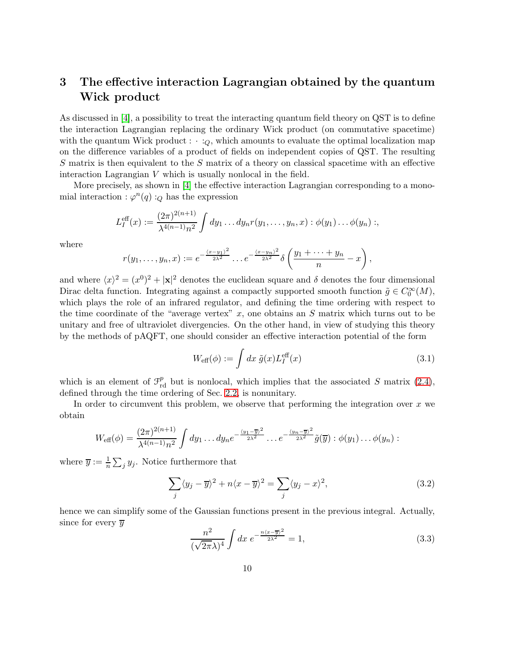# <span id="page-9-0"></span>3 The effective interaction Lagrangian obtained by the quantum Wick product

As discussed in [\[4\]](#page-43-2), a possibility to treat the interacting quantum field theory on QST is to define the interaction Lagrangian replacing the ordinary Wick product (on commutative spacetime) with the quantum Wick product :  $\cdot :_Q$ , which amounts to evaluate the optimal localization map on the difference variables of a product of fields on independent copies of QST. The resulting S matrix is then equivalent to the S matrix of a theory on classical spacetime with an effective interaction Lagrangian V which is usually nonlocal in the field.

More precisely, as shown in [\[4\]](#page-43-2) the effective interaction Lagrangian corresponding to a monomial interaction :  $\varphi^{n}(q)$  :<sub>Q</sub> has the expression

$$
L_I^{\text{eff}}(x) := \frac{(2\pi)^{2(n+1)}}{\lambda^{4(n-1)}n^2} \int dy_1 \dots dy_n r(y_1, \dots, y_n, x) : \phi(y_1) \dots \phi(y_n) ;
$$

where

$$
r(y_1,\ldots,y_n,x):=e^{-\frac{(x-y_1)^2}{2\lambda^2}}\ldots e^{-\frac{(x-y_n)^2}{2\lambda^2}}\delta\left(\frac{y_1+\cdots+y_n}{n}-x\right),
$$

and where  $\langle x \rangle^2 = (x^0)^2 + |\mathbf{x}|^2$  denotes the euclidean square and  $\delta$  denotes the four dimensional Dirac delta function. Integrating against a compactly supported smooth function  $\tilde{g} \in C_0^{\infty}(M)$ , which plays the role of an infrared regulator, and defining the time ordering with respect to the time coordinate of the "average vertex"  $x$ , one obtains an  $S$  matrix which turns out to be unitary and free of ultraviolet divergencies. On the other hand, in view of studying this theory by the methods of pAQFT, one should consider an effective interaction potential of the form

$$
W_{\text{eff}}(\phi) := \int dx \ \tilde{g}(x) L_I^{\text{eff}}(x) \tag{3.1}
$$

which is an element of  $\mathcal{F}_{rd}^p$  but is nonlocal, which implies that the associated S matrix [\(2.4\)](#page-7-0), defined through the time ordering of Sec. [2.2,](#page-7-1) is nonunitary.

In order to circumvent this problem, we observe that performing the integration over  $x$  we obtain

$$
W_{\text{eff}}(\phi) = \frac{(2\pi)^{2(n+1)}}{\lambda^{4(n-1)}n^2} \int dy_1 \dots dy_n e^{-\frac{\langle y_1 - \overline{y}\rangle^2}{2\lambda^2}} \dots e^{-\frac{\langle y_n - \overline{y}\rangle^2}{2\lambda^2}} \tilde{g}(\overline{y}) : \phi(y_1) \dots \phi(y_n) :
$$

where  $\overline{y} := \frac{1}{n} \sum_j y_j$ . Notice furthermore that

<span id="page-9-2"></span>
$$
\sum_{j} \langle y_j - \overline{y} \rangle^2 + n \langle x - \overline{y} \rangle^2 = \sum_{j} \langle y_j - x \rangle^2, \tag{3.2}
$$

hence we can simplify some of the Gaussian functions present in the previous integral. Actually, since for every  $\overline{y}$ 

<span id="page-9-1"></span>
$$
\frac{n^2}{(\sqrt{2\pi}\lambda)^4} \int dx \ e^{-\frac{n(x-\overline{y})^2}{2\lambda^2}} = 1,
$$
\n(3.3)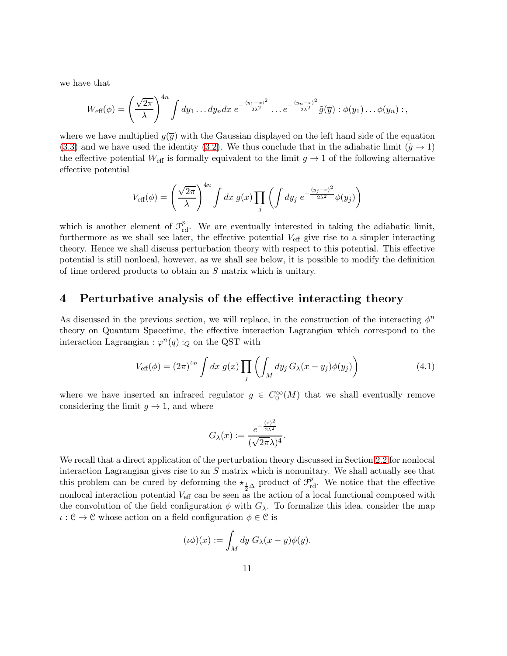we have that

$$
W_{\text{eff}}(\phi) = \left(\frac{\sqrt{2\pi}}{\lambda}\right)^{4n} \int dy_1 \dots dy_n dx \ e^{-\frac{(y_1 - x)^2}{2\lambda^2}} \dots e^{-\frac{(y_n - x)^2}{2\lambda^2}} \tilde{g}(\overline{y}) : \phi(y_1) \dots \phi(y_n) : ,
$$

where we have multiplied  $q(\bar{y})$  with the Gaussian displayed on the left hand side of the equation [\(3.3\)](#page-9-1) and we have used the identity [\(3.2\)](#page-9-2). We thus conclude that in the adiabatic limit ( $\tilde{q} \rightarrow 1$ ) the effective potential  $W_{\text{eff}}$  is formally equivalent to the limit  $g \to 1$  of the following alternative effective potential

$$
V_{\text{eff}}(\phi) = \left(\frac{\sqrt{2\pi}}{\lambda}\right)^{4n} \int dx \ g(x) \prod_{j} \left(\int dy_j \ e^{-\frac{\langle y_j - x \rangle^2}{2\lambda^2}} \phi(y_j)\right)
$$

which is another element of  $\mathcal{F}_{\text{rd}}^p$ . We are eventually interested in taking the adiabatic limit, furthermore as we shall see later, the effective potential  $V_{\text{eff}}$  give rise to a simpler interacting theory. Hence we shall discuss perturbation theory with respect to this potential. This effective potential is still nonlocal, however, as we shall see below, it is possible to modify the definition of time ordered products to obtain an S matrix which is unitary.

#### <span id="page-10-0"></span>4 Perturbative analysis of the effective interacting theory

As discussed in the previous section, we will replace, in the construction of the interacting  $\phi^n$ theory on Quantum Spacetime, the effective interaction Lagrangian which correspond to the interaction Lagrangian :  $\varphi^{n}(q)$  :<sub>Q</sub> on the QST with

<span id="page-10-1"></span>
$$
V_{\text{eff}}(\phi) = (2\pi)^{4n} \int dx \ g(x) \prod_{j} \left( \int_{M} dy_{j} G_{\lambda}(x - y_{j}) \phi(y_{j}) \right) \tag{4.1}
$$

where we have inserted an infrared regulator  $g \in C_0^{\infty}(M)$  that we shall eventually remove considering the limit  $q \to 1$ , and where

$$
G_{\lambda}(x) := \frac{e^{-\frac{\langle x \rangle^2}{2\lambda^2}}}{(\sqrt{2\pi}\lambda)^4}.
$$

We recall that a direct application of the perturbation theory discussed in Section [2.2](#page-7-1) for nonlocal interaction Lagrangian gives rise to an S matrix which is nonunitary. We shall actually see that this problem can be cured by deforming the  $\star_{\frac{i}{2}\Delta}$  product of  $\mathcal{F}_{\text{rd}}^p$ . We notice that the effective nonlocal interaction potential  $V_{\text{eff}}$  can be seen as the action of a local functional composed with the convolution of the field configuration  $\phi$  with  $G_\lambda$ . To formalize this idea, consider the map  $\iota : \mathcal{C} \to \mathcal{C}$  whose action on a field configuration  $\phi \in \mathcal{C}$  is

$$
(\iota \phi)(x) := \int_M dy \ G_\lambda(x - y) \phi(y).
$$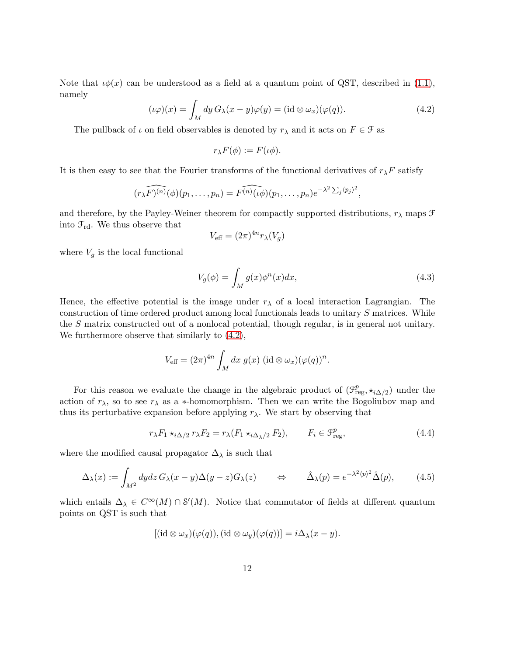Note that  $\iota\phi(x)$  can be understood as a field at a quantum point of QST, described in [\(1.1\)](#page-3-0), namely

<span id="page-11-0"></span>
$$
(\iota \varphi)(x) = \int_M dy \, G_\lambda(x - y) \varphi(y) = (\mathrm{id} \otimes \omega_x)(\varphi(q)). \tag{4.2}
$$

The pullback of  $\iota$  on field observables is denoted by  $r_{\lambda}$  and it acts on  $F \in \mathcal{F}$  as

$$
r_{\lambda}F(\phi) := F(\iota\phi).
$$

It is then easy to see that the Fourier transforms of the functional derivatives of  $r_\lambda F$  satisfy

$$
\widehat{(r_{\lambda}F)^{(n)}}(\phi)(p_1,\ldots,p_n)=\widehat{F^{(n)}(\iota\phi)}(p_1,\ldots,p_n)e^{-\lambda^2\sum_j\langle p_j\rangle^2},
$$

and therefore, by the Payley-Weiner theorem for compactly supported distributions,  $r_{\lambda}$  maps  $\mathcal F$ into  $\mathcal{F}_{\text{rd}}$ . We thus observe that

$$
V_{\text{eff}} = (2\pi)^{4n} r_{\lambda}(V_g)
$$

where  $V_g$  is the local functional

<span id="page-11-3"></span>
$$
V_g(\phi) = \int_M g(x)\phi^n(x)dx,\tag{4.3}
$$

Hence, the effective potential is the image under  $r<sub>\lambda</sub>$  of a local interaction Lagrangian. The construction of time ordered product among local functionals leads to unitary S matrices. While the S matrix constructed out of a nonlocal potential, though regular, is in general not unitary. We furthermore observe that similarly to [\(4.2\)](#page-11-0),

$$
V_{\text{eff}} = (2\pi)^{4n} \int_M dx \ g(x) \ (\text{id} \otimes \omega_x)(\varphi(q))^n.
$$

For this reason we evaluate the change in the algebraic product of  $(\mathcal{F}^p_{\text{reg}}, \star_{i \Delta/2})$  under the action of  $r_{\lambda}$ , so to see  $r_{\lambda}$  as a ∗-homomorphism. Then we can write the Bogoliubov map and thus its perturbative expansion before applying  $r_{\lambda}$ . We start by observing that

<span id="page-11-1"></span>
$$
r_{\lambda}F_1 \star_{i\Delta/2} r_{\lambda}F_2 = r_{\lambda}(F_1 \star_{i\Delta_{\lambda}/2} F_2), \qquad F_i \in \mathcal{F}_{\text{reg}}^p,
$$
\n(4.4)

where the modified causal propagator  $\Delta_{\lambda}$  is such that

<span id="page-11-2"></span>
$$
\Delta_{\lambda}(x) := \int_{M^2} dy dz \, G_{\lambda}(x - y) \Delta(y - z) G_{\lambda}(z) \qquad \Leftrightarrow \qquad \hat{\Delta}_{\lambda}(p) = e^{-\lambda^2 \langle p \rangle^2} \hat{\Delta}(p), \tag{4.5}
$$

which entails  $\Delta_{\lambda} \in C^{\infty}(M) \cap \mathcal{S}'(M)$ . Notice that commutator of fields at different quantum points on QST is such that

$$
[(\mathrm{id} \otimes \omega_x)(\varphi(q)), (\mathrm{id} \otimes \omega_y)(\varphi(q))] = i\Delta_{\lambda}(x-y).
$$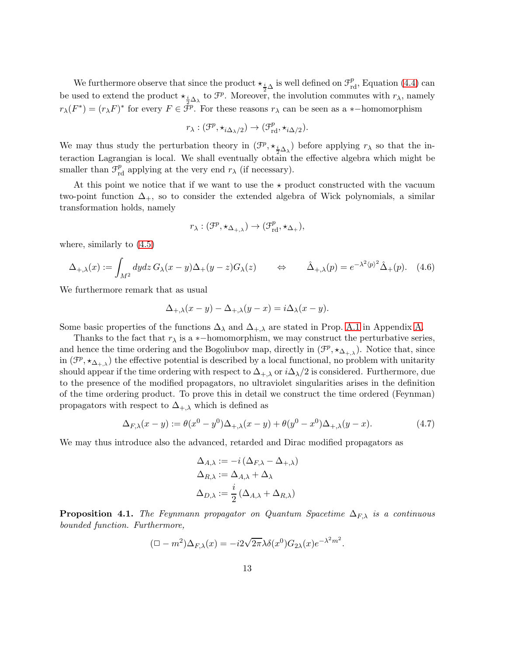We furthermore observe that since the product  $\star_{\frac{i}{2}\Delta}$  is well defined on  $\mathcal{F}^p_{\text{rd}}$ , Equation [\(4.4\)](#page-11-1) can be used to extend the product  $\star_{\frac{i}{2}\Delta_\lambda}$  to  $\mathcal{F}^p$ . Moreover, the involution commutes with  $r_\lambda$ , namely  $r_{\lambda}(F^*) = (r_{\lambda}F)^*$  for every  $F \in \tilde{\mathcal{F}}^p$ . For these reasons  $r_{\lambda}$  can be seen as a \*-homomorphism

$$
r_{\lambda}: (\mathcal{F}^p, \star_{i\Delta_{\lambda}/2}) \to (\mathcal{F}^p_{\mathrm{rd}}, \star_{i\Delta/2}).
$$

We may thus study the perturbation theory in  $(\mathcal{F}^p, \star_{\frac{i}{2}\Delta_\lambda})$  before applying  $r_\lambda$  so that the interaction Lagrangian is local. We shall eventually obtain the effective algebra which might be smaller than  $\mathcal{F}_{\text{rd}}^p$  applying at the very end  $r_{\lambda}$  (if necessary).

At this point we notice that if we want to use the  $\star$  product constructed with the vacuum two-point function  $\Delta_{+}$ , so to consider the extended algebra of Wick polynomials, a similar transformation holds, namely

$$
r_{\lambda}: (\mathcal{F}^p, \star_{\Delta_{+,\lambda}}) \to (\mathcal{F}^p_{\mathrm{rd}}, \star_{\Delta_+}),
$$

where, similarly to [\(4.5\)](#page-11-2)

<span id="page-12-2"></span>
$$
\Delta_{+,\lambda}(x) := \int_{M^2} dy dz \, G_{\lambda}(x-y) \Delta_+(y-z) G_{\lambda}(z) \qquad \Leftrightarrow \qquad \hat{\Delta}_{+,\lambda}(p) = e^{-\lambda^2 \langle p \rangle^2} \hat{\Delta}_+(p). \tag{4.6}
$$

We furthermore remark that as usual

$$
\Delta_{+,\lambda}(x-y) - \Delta_{+,\lambda}(y-x) = i\Delta_{\lambda}(x-y).
$$

Some basic properties of the functions  $\Delta_{\lambda}$  and  $\Delta_{+,\lambda}$  are stated in Prop. [A.1](#page-34-0) in Appendix [A.](#page-33-0)

Thanks to the fact that  $r_{\lambda}$  is a ∗-homomorphism, we may construct the perturbative series, and hence the time ordering and the Bogoliubov map, directly in  $(\mathcal{F}^p, \star_{\Delta_{+, \lambda}})$ . Notice that, since in  $(\mathcal{F}^p, \star_{\Delta_{+, \lambda}})$  the effective potential is described by a local functional, no problem with unitarity should appear if the time ordering with respect to  $\Delta_{+\lambda}$  or  $i\Delta_{\lambda}/2$  is considered. Furthermore, due to the presence of the modified propagators, no ultraviolet singularities arises in the definition of the time ordering product. To prove this in detail we construct the time ordered (Feynman) propagators with respect to  $\Delta_{+,\lambda}$  which is defined as

<span id="page-12-1"></span>
$$
\Delta_{F,\lambda}(x-y) := \theta(x^0 - y^0)\Delta_{+,\lambda}(x-y) + \theta(y^0 - x^0)\Delta_{+,\lambda}(y-x). \tag{4.7}
$$

We may thus introduce also the advanced, retarded and Dirac modified propagators as

$$
\Delta_{A,\lambda} := -i \left( \Delta_{F,\lambda} - \Delta_{+,\lambda} \right)
$$

$$
\Delta_{R,\lambda} := \Delta_{A,\lambda} + \Delta_{\lambda}
$$

$$
\Delta_{D,\lambda} := \frac{i}{2} \left( \Delta_{A,\lambda} + \Delta_{R,\lambda} \right)
$$

<span id="page-12-0"></span>**Proposition 4.1.** The Feynmann propagator on Quantum Spacetime  $\Delta_{F,\lambda}$  is a continuous bounded function. Furthermore,

$$
(\Box - m^2) \Delta_{F,\lambda}(x) = -i2\sqrt{2\pi} \lambda \delta(x^0) G_{2\lambda}(x) e^{-\lambda^2 m^2}.
$$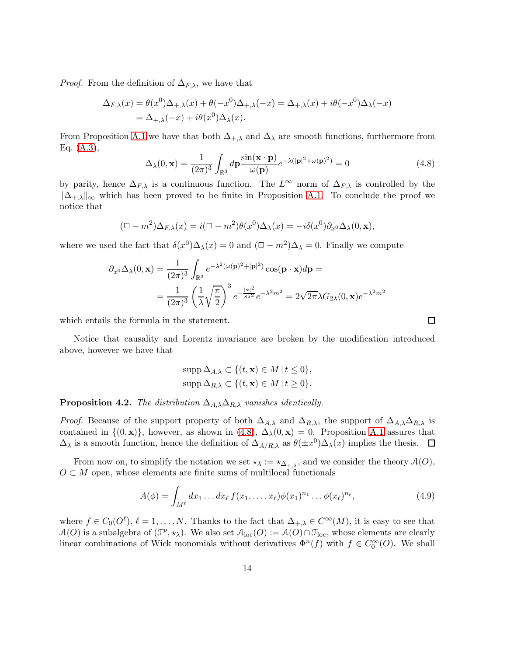*Proof.* From the definition of  $\Delta_{F,\lambda}$ , we have that

$$
\Delta_{F,\lambda}(x) = \theta(x^0)\Delta_{+,\lambda}(x) + \theta(-x^0)\Delta_{+,\lambda}(-x) = \Delta_{+,\lambda}(x) + i\theta(-x^0)\Delta_{\lambda}(-x)
$$
  
=  $\Delta_{+,\lambda}(-x) + i\theta(x^0)\Delta_{\lambda}(x)$ .

From Proposition [A.1](#page-34-0) we have that both  $\Delta_{+,\lambda}$  and  $\Delta_{\lambda}$  are smooth functions, furthermore from Eq. [\(A.3\)](#page-33-1),

<span id="page-13-0"></span>
$$
\Delta_{\lambda}(0, \mathbf{x}) = \frac{1}{(2\pi)^3} \int_{\mathbb{R}^3} d\mathbf{p} \frac{\sin(\mathbf{x} \cdot \mathbf{p})}{\omega(\mathbf{p})} e^{-\lambda(|\mathbf{p}|^2 + \omega(\mathbf{p})^2)} = 0
$$
\n(4.8)

by parity, hence  $\Delta_{F,\lambda}$  is a continuous function. The  $L^{\infty}$  norm of  $\Delta_{F,\lambda}$  is controlled by the  $\|\Delta_{+,\lambda}\|_{\infty}$  which has been proved to be finite in Proposition [A.1.](#page-34-0) To conclude the proof we notice that

$$
(\Box - m^2) \Delta_{F,\lambda}(x) = i(\Box - m^2) \theta(x^0) \Delta_{\lambda}(x) = -i\delta(x^0) \partial_{x^0} \Delta_{\lambda}(0, \mathbf{x}),
$$

where we used the fact that  $\delta(x^0)\Delta_\lambda(x) = 0$  and  $(\Box - m^2)\Delta_\lambda = 0$ . Finally we compute

$$
\partial_{x^0} \Delta_{\lambda}(0, \mathbf{x}) = \frac{1}{(2\pi)^3} \int_{\mathbb{R}^3} e^{-\lambda^2 (\omega(\mathbf{p})^2 + |\mathbf{p}|^2)} \cos(\mathbf{p} \cdot \mathbf{x}) d\mathbf{p} =
$$

$$
= \frac{1}{(2\pi)^3} \left(\frac{1}{\lambda} \sqrt{\frac{\pi}{2}}\right)^3 e^{-\frac{|\mathbf{x}|^2}{8\lambda^2}} e^{-\lambda^2 m^2} = 2\sqrt{2\pi} \lambda G_{2\lambda}(0, \mathbf{x}) e^{-\lambda^2 m^2}
$$

which entails the formula in the statement.

Notice that causality and Lorentz invariance are broken by the modification introduced above, however we have that

$$
\operatorname{supp} \Delta_{A,\lambda} \subset \{(t, \mathbf{x}) \in M \mid t \le 0\},
$$
  

$$
\operatorname{supp} \Delta_{R,\lambda} \subset \{(t, \mathbf{x}) \in M \mid t \ge 0\}.
$$

**Proposition 4.2.** The distribution  $\Delta_{A,\lambda}\Delta_{R,\lambda}$  vanishes identically.

*Proof.* Because of the support property of both  $\Delta_{A,\lambda}$  and  $\Delta_{R,\lambda}$ , the support of  $\Delta_{A,\lambda}\Delta_{R,\lambda}$  is contained in  ${(0, x)}$ , however, as shown in [\(4.8\)](#page-13-0),  $\Delta_{\lambda}(0, x) = 0$ . Proposition [A.1](#page-34-0) assures that  $\Delta_{\lambda}$  is a smooth function, hence the definition of  $\Delta_{A/R,\lambda}$  as  $\theta(\pm x^0)\Delta_{\lambda}(x)$  implies the thesis.

From now on, to simplify the notation we set  $\star_{\lambda} := \star_{\Delta_{+,\lambda}}$ , and we consider the theory  $\mathcal{A}(O)$ ,  $O \subset M$  open, whose elements are finite sums of multilocal functionals

<span id="page-13-1"></span>
$$
A(\phi) = \int_{M^{\ell}} dx_1 \dots dx_{\ell} f(x_1, \dots, x_{\ell}) \phi(x_1)^{n_1} \dots \phi(x_{\ell})^{n_{\ell}}, \tag{4.9}
$$

where  $f \in C_0(O^{\ell}), \ell = 1, ..., N$ . Thanks to the fact that  $\Delta_{+,\lambda} \in C^{\infty}(M)$ , it is easy to see that  $\mathcal{A}(O)$  is a subalgebra of  $(\mathcal{F}^p, \star_\lambda)$ . We also set  $\mathcal{A}_{loc}(O) := \mathcal{A}(O) \cap \mathcal{F}_{loc}$ , whose elements are clearly linear combinations of Wick monomials without derivatives  $\Phi^{n}(f)$  with  $f \in C_0^{\infty}(O)$ . We shall

 $\Box$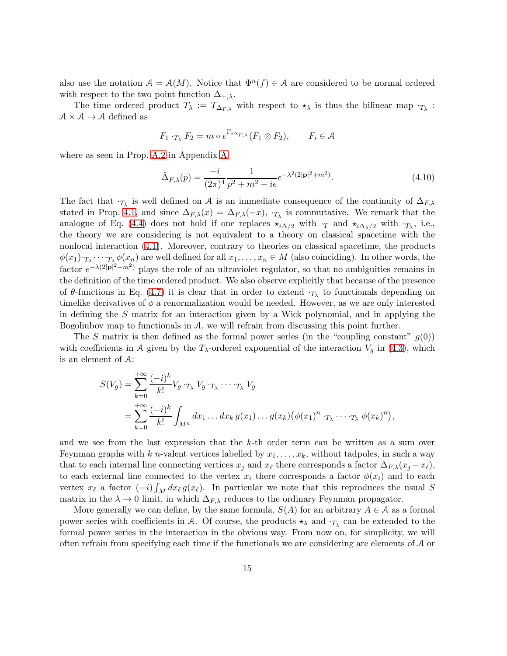also use the notation  $A = A(M)$ . Notice that  $\Phi^{n}(f) \in A$  are considered to be normal ordered with respect to the two point function  $\Delta_{+,\lambda}$ .

The time ordered product  $T_{\lambda} := T_{\Delta_{F,\lambda}}$  with respect to  $\star_{\lambda}$  is thus the bilinear map  $T_{\lambda}$ :  $A \times A \rightarrow A$  defined as

$$
F_1 \cdot_{T_\lambda} F_2 = m \circ e^{\Gamma_{i\Delta_{F,\lambda}}}(F_1 \otimes F_2), \qquad F_i \in \mathcal{A}
$$

where as seen in Prop. [A.2](#page-34-1) in Appendix [A](#page-33-0)

<span id="page-14-0"></span>
$$
\hat{\Delta}_{F,\lambda}(p) = \frac{-i}{(2\pi)^4} \frac{1}{p^2 + m^2 - i\epsilon} e^{-\lambda^2 (2|\mathbf{p}|^2 + m^2)}.
$$
\n(4.10)

The fact that  $\cdot_{T_{\lambda}}$  is well defined on A is an immediate consequence of the continuity of  $\Delta_{F,\lambda}$ stated in Prop. [4.1,](#page-12-0) and since  $\Delta_{F,\lambda}(x) = \Delta_{F,\lambda}(-x)$ ,  $\cdot_{T_{\lambda}}$  is commutative. We remark that the analogue of Eq. [\(4.4\)](#page-11-1) does not hold if one replaces  $\star_{i\Delta/2}$  with  $\cdot_T$  and  $\star_{i\Delta/2}$  with  $\cdot_{T_\lambda}$ , i.e., the theory we are considering is not equivalent to a theory on classical spacetime with the nonlocal interaction [\(4.1\)](#page-10-1). Moreover, contrary to theories on classical spacetime, the products  $\phi(x_1) \cdot_{T_{\lambda}} \cdots \cdot_{T_{\lambda}} \phi(x_n)$  are well defined for all  $x_1, \ldots, x_n \in M$  (also coinciding). In other words, the factor  $e^{-\lambda(2|\mathbf{p}|^2+m^2)}$  plays the role of an ultraviolet regulator, so that no ambiguities remains in the definition of the time ordered product. We also observe explicitly that because of the presence of  $\theta$ -functions in Eq. [\(4.7\)](#page-12-1) it is clear that in order to extend  $\cdot_{T_{\lambda}}$  to functionals depending on timelike derivatives of  $\phi$  a renormalization would be needed. However, as we are only interested in defining the S matrix for an interaction given by a Wick polynomial, and in applying the Bogoliubov map to functionals in A, we will refrain from discussing this point further.

The S matrix is then defined as the formal power series (in the "coupling constant"  $g(0)$ ) with coefficients in A given by the  $T_{\lambda}$ -ordered exponential of the interaction  $V_g$  in [\(4.3\)](#page-11-3), which is an element of A:

$$
S(V_g) = \sum_{k=0}^{+\infty} \frac{(-i)^k}{k!} V_g \cdot_{T_\lambda} V_g \cdot_{T_\lambda} \cdots_{T_\lambda} V_g
$$
  
= 
$$
\sum_{k=0}^{+\infty} \frac{(-i)^k}{k!} \int_{M^n} dx_1 \dots dx_k g(x_1) \dots g(x_k) (\phi(x_1)^n \cdot_{T_\lambda} \cdots_{T_\lambda} \phi(x_k)^n),
$$

and we see from the last expression that the k-th order term can be written as a sum over Feynman graphs with k n-valent vertices labelled by  $x_1, \ldots, x_k$ , without tadpoles, in such a way that to each internal line connecting vertices  $x_j$  and  $x_\ell$  there corresponds a factor  $\Delta_{F,\lambda}(x_j - x_\ell)$ , to each external line connected to the vertex  $x_i$  there corresponds a factor  $\phi(x_i)$  and to each vertex  $x_{\ell}$  a factor  $(-i) \int_M dx_{\ell} g(x_{\ell}).$  In particular we note that this reproduces the usual S matrix in the  $\lambda \to 0$  limit, in which  $\Delta_{F,\lambda}$  reduces to the ordinary Feynman propagator.

More generally we can define, by the same formula,  $S(A)$  for an arbitrary  $A \in \mathcal{A}$  as a formal power series with coefficients in A. Of course, the products  $\star_{\lambda}$  and  $\cdot_{T_{\lambda}}$  can be extended to the formal power series in the interaction in the obvious way. From now on, for simplicity, we will often refrain from specifying each time if the functionals we are considering are elements of A or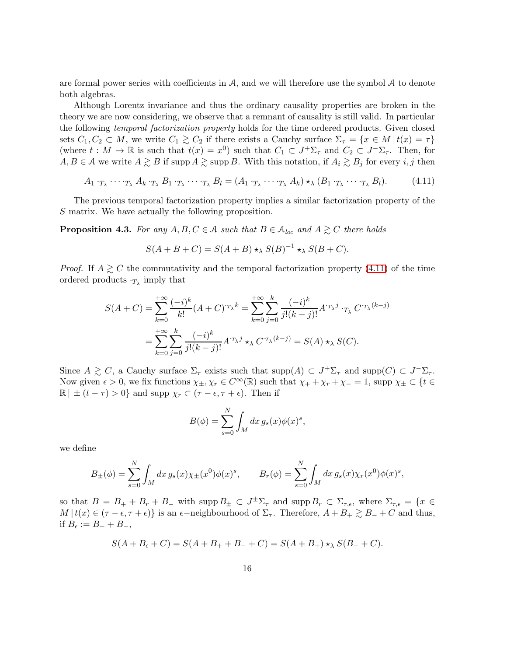are formal power series with coefficients in  $A$ , and we will therefore use the symbol  $A$  to denote both algebras.

Although Lorentz invariance and thus the ordinary causality properties are broken in the theory we are now considering, we observe that a remnant of causality is still valid. In particular the following temporal factorization property holds for the time ordered products. Given closed sets  $C_1, C_2 \subset M$ , we write  $C_1 \gtrsim C_2$  if there exists a Cauchy surface  $\Sigma_{\tau} = \{x \in M | t(x) = \tau\}$ (where  $t: M \to \mathbb{R}$  is such that  $t(x) = x^0$ ) such that  $C_1 \subset J^+\Sigma_\tau$  and  $C_2 \subset J^-\Sigma_\tau$ . Then, for  $A, B \in \mathcal{A}$  we write  $A \gtrsim B$  if supp  $A \gtrsim \text{supp } B$ . With this notation, if  $A_i \gtrsim B_j$  for every i, j then

<span id="page-15-0"></span>
$$
A_1 \cdot_{T_{\lambda}} \cdots \cdot_{T_{\lambda}} A_k \cdot_{T_{\lambda}} B_1 \cdot_{T_{\lambda}} \cdots \cdot_{T_{\lambda}} B_l = (A_1 \cdot_{T_{\lambda}} \cdots \cdot_{T_{\lambda}} A_k) \star_{\lambda} (B_1 \cdot_{T_{\lambda}} \cdots \cdot_{T_{\lambda}} B_l). \tag{4.11}
$$

The previous temporal factorization property implies a similar factorization property of the S matrix. We have actually the following proposition.

<span id="page-15-1"></span>**Proposition 4.3.** For any  $A, B, C \in \mathcal{A}$  such that  $B \in \mathcal{A}_{loc}$  and  $A \gtrsim C$  there holds

$$
S(A + B + C) = S(A + B) \star_{\lambda} S(B)^{-1} \star_{\lambda} S(B + C).
$$

*Proof.* If  $A \geq C$  the commutativity and the temporal factorization property [\(4.11\)](#page-15-0) of the time ordered products  $\cdot_{T_{\lambda}}$  imply that

$$
S(A+C) = \sum_{k=0}^{+\infty} \frac{(-i)^k}{k!} (A+C)^{\tau_{\lambda} k} = \sum_{k=0}^{+\infty} \sum_{j=0}^{k} \frac{(-i)^k}{j!(k-j)!} A^{\tau_{\lambda} j} {\cdot}_{T_{\lambda}} C^{\tau_{\lambda} (k-j)}
$$
  
= 
$$
\sum_{k=0}^{+\infty} \sum_{j=0}^{k} \frac{(-i)^k}{j!(k-j)!} A^{\tau_{\lambda} j} {\cdot}_{\lambda} C^{\tau_{\lambda} (k-j)} = S(A) {\cdot}_{\lambda} S(C).
$$

Since  $A \gtrsim C$ , a Cauchy surface  $\Sigma_{\tau}$  exists such that  $\text{supp}(A) \subset J^+\Sigma_{\tau}$  and  $\text{supp}(C) \subset J^-\Sigma_{\tau}$ . Now given  $\epsilon > 0$ , we fix functions  $\chi_{\pm}, \chi_r \in C^\infty(\mathbb{R})$  such that  $\chi_+ + \chi_r + \chi_- = 1$ , supp  $\chi_{\pm} \subset \{t \in$  $\mathbb{R} \mid \pm (t - \tau) > 0$ } and supp  $\chi_r \subset (\tau - \epsilon, \tau + \epsilon)$ . Then if

$$
B(\phi) = \sum_{s=0}^{N} \int_{M} dx \, g_{s}(x) \phi(x)^{s},
$$

we define

$$
B_{\pm}(\phi) = \sum_{s=0}^{N} \int_{M} dx \, g_{s}(x) \chi_{\pm}(x^{0}) \phi(x)^{s}, \qquad B_{r}(\phi) = \sum_{s=0}^{N} \int_{M} dx \, g_{s}(x) \chi_{r}(x^{0}) \phi(x)^{s},
$$

so that  $B = B_+ + B_r + B_-$  with supp  $B_{\pm} \subset J^{\pm} \Sigma_{\tau}$  and supp  $B_r \subset \Sigma_{\tau,\epsilon}$ , where  $\Sigma_{\tau,\epsilon} = \{x \in$  $M | t(x) \in (\tau - \epsilon, \tau + \epsilon)$  is an  $\epsilon$ -neighbourhood of  $\Sigma_{\tau}$ . Therefore,  $A + B_+ \gtrsim B_- + C$  and thus, if  $B_{\epsilon} := B_+ + B_-,$ 

$$
S(A + B_{\epsilon} + C) = S(A + B_{+} + B_{-} + C) = S(A + B_{+}) \star_{\lambda} S(B_{-} + C).
$$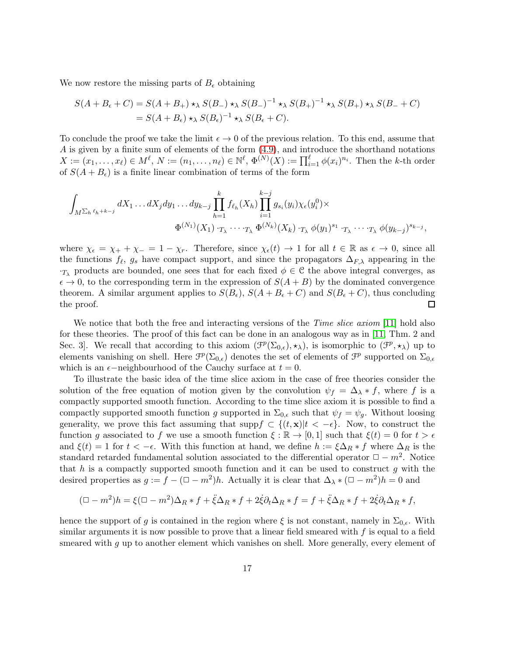We now restore the missing parts of  $B_{\epsilon}$  obtaining

$$
S(A + B_{\epsilon} + C) = S(A + B_{+}) \star_{\lambda} S(B_{-}) \star_{\lambda} S(B_{-})^{-1} \star_{\lambda} S(B_{+})^{-1} \star_{\lambda} S(B_{+}) \star_{\lambda} S(B_{-} + C)
$$
  
= 
$$
S(A + B_{\epsilon}) \star_{\lambda} S(B_{\epsilon})^{-1} \star_{\lambda} S(B_{\epsilon} + C).
$$

To conclude the proof we take the limit  $\epsilon \to 0$  of the previous relation. To this end, assume that A is given by a finite sum of elements of the form [\(4.9\)](#page-13-1), and introduce the shorthand notations  $X := (x_1, \ldots, x_\ell) \in M^\ell$ ,  $N := (n_1, \ldots, n_\ell) \in \mathbb{N}^\ell$ ,  $\Phi^{(N)}(X) := \prod_{i=1}^\ell \phi(x_i)^{n_i}$ . Then the k-th order of  $S(A + B_{\epsilon})$  is a finite linear combination of terms of the form

$$
\int_{M^{\sum_h \ell_h + k - j}} dX_1 \dots dX_j dy_1 \dots dy_{k-j} \prod_{h=1}^k f_{\ell_h}(X_h) \prod_{i=1}^{k-j} g_{s_i}(y_i) \chi_{\epsilon}(y_i^0) \times
$$
  

$$
\Phi^{(N_1)}(X_1) \cdot_{T_{\lambda}} \cdots \cdot_{T_{\lambda}} \Phi^{(N_k)}(X_k) \cdot_{T_{\lambda}} \phi(y_1)^{s_1} \cdot_{T_{\lambda}} \cdots \cdot_{T_{\lambda}} \phi(y_{k-j})^{s_{k-j}},
$$

where  $\chi_{\epsilon} = \chi_{+} + \chi_{-} = 1 - \chi_{r}$ . Therefore, since  $\chi_{\epsilon}(t) \to 1$  for all  $t \in \mathbb{R}$  as  $\epsilon \to 0$ , since all the functions  $f_{\ell}$ ,  $g_s$  have compact support, and since the propagators  $\Delta_{F,\lambda}$  appearing in the  $\cdot_{T_{\lambda}}$  products are bounded, one sees that for each fixed  $\phi \in \mathcal{C}$  the above integral converges, as  $\epsilon \to 0$ , to the corresponding term in the expression of  $S(A + B)$  by the dominated convergence theorem. A similar argument applies to  $S(B_{\epsilon}), S(A+B_{\epsilon}+C)$  and  $S(B_{\epsilon}+C)$ , thus concluding the proof.  $\Box$ 

We notice that both the free and interacting versions of the *Time slice axiom* [\[11\]](#page-43-12) hold also for these theories. The proof of this fact can be done in an analogous way as in [\[11,](#page-43-12) Thm. 2 and Sec. 3. We recall that according to this axiom  $(\mathcal{F}^p(\Sigma_{0,\epsilon}),\star_\lambda)$ , is isomorphic to  $(\mathcal{F}^p,\star_\lambda)$  up to elements vanishing on shell. Here  $\mathcal{F}^p(\Sigma_{0,\epsilon})$  denotes the set of elements of  $\mathcal{F}^p$  supported on  $\Sigma_{0,\epsilon}$ which is an  $\epsilon$ −neighbourhood of the Cauchy surface at  $t = 0$ .

To illustrate the basic idea of the time slice axiom in the case of free theories consider the solution of the free equation of motion given by the convolution  $\psi_f = \Delta_{\lambda} * f$ , where f is a compactly supported smooth function. According to the time slice axiom it is possible to find a compactly supported smooth function g supported in  $\Sigma_{0,\epsilon}$  such that  $\psi_f = \psi_g$ . Without loosing generality, we prove this fact assuming that supp $f \subset \{(t, \mathbf{x}) | t < -\epsilon\}$ . Now, to construct the function g associated to f we use a smooth function  $\xi : \mathbb{R} \to [0,1]$  such that  $\xi(t) = 0$  for  $t > \epsilon$ and  $\xi(t) = 1$  for  $t < -\epsilon$ . With this function at hand, we define  $h := \xi \Delta_R * f$  where  $\Delta_R$  is the standard retarded fundamental solution associated to the differential operator  $\Box - m^2$ . Notice that h is a compactly supported smooth function and it can be used to construct  $q$  with the desired properties as  $g := f - (\Box - m^2)h$ . Actually it is clear that  $\Delta_{\lambda} * (\Box - m^2)h = 0$  and

$$
(\Box - m^2)h = \xi(\Box - m^2)\Delta_R * f + \ddot{\xi}\Delta_R * f + 2\dot{\xi}\partial_t\Delta_R * f = f + \ddot{\xi}\Delta_R * f + 2\dot{\xi}\partial_t\Delta_R * f,
$$

hence the support of g is contained in the region where  $\xi$  is not constant, namely in  $\Sigma_{0,\epsilon}$ . With similar arguments it is now possible to prove that a linear field smeared with  $f$  is equal to a field smeared with  $q$  up to another element which vanishes on shell. More generally, every element of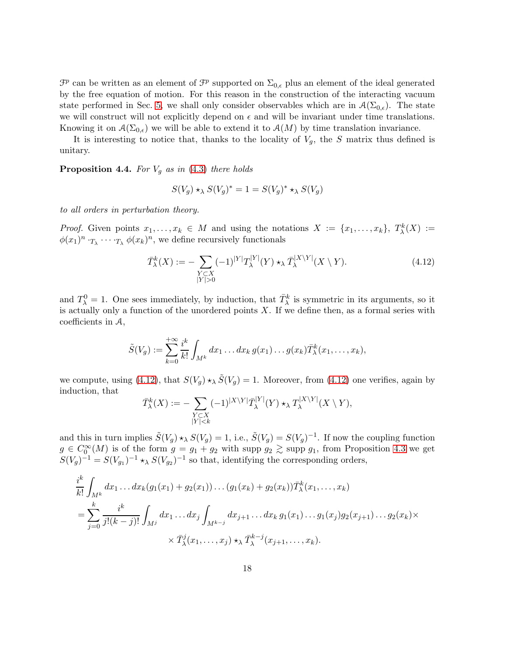$\mathcal{F}^p$  can be written as an element of  $\mathcal{F}^p$  supported on  $\Sigma_{0,\epsilon}$  plus an element of the ideal generated by the free equation of motion. For this reason in the construction of the interacting vacuum state performed in Sec. [5,](#page-19-0) we shall only consider observables which are in  $\mathcal{A}(\Sigma_{0,\epsilon})$ . The state we will construct will not explicitly depend on  $\epsilon$  and will be invariant under time translations. Knowing it on  $\mathcal{A}(\Sigma_{0,\epsilon})$  we will be able to extend it to  $\mathcal{A}(M)$  by time translation invariance.

It is interesting to notice that, thanks to the locality of  $V_g$ , the S matrix thus defined is unitary.

**Proposition 4.4.** For  $V_q$  as in [\(4.3\)](#page-11-3) there holds

$$
S(V_g) \star_\lambda S(V_g)^* = 1 = S(V_g)^* \star_\lambda S(V_g)
$$

to all orders in perturbation theory.

*Proof.* Given points  $x_1, \ldots, x_k \in M$  and using the notations  $X := \{x_1, \ldots, x_k\}, T^k_\lambda(X) :=$  $\phi(x_1)^n \cdot_{T_\lambda} \cdots \cdot_{T_\lambda} \phi(x_k)^n$ , we define recursively functionals

<span id="page-17-0"></span>
$$
\bar{T}_{\lambda}^{k}(X) := -\sum_{\substack{Y \subset X \\ |Y| > 0}} (-1)^{|Y|} T_{\lambda}^{|Y|}(Y) \star_{\lambda} \bar{T}_{\lambda}^{|X \setminus Y|}(X \setminus Y). \tag{4.12}
$$

and  $T_{\lambda}^0 = 1$ . One sees immediately, by induction, that  $\bar{T}_{\lambda}^k$  is symmetric in its arguments, so it is actually only a function of the unordered points  $X$ . If we define then, as a formal series with coefficients in A,

$$
\tilde{S}(V_g) := \sum_{k=0}^{+\infty} \frac{i^k}{k!} \int_{M^k} dx_1 \dots dx_k g(x_1) \dots g(x_k) \overline{T}_{\lambda}^k(x_1, \dots, x_k),
$$

we compute, using [\(4.12\)](#page-17-0), that  $S(V_g) \star_\lambda \tilde{S}(V_g) = 1$ . Moreover, from (4.12) one verifies, again by induction, that

$$
\bar{T}_{\lambda}^{k}(X) := -\sum_{\substack{Y \subset X \\ |Y| < k}} (-1)^{|X \setminus Y|} \bar{T}_{\lambda}^{|Y|}(Y) \star_{\lambda} T_{\lambda}^{|X \setminus Y|}(X \setminus Y),
$$

and this in turn implies  $\tilde{S}(V_g) \star_{\lambda} S(V_g) = 1$ , i.e.,  $\tilde{S}(V_g) = S(V_g)^{-1}$ . If now the coupling function  $g \in C_0^{\infty}(M)$  is of the form  $g = g_1 + g_2$  with supp  $g_2 \gtrsim$  supp  $g_1$ , from Proposition [4.3](#page-15-1) we get  $S(V_g)^{-1} = S(V_{g_1})^{-1} \star_{\lambda} S(V_{g_2})^{-1}$  so that, identifying the corresponding orders,

$$
\frac{i^k}{k!} \int_{M^k} dx_1 \dots dx_k (g_1(x_1) + g_2(x_1)) \dots (g_1(x_k) + g_2(x_k)) \overline{T}_{\lambda}^k(x_1, \dots, x_k)
$$
\n
$$
= \sum_{j=0}^k \frac{i^k}{j!(k-j)!} \int_{M^j} dx_1 \dots dx_j \int_{M^{k-j}} dx_{j+1} \dots dx_k g_1(x_1) \dots g_1(x_j) g_2(x_{j+1}) \dots g_2(x_k) \times \overline{T}_{\lambda}^j(x_1, \dots, x_j) \cdot \lambda \overline{T}_{\lambda}^{k-j}(x_{j+1}, \dots, x_k).
$$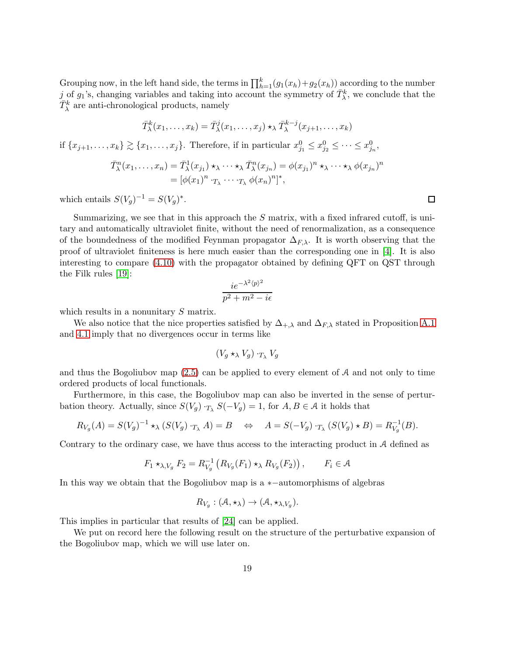Grouping now, in the left hand side, the terms in  $\prod_{h=1}^{k} (g_1(x_h) + g_2(x_h))$  according to the number j of  $g_1$ 's, changing variables and taking into account the symmetry of  $\bar{T}^k_{\lambda}$ , we conclude that the  $\bar{T}^k_\lambda$  are anti-chronological products, namely

$$
\bar{T}_{\lambda}^{k}(x_{1},\ldots,x_{k})=\bar{T}_{\lambda}^{j}(x_{1},\ldots,x_{j})\star_{\lambda}\bar{T}_{\lambda}^{k-j}(x_{j+1},\ldots,x_{k})
$$

if  $\{x_{j+1},...,x_k\} \gtrsim \{x_1,...,x_j\}$ . Therefore, if in particular  $x_{j_1}^0 \le x_{j_2}^0 \le ... \le x_{j_n}^0$ ,

$$
\overline{T}_{\lambda}^{n}(x_{1},...,x_{n}) = \overline{T}_{\lambda}^{1}(x_{j_{1}}) \star_{\lambda} \cdots \star_{\lambda} \overline{T}_{\lambda}^{n}(x_{j_{n}}) = \phi(x_{j_{1}})^{n} \star_{\lambda} \cdots \star_{\lambda} \phi(x_{j_{n}})^{n}
$$

$$
= [\phi(x_{1})^{n} \cdot_{T_{\lambda}} \cdots \cdot_{T_{\lambda}} \phi(x_{n})^{n}]^{*},
$$

which entails  $S(V_g)^{-1} = S(V_g)^*$ .

Summarizing, we see that in this approach the  $S$  matrix, with a fixed infrared cutoff, is unitary and automatically ultraviolet finite, without the need of renormalization, as a consequence of the boundedness of the modified Feynman propagator  $\Delta_{F,\lambda}$ . It is worth observing that the proof of ultraviolet finiteness is here much easier than the corresponding one in [\[4\]](#page-43-2). It is also interesting to compare [\(4.10\)](#page-14-0) with the propagator obtained by defining QFT on QST through the Filk rules [\[19\]](#page-44-3):

$$
\frac{ie^{-\lambda^2\langle p \rangle^2}}{p^2 + m^2 - i\epsilon}
$$

which results in a nonunitary S matrix.

We also notice that the nice properties satisfied by  $\Delta_{+,\lambda}$  and  $\Delta_{F,\lambda}$  stated in Proposition [A.1](#page-34-0) and [4.1](#page-12-0) imply that no divergences occur in terms like

$$
(V_g \star_\lambda V_g) \cdot_{T_\lambda} V_g
$$

and thus the Bogoliubov map  $(2.5)$  can be applied to every element of A and not only to time ordered products of local functionals.

Furthermore, in this case, the Bogoliubov map can also be inverted in the sense of perturbation theory. Actually, since  $S(V_g) \cdot_{T_\lambda} S(-V_g) = 1$ , for  $A, B \in \mathcal{A}$  it holds that

$$
R_{V_g}(A) = S(V_g)^{-1} \star_{\lambda} (S(V_g) \cdot_{T_{\lambda}} A) = B \quad \Leftrightarrow \quad A = S(-V_g) \cdot_{T_{\lambda}} (S(V_g) \star B) = R_{V_g}^{-1}(B).
$$

Contrary to the ordinary case, we have thus access to the interacting product in A defined as

$$
F_1 \star_{\lambda, V_g} F_2 = R_{V_g}^{-1} \left( R_{V_g}(F_1) \star_{\lambda} R_{V_g}(F_2) \right), \qquad F_i \in \mathcal{A}
$$

In this way we obtain that the Bogoliubov map is a ∗−automorphisms of algebras

$$
R_{V_g}: (\mathcal{A}, \star_\lambda) \to (\mathcal{A}, \star_{\lambda, V_g}).
$$

This implies in particular that results of [\[24\]](#page-44-15) can be applied.

We put on record here the following result on the structure of the perturbative expansion of the Bogoliubov map, which we will use later on.

 $\Box$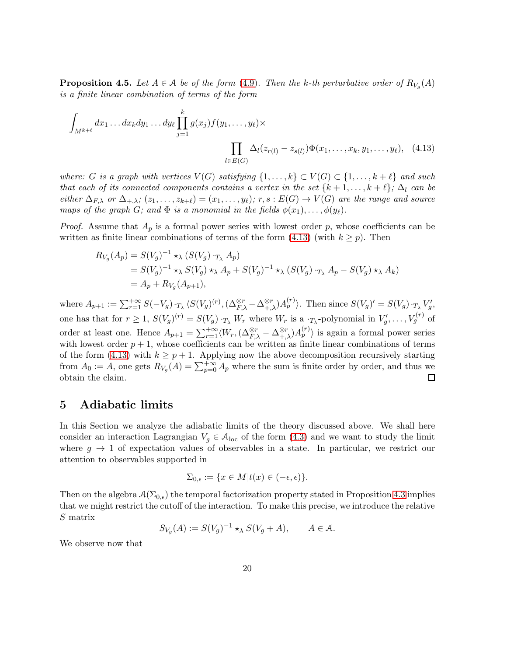<span id="page-19-2"></span>**Proposition 4.5.** Let  $A \in \mathcal{A}$  be of the form [\(4.9\)](#page-13-1). Then the k-th perturbative order of  $R_{V_g}(A)$ is a finite linear combination of terms of the form

$$
\int_{M^{k+\ell}} dx_1 \dots dx_k dy_1 \dots dy_\ell \prod_{j=1}^k g(x_j) f(y_1, \dots, y_\ell) \times \prod_{l \in E(G)} \Delta_l(z_{r(l)} - z_{s(l)}) \Phi(x_1, \dots, x_k, y_1, \dots, y_\ell), \quad (4.13)
$$

where: G is a graph with vertices  $V(G)$  satisfying  $\{1,\ldots,k\} \subset V(G) \subset \{1,\ldots,k+\ell\}$  and such that each of its connected components contains a vertex in the set  $\{k+1,\ldots,k+\ell\}$ ;  $\Delta_l$  can be either  $\Delta_{F,\lambda}$  or  $\Delta_{+,\lambda}$ ;  $(z_1,\ldots,z_{k+\ell})=(x_1,\ldots,y_\ell);$   $r,s:E(G)\to V(G)$  are the range and source maps of the graph G; and  $\Phi$  is a monomial in the fields  $\phi(x_1), \ldots, \phi(y_\ell)$ .

*Proof.* Assume that  $A_p$  is a formal power series with lowest order p, whose coefficients can be written as finite linear combinations of terms of the form  $(4.13)$  (with  $k \geq p$ ). Then

<span id="page-19-1"></span>
$$
R_{V_g}(A_p) = S(V_g)^{-1} \star_{\lambda} (S(V_g) \cdot_{T_{\lambda}} A_p)
$$
  
=  $S(V_g)^{-1} \star_{\lambda} S(V_g) \star_{\lambda} A_p + S(V_g)^{-1} \star_{\lambda} (S(V_g) \cdot_{T_{\lambda}} A_p - S(V_g) \star_{\lambda} A_k)$   
=  $A_p + R_{V_g}(A_{p+1}),$ 

where  $A_{p+1} := \sum_{r=1}^{+\infty} S(-V_g) \cdot_{T_{\lambda}} \langle S(V_g)^{(r)}, (\Delta_{F,\lambda}^{\otimes r} - \Delta_{+,\lambda}^{\otimes r}) A_p^{(r)} \rangle$ . Then since  $S(V_g)' = S(V_g) \cdot_{T_{\lambda}} V_g'$ , one has that for  $r \ge 1$ ,  $S(V_g)^{(r)} = S(V_g) \cdot_{T_\lambda} W_r$  where  $W_r$  is a  $\cdot_{T_\lambda}$ -polynomial in  $V'_g, \ldots, V_g^{(r)}$  of order at least one. Hence  $A_{p+1} = \sum_{r=1}^{+\infty} \langle W_r, (\Delta_{F,\lambda}^{\otimes r} - \Delta_{+,\lambda}^{\otimes r}) A_p^{(r)} \rangle$  is again a formal power series with lowest order  $p + 1$ , whose coefficients can be written as finite linear combinations of terms of the form [\(4.13\)](#page-19-1) with  $k \geq p+1$ . Applying now the above decomposition recursively starting from  $A_0 := A$ , one gets  $R_{V_g}(A) = \sum_{p=0}^{+\infty} A_p$  where the sum is finite order by order, and thus we obtain the claim.  $\Box$ 

#### <span id="page-19-0"></span>5 Adiabatic limits

In this Section we analyze the adiabatic limits of the theory discussed above. We shall here consider an interaction Lagrangian  $V_g \in \mathcal{A}_{loc}$  of the form [\(4.3\)](#page-11-3) and we want to study the limit where  $g \to 1$  of expectation values of observables in a state. In particular, we restrict our attention to observables supported in

$$
\Sigma_{0,\epsilon} := \{ x \in M | t(x) \in (-\epsilon, \epsilon) \}.
$$

Then on the algebra  $A(\Sigma_{0,\epsilon})$  the temporal factorization property stated in Proposition [4.3](#page-15-1) implies that we might restrict the cutoff of the interaction. To make this precise, we introduce the relative S matrix

$$
S_{V_g}(A) := S(V_g)^{-1} \star_{\lambda} S(V_g + A), \qquad A \in \mathcal{A}.
$$

We observe now that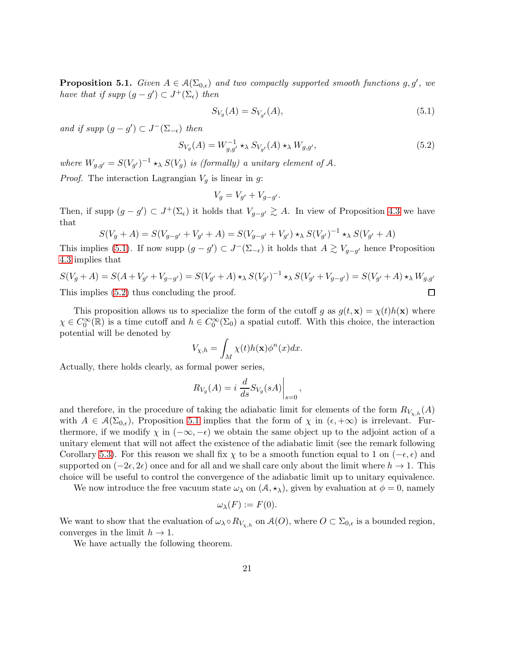<span id="page-20-2"></span>**Proposition 5.1.** Given  $A \in \mathcal{A}(\Sigma_{0,\epsilon})$  and two compactly supported smooth functions g, g', we have that if supp  $(g - g') \subset J^+(\Sigma_\epsilon)$  then

<span id="page-20-0"></span>
$$
S_{V_g}(A) = S_{V_{g'}}(A),\tag{5.1}
$$

and if supp  $(g - g') \subset J^-(\Sigma_{-\epsilon})$  then

<span id="page-20-1"></span>
$$
S_{V_g}(A) = W_{g,g'}^{-1} \star_{\lambda} S_{V_{g'}}(A) \star_{\lambda} W_{g,g'},
$$
\n
$$
(5.2)
$$

where  $W_{g,g'} = S(V_{g'})^{-1} \star_{\lambda} S(V_g)$  is (formally) a unitary element of A.

*Proof.* The interaction Lagrangian  $V_q$  is linear in g:

$$
V_g = V_{g'} + V_{g-g'}.
$$

Then, if supp  $(g - g') \subset J^+(\Sigma_\epsilon)$  it holds that  $V_{g-g'} \gtrsim A$ . In view of Proposition [4.3](#page-15-1) we have that

$$
S(V_g + A) = S(V_{g-g'} + V_{g'} + A) = S(V_{g-g'} + V_{g'}) \star_{\lambda} S(V_{g'})^{-1} \star_{\lambda} S(V_{g'} + A)
$$

This implies [\(5.1\)](#page-20-0). If now supp  $(g - g') \subset J^-(\Sigma_{-\epsilon})$  it holds that  $A \gtrsim V_{g-g'}$  hence Proposition [4.3](#page-15-1) implies that

$$
S(V_g + A) = S(A + V_{g'} + V_{g-g'}) = S(V_{g'} + A) \star_{\lambda} S(V_{g'})^{-1} \star_{\lambda} S(V_{g'} + V_{g-g'}) = S(V_{g'} + A) \star_{\lambda} W_{g,g'}
$$
  
This implies (5.2) thus concluding the proof.

This proposition allows us to specialize the form of the cutoff g as  $g(t, \mathbf{x}) = \chi(t)h(\mathbf{x})$  where  $\chi \in C_0^{\infty}(\mathbb{R})$  is a time cutoff and  $h \in C_0^{\infty}(\Sigma_0)$  a spatial cutoff. With this choice, the interaction potential will be denoted by

$$
V_{\chi,h} = \int_M \chi(t)h(\mathbf{x})\phi^n(x)dx.
$$

Actually, there holds clearly, as formal power series,

$$
R_{V_g}(A) = i \left. \frac{d}{ds} S_{V_g}(sA) \right|_{s=0},
$$

and therefore, in the procedure of taking the adiabatic limit for elements of the form  $R_{V_{\nu,h}}(A)$ with  $A \in \mathcal{A}(\Sigma_{0,\epsilon})$ , Proposition [5.1](#page-20-2) implies that the form of  $\chi$  in  $(\epsilon, +\infty)$  is irrelevant. Furthermore, if we modify  $\chi$  in  $(-\infty, -\epsilon)$  we obtain the same object up to the adjoint action of a unitary element that will not affect the existence of the adiabatic limit (see the remark following Corollary [5.3\)](#page-22-0). For this reason we shall fix  $\chi$  to be a smooth function equal to 1 on ( $-\epsilon, \epsilon$ ) and supported on  $(-2\epsilon, 2\epsilon)$  once and for all and we shall care only about the limit where  $h \to 1$ . This choice will be useful to control the convergence of the adiabatic limit up to unitary equivalence.

We now introduce the free vacuum state  $\omega_{\lambda}$  on  $(\mathcal{A}, \star_{\lambda})$ , given by evaluation at  $\phi = 0$ , namely

$$
\omega_{\lambda}(F) := F(0).
$$

We want to show that the evaluation of  $\omega_\lambda \circ R_{V_{\chi,h}}$  on  $\mathcal{A}(O)$ , where  $O \subset \Sigma_{0,\epsilon}$  is a bounded region, converges in the limit  $h \to 1$ .

We have actually the following theorem.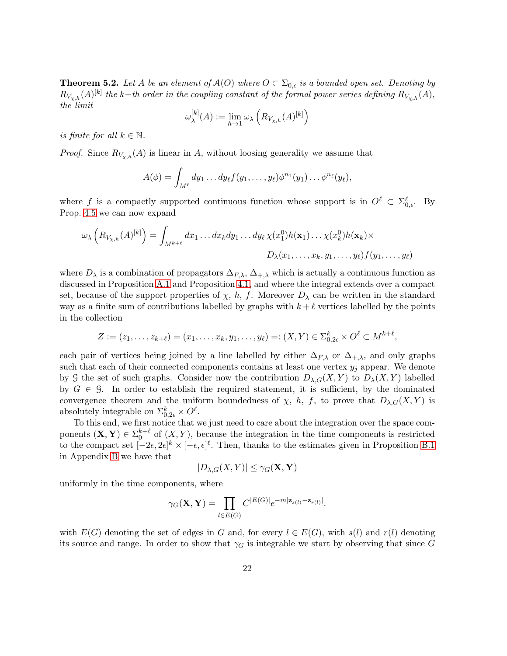<span id="page-21-0"></span>**Theorem 5.2.** Let A be an element of  $A(O)$  where  $O \subset \Sigma_{0,\epsilon}$  is a bounded open set. Denoting by  $R_{V_{\chi,h}}(A)^{[k]}$  the k-th order in the coupling constant of the formal power series defining  $R_{V_{\chi,h}}(A),$ the limit

$$
\omega_{\lambda}^{[k]}(A) := \lim_{h \to 1} \omega_{\lambda} \left( R_{V_{\chi,h}}(A)^{[k]} \right)
$$

is finite for all  $k \in \mathbb{N}$ .

*Proof.* Since  $R_{V_{\chi,h}}(A)$  is linear in A, without loosing generality we assume that

$$
A(\phi) = \int_{M^{\ell}} dy_1 \dots dy_{\ell} f(y_1, \dots, y_{\ell}) \phi^{n_1}(y_1) \dots \phi^{n_{\ell}}(y_{\ell}),
$$

where f is a compactly supported continuous function whose support is in  $O^{\ell} \subset \Sigma_{0,\epsilon}^{\ell}$ . By Prop. [4.5](#page-19-2) we can now expand

$$
\omega_{\lambda}\left(R_{V_{\chi,h}}(A)^{[k]}\right) = \int_{M^{k+\ell}} dx_1 \dots dx_k dy_1 \dots dy_{\ell} \chi(x_1^0) h(\mathbf{x}_1) \dots \chi(x_k^0) h(\mathbf{x}_k) \times
$$

$$
D_{\lambda}(x_1, \dots, x_k, y_1, \dots, y_{\ell}) f(y_1, \dots, y_{\ell})
$$

where  $D_\lambda$  is a combination of propagators  $\Delta_{F,\lambda}$ ,  $\Delta_{+\lambda}$  which is actually a continuous function as discussed in Proposition [A.1](#page-34-0) and Proposition [4.1,](#page-12-0) and where the integral extends over a compact set, because of the support properties of  $\chi$ , h, f. Moreover  $D_{\lambda}$  can be written in the standard way as a finite sum of contributions labelled by graphs with  $k + \ell$  vertices labelled by the points in the collection

$$
Z := (z_1, \dots, z_{k+\ell}) = (x_1, \dots, x_k, y_1, \dots, y_{\ell}) =: (X, Y) \in \Sigma_{0, 2\epsilon}^k \times O^{\ell} \subset M^{k+\ell},
$$

each pair of vertices being joined by a line labelled by either  $\Delta_{F,\lambda}$  or  $\Delta_{+,\lambda}$ , and only graphs such that each of their connected components contains at least one vertex  $y_j$  appear. We denote by G the set of such graphs. Consider now the contribution  $D_{\lambda,G}(X,Y)$  to  $D_{\lambda}(X,Y)$  labelled by  $G \in \mathcal{G}$ . In order to establish the required statement, it is sufficient, by the dominated convergence theorem and the uniform boundedness of  $\chi$ , h, f, to prove that  $D_{\lambda,G}(X, Y)$  is absolutely integrable on  $\Sigma_{0,2\epsilon}^k \times O^{\ell}$ .

To this end, we first notice that we just need to care about the integration over the space components  $(X, Y) \in \Sigma_0^{k+\ell}$  of  $(X, Y)$ , because the integration in the time components is restricted to the compact set  $[-2\epsilon, 2\epsilon]^k \times [-\epsilon, \epsilon]^{\ell}$ . Then, thanks to the estimates given in Proposition [B.1](#page-35-1) in Appendix [B](#page-35-0) we have that

$$
|D_{\lambda,G}(X,Y)| \leq \gamma_G(\mathbf{X},\mathbf{Y})
$$

uniformly in the time components, where

$$
\gamma_G(\mathbf{X}, \mathbf{Y}) = \prod_{l \in E(G)} C^{|E(G)|} e^{-m|\mathbf{z}_{s(l)} - \mathbf{z}_{r(l)}|}.
$$

with  $E(G)$  denoting the set of edges in G and, for every  $l \in E(G)$ , with  $s(l)$  and  $r(l)$  denoting its source and range. In order to show that  $\gamma_G$  is integrable we start by observing that since G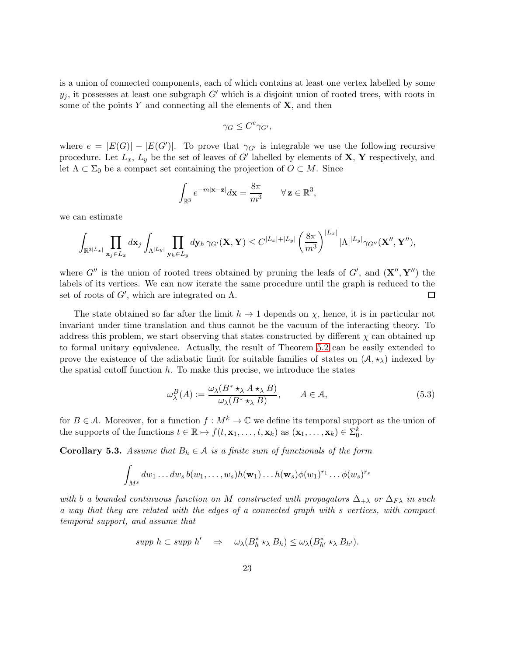is a union of connected components, each of which contains at least one vertex labelled by some  $y_i$ , it possesses at least one subgraph G' which is a disjoint union of rooted trees, with roots in some of the points Y and connecting all the elements of  $X$ , and then

$$
\gamma_G \leq C^e \gamma_{G'},
$$

where  $e = |E(G)| - |E(G')|$ . To prove that  $\gamma_{G'}$  is integrable we use the following recursive procedure. Let  $L_x$ ,  $L_y$  be the set of leaves of G' labelled by elements of  $X$ ,  $Y$  respectively, and let  $\Lambda \subset \Sigma_0$  be a compact set containing the projection of  $O \subset M$ . Since

$$
\int_{\mathbb{R}^3} e^{-m|\mathbf{x}-\mathbf{z}|} d\mathbf{x} = \frac{8\pi}{m^3} \qquad \forall \mathbf{z} \in \mathbb{R}^3,
$$

we can estimate

$$
\int_{\mathbb{R}^{3|L_x|}} \prod_{\mathbf{x}_j \in L_x} d\mathbf{x}_j \int_{\Lambda^{|L_y|}} \prod_{\mathbf{y}_h \in L_y} d\mathbf{y}_h \, \gamma_{G'}(\mathbf{X}, \mathbf{Y}) \leq C^{|L_x| + |L_y|} \left(\frac{8\pi}{m^3}\right)^{|L_x|} |\Lambda|^{|L_y|} \gamma_{G''}(\mathbf{X}'', \mathbf{Y}''),
$$

where  $G''$  is the union of rooted trees obtained by pruning the leafs of  $G'$ , and  $({\bf X}'',{\bf Y}'')$  the labels of its vertices. We can now iterate the same procedure until the graph is reduced to the set of roots of  $G'$ , which are integrated on  $\Lambda$ .  $\Box$ 

The state obtained so far after the limit  $h \to 1$  depends on  $\chi$ , hence, it is in particular not invariant under time translation and thus cannot be the vacuum of the interacting theory. To address this problem, we start observing that states constructed by different  $\chi$  can obtained up to formal unitary equivalence. Actually, the result of Theorem [5.2](#page-21-0) can be easily extended to prove the existence of the adiabatic limit for suitable families of states on  $(\mathcal{A}, \star_{\lambda})$  indexed by the spatial cutoff function  $h$ . To make this precise, we introduce the states

<span id="page-22-1"></span>
$$
\omega_{\lambda}^{B}(A) := \frac{\omega_{\lambda}(B^* \star_{\lambda} A \star_{\lambda} B)}{\omega_{\lambda}(B^* \star_{\lambda} B)}, \qquad A \in \mathcal{A}, \tag{5.3}
$$

for  $B \in \mathcal{A}$ . Moreover, for a function  $f : M^k \to \mathbb{C}$  we define its temporal support as the union of the supports of the functions  $t \in \mathbb{R} \mapsto f(t, \mathbf{x}_1, \dots, t, \mathbf{x}_k)$  as  $(\mathbf{x}_1, \dots, \mathbf{x}_k) \in \Sigma_0^k$ .

<span id="page-22-0"></span>Corollary 5.3. Assume that  $B_h \in \mathcal{A}$  is a finite sum of functionals of the form

$$
\int_{M^s} dw_1 \dots dw_s b(w_1, \dots, w_s) h(\mathbf{w}_1) \dots h(\mathbf{w}_s) \phi(w_1)^{r_1} \dots \phi(w_s)^{r_s}
$$

with b a bounded continuous function on M constructed with propagators  $\Delta_{+\lambda}$  or  $\Delta_{F\lambda}$  in such a way that they are related with the edges of a connected graph with s vertices, with compact temporal support, and assume that

$$
supp h \subset supp h' \quad \Rightarrow \quad \omega_{\lambda}(B_h^* \star_{\lambda} B_h) \leq \omega_{\lambda}(B_{h'}^* \star_{\lambda} B_{h'}).
$$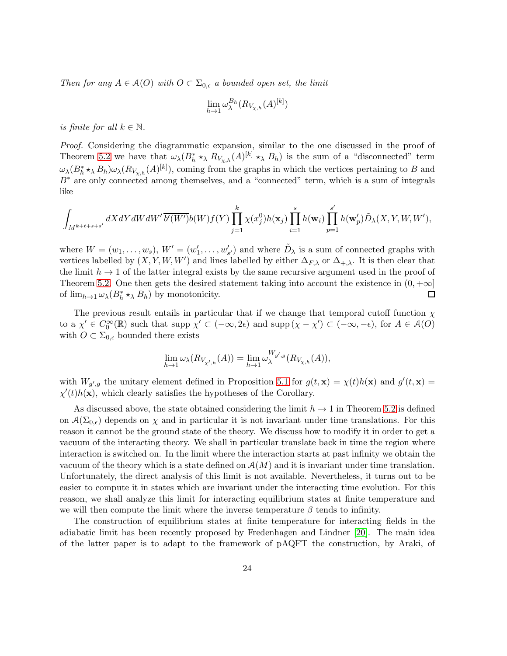Then for any  $A \in \mathcal{A}(O)$  with  $O \subset \Sigma_{0,\epsilon}$  a bounded open set, the limit

$$
\lim_{h \to 1} \omega_{\lambda}^{B_h}(R_{V_{\chi,h}}(A)^{[k]})
$$

is finite for all  $k \in \mathbb{N}$ .

Proof. Considering the diagrammatic expansion, similar to the one discussed in the proof of Theorem [5.2](#page-21-0) we have that  $\omega_{\lambda}(B_h^* \star_{\lambda} R_{V_{\chi,h}}(A)^{[k]} \star_{\lambda} B_h)$  is the sum of a "disconnected" term  $\omega_{\lambda}(B_h^* \star_{\lambda} B_h) \omega_{\lambda}(R_{V_{\chi,h}}(A)^{[k]})$ , coming from the graphs in which the vertices pertaining to B and B∗ are only connected among themselves, and a "connected" term, which is a sum of integrals like

$$
\int_{M^{k+\ell+s+s'}} dX dY dW dW' \overline{b'(W')} b(W) f(Y) \prod_{j=1}^k \chi(x_j^0) h(\mathbf{x}_j) \prod_{i=1}^s h(\mathbf{w}_i) \prod_{p=1}^{s'} h(\mathbf{w}'_p) \tilde{D}_{\lambda}(X,Y,W,W'),
$$

where  $W = (w_1, \ldots, w_s)$ ,  $W' = (w'_1, \ldots, w'_{s'})$  and where  $\tilde{D}_{\lambda}$  is a sum of connected graphs with vertices labelled by  $(X, Y, W, W')$  and lines labelled by either  $\Delta_{F,\lambda}$  or  $\Delta_{+,\lambda}$ . It is then clear that the limit  $h \to 1$  of the latter integral exists by the same recursive argument used in the proof of Theorem [5.2.](#page-21-0) One then gets the desired statement taking into account the existence in  $(0, +\infty]$ <br>of  $\lim_{h\to 1} \omega_{\lambda}(B_{h}^{*} \star_{\lambda} B_{h})$  by monotonicity. of  $\lim_{h\to 1}\omega_{\lambda}(B_h^*\star_{\lambda} B_h)$  by monotonicity.

The previous result entails in particular that if we change that temporal cutoff function  $\chi$ to a  $\chi' \in C_0^{\infty}(\mathbb{R})$  such that supp  $\chi' \subset (-\infty, 2\epsilon)$  and supp  $(\chi - \chi') \subset (-\infty, -\epsilon)$ , for  $A \in \mathcal{A}(O)$ with  $O \subset \Sigma_{0,\epsilon}$  bounded there exists

$$
\lim_{h \to 1} \omega_{\lambda}(R_{V_{\chi',h}}(A)) = \lim_{h \to 1} \omega_{\lambda}^{W_{g',g}}(R_{V_{\chi,h}}(A)),
$$

with  $W_{g',g}$  the unitary element defined in Proposition [5.1](#page-20-2) for  $g(t, \mathbf{x}) = \chi(t)h(\mathbf{x})$  and  $g'(t, \mathbf{x}) =$  $\chi'(t)h(\mathbf{x})$ , which clearly satisfies the hypotheses of the Corollary.

As discussed above, the state obtained considering the limit  $h \to 1$  in Theorem [5.2](#page-21-0) is defined on  $\mathcal{A}(\Sigma_{0,\epsilon})$  depends on  $\chi$  and in particular it is not invariant under time translations. For this reason it cannot be the ground state of the theory. We discuss how to modify it in order to get a vacuum of the interacting theory. We shall in particular translate back in time the region where interaction is switched on. In the limit where the interaction starts at past infinity we obtain the vacuum of the theory which is a state defined on  $A(M)$  and it is invariant under time translation. Unfortunately, the direct analysis of this limit is not available. Nevertheless, it turns out to be easier to compute it in states which are invariant under the interacting time evolution. For this reason, we shall analyze this limit for interacting equilibrium states at finite temperature and we will then compute the limit where the inverse temperature  $\beta$  tends to infinity.

The construction of equilibrium states at finite temperature for interacting fields in the adiabatic limit has been recently proposed by Fredenhagen and Lindner [\[20\]](#page-44-11). The main idea of the latter paper is to adapt to the framework of pAQFT the construction, by Araki, of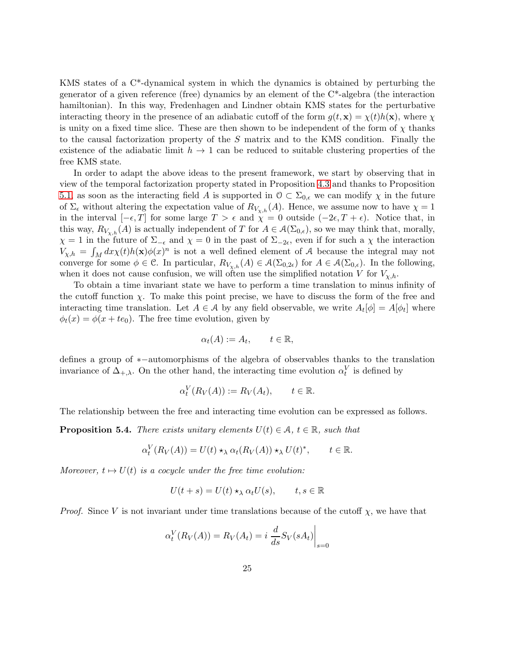KMS states of a C\*-dynamical system in which the dynamics is obtained by perturbing the generator of a given reference (free) dynamics by an element of the C\*-algebra (the interaction hamiltonian). In this way, Fredenhagen and Lindner obtain KMS states for the perturbative interacting theory in the presence of an adiabatic cutoff of the form  $g(t, \mathbf{x}) = \chi(t)h(\mathbf{x})$ , where  $\chi$ is unity on a fixed time slice. These are then shown to be independent of the form of  $\chi$  thanks to the causal factorization property of the S matrix and to the KMS condition. Finally the existence of the adiabatic limit  $h \to 1$  can be reduced to suitable clustering properties of the free KMS state.

In order to adapt the above ideas to the present framework, we start by observing that in view of the temporal factorization property stated in Proposition [4.3](#page-15-1) and thanks to Proposition [5.1,](#page-20-2) as soon as the interacting field A is supported in  $\mathcal{O} \subset \Sigma_{0,\epsilon}$  we can modify  $\chi$  in the future of  $\Sigma_{\epsilon}$  without altering the expectation value of  $R_{V_{\chi,h}}(A)$ . Hence, we assume now to have  $\chi=1$ in the interval  $[-\epsilon, T]$  for some large  $T > \epsilon$  and  $\chi = 0$  outside  $(-2\epsilon, T + \epsilon)$ . Notice that, in this way,  $R_{V_{\chi,h}}(A)$  is actually independent of T for  $A \in \mathcal{A}(\Sigma_{0,\epsilon})$ , so we may think that, morally,  $\chi = 1$  in the future of  $\Sigma_{-\epsilon}$  and  $\chi = 0$  in the past of  $\Sigma_{-2\epsilon}$ , even if for such a  $\chi$  the interaction  $V_{\chi,h} = \int_M dx \chi(t)h(\mathbf{x})\phi(x)^n$  is not a well defined element of A because the integral may not converge for some  $\phi \in \mathcal{C}$ . In particular,  $R_{V_{\chi,h}}(A) \in \mathcal{A}(\Sigma_{0,2\epsilon})$  for  $A \in \mathcal{A}(\Sigma_{0,\epsilon})$ . In the following, when it does not cause confusion, we will often use the simplified notation V for  $V_{\chi,h}$ .

To obtain a time invariant state we have to perform a time translation to minus infinity of the cutoff function  $\chi$ . To make this point precise, we have to discuss the form of the free and interacting time translation. Let  $A \in \mathcal{A}$  by any field observable, we write  $A_t[\phi] = A[\phi_t]$  where  $\phi_t(x) = \phi(x + te_0)$ . The free time evolution, given by

$$
\alpha_t(A) := A_t, \qquad t \in \mathbb{R},
$$

defines a group of ∗−automorphisms of the algebra of observables thanks to the translation invariance of  $\Delta_{+,\lambda}$ . On the other hand, the interacting time evolution  $\alpha_t^V$  is defined by

$$
\alpha_t^V(R_V(A)) := R_V(A_t), \qquad t \in \mathbb{R}.
$$

The relationship between the free and interacting time evolution can be expressed as follows.

**Proposition 5.4.** There exists unitary elements  $U(t) \in \mathcal{A}$ ,  $t \in \mathbb{R}$ , such that

$$
\alpha_t^V(R_V(A)) = U(t) \star_\lambda \alpha_t(R_V(A)) \star_\lambda U(t)^*, \qquad t \in \mathbb{R}.
$$

Moreover,  $t \mapsto U(t)$  is a cocycle under the free time evolution:

$$
U(t+s)=U(t)\star_{\lambda} \alpha_t U(s), \qquad t,s\in \mathbb{R}
$$

*Proof.* Since V is not invariant under time translations because of the cutoff  $\chi$ , we have that

$$
\alpha_t^V(R_V(A)) = R_V(A_t) = i \left. \frac{d}{ds} S_V(sA_t) \right|_{s=0}
$$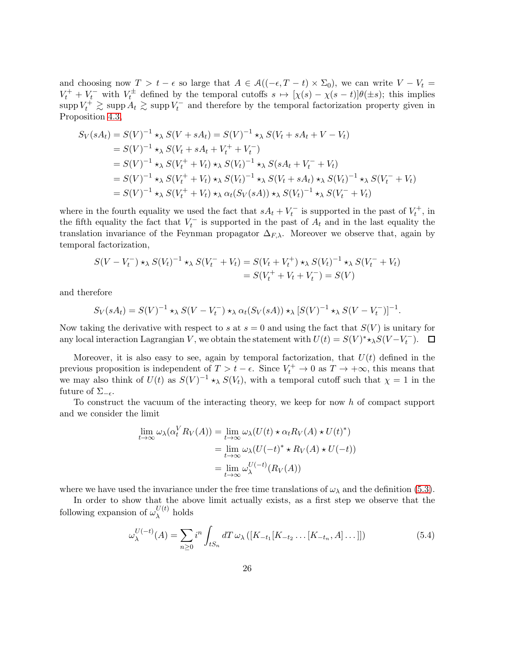and choosing now  $T > t - \epsilon$  so large that  $A \in \mathcal{A}((-\epsilon, T - t) \times \Sigma_0)$ , we can write  $V - V_t =$  $V_t^+ + V_t^-$  with  $V_t^{\pm}$  defined by the temporal cutoffs  $s \mapsto [\chi(s) - \chi(s-t)]\theta(\pm s)$ ; this implies  $\sup p V_t^+ \gtrsim \sup p A_t \gtrsim \sup p V_t^-$  and therefore by the temporal factorization property given in Proposition [4.3,](#page-15-1)

$$
S_V(sA_t) = S(V)^{-1} \star_{\lambda} S(V + sA_t) = S(V)^{-1} \star_{\lambda} S(V_t + sA_t + V - V_t)
$$
  
=  $S(V)^{-1} \star_{\lambda} S(V_t + sA_t + V_t^+ + V_t^-)$   
=  $S(V)^{-1} \star_{\lambda} S(V_t^+ + V_t) \star_{\lambda} S(V_t)^{-1} \star_{\lambda} S(sA_t + V_t^- + V_t)$   
=  $S(V)^{-1} \star_{\lambda} S(V_t^+ + V_t) \star_{\lambda} S(V_t)^{-1} \star_{\lambda} S(V_t + sA_t) \star_{\lambda} S(V_t)^{-1} \star_{\lambda} S(V_t^- + V_t)$   
=  $S(V)^{-1} \star_{\lambda} S(V_t^+ + V_t) \star_{\lambda} \alpha_t (S_V(sA)) \star_{\lambda} S(V_t)^{-1} \star_{\lambda} S(V_t^- + V_t)$ 

where in the fourth equality we used the fact that  $sA_t + V_t^-$  is supported in the past of  $V_t^+$ , in the fifth equality the fact that  $V_t^-$  is supported in the past of  $A_t$  and in the last equality the translation invariance of the Feynman propagator  $\Delta_{F,\lambda}$ . Moreover we observe that, again by temporal factorization,

$$
S(V - V_t^-) \star_{\lambda} S(V_t)^{-1} \star_{\lambda} S(V_t^- + V_t) = S(V_t + V_t^+) \star_{\lambda} S(V_t)^{-1} \star_{\lambda} S(V_t^- + V_t)
$$
  
=  $S(V_t^+ + V_t + V_t^-) = S(V)$ 

and therefore

$$
S_V(sA_t) = S(V)^{-1} \star_{\lambda} S(V - V_t^-) \star_{\lambda} \alpha_t(S_V(sA)) \star_{\lambda} [S(V)^{-1} \star_{\lambda} S(V - V_t^-)]^{-1}.
$$

Now taking the derivative with respect to s at  $s = 0$  and using the fact that  $S(V)$  is unitary for any local interaction Lagrangian V, we obtain the statement with  $U(t) = S(V)^* \star_{\lambda} S(V - V_t^{-})$ .

Moreover, it is also easy to see, again by temporal factorization, that  $U(t)$  defined in the previous proposition is independent of  $T > t - \epsilon$ . Since  $V_t^+ \to 0$  as  $T \to +\infty$ , this means that we may also think of  $U(t)$  as  $S(V)^{-1} \star_{\lambda} S(V_t)$ , with a temporal cutoff such that  $\chi = 1$  in the future of  $\Sigma_{-\epsilon}$ .

To construct the vacuum of the interacting theory, we keep for now h of compact support and we consider the limit

$$
\lim_{t \to \infty} \omega_{\lambda}(\alpha_t^V R_V(A)) = \lim_{t \to \infty} \omega_{\lambda}(U(t) \star \alpha_t R_V(A) \star U(t)^*)
$$
  
= 
$$
\lim_{t \to \infty} \omega_{\lambda}(U(-t)^* \star R_V(A) \star U(-t))
$$
  
= 
$$
\lim_{t \to \infty} \omega_{\lambda}^{U(-t)}(R_V(A))
$$

where we have used the invariance under the free time translations of  $\omega_{\lambda}$  and the definition [\(5.3\)](#page-22-1).

In order to show that the above limit actually exists, as a first step we observe that the following expansion of  $\omega_{\lambda}^{U(t)}$  $\lambda^{\nu(\nu)}$  holds

<span id="page-25-0"></span>
$$
\omega_{\lambda}^{U(-t)}(A) = \sum_{n\geq 0} i^n \int_{tS_n} dT \,\omega_{\lambda} \left( [K_{-t_1}[K_{-t_2}\dots[K_{-t_n}, A] \dots]] \right) \tag{5.4}
$$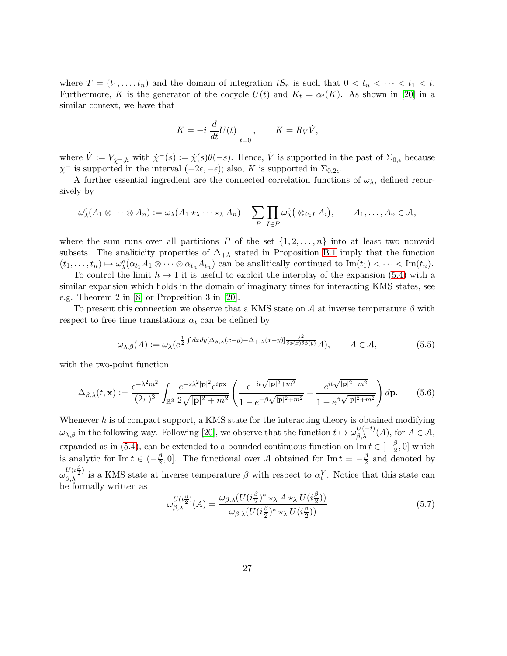where  $T = (t_1, \ldots, t_n)$  and the domain of integration  $tS_n$  is such that  $0 < t_n < \cdots < t_1 < t$ . Furthermore, K is the generator of the cocycle  $U(t)$  and  $K_t = \alpha_t(K)$ . As shown in [\[20\]](#page-44-11) in a similar context, we have that

$$
K = -i \left. \frac{d}{dt} U(t) \right|_{t=0}, \qquad K = R_V \dot{V},
$$

where  $\dot{V} := V_{\dot{\chi}^-,h}$  with  $\dot{\chi}^-(s) := \dot{\chi}(s)\theta(-s)$ . Hence,  $\dot{V}$  is supported in the past of  $\Sigma_{0,\epsilon}$  because  $\dot{\chi}^-$  is supported in the interval  $(-2\epsilon, -\epsilon)$ ; also, K is supported in  $\Sigma_{0,2\epsilon}$ .

A further essential ingredient are the connected correlation functions of  $\omega_{\lambda}$ , defined recursively by

$$
\omega_{\lambda}^{c}(A_1 \otimes \cdots \otimes A_n) := \omega_{\lambda}(A_1 \star_{\lambda} \cdots \star_{\lambda} A_n) - \sum_{P} \prod_{I \in P} \omega_{\lambda}^{c}(\otimes_{i \in I} A_i), \qquad A_1, \ldots, A_n \in \mathcal{A},
$$

where the sum runs over all partitions P of the set  $\{1, 2, \ldots, n\}$  into at least two nonvoid subsets. The analiticity properties of  $\Delta_{+\lambda}$  stated in Proposition [B.1](#page-35-1) imply that the function  $(t_1,\ldots,t_n)\mapsto\omega_\lambda^c(\alpha_{t_1}A_1\otimes\cdots\otimes\alpha_{t_n}A_{t_n})$  can be analitically continued to  $\text{Im}(t_1)<\cdots<\text{Im}(t_n)$ .

To control the limit  $h \to 1$  it is useful to exploit the interplay of the expansion [\(5.4\)](#page-25-0) with a similar expansion which holds in the domain of imaginary times for interacting KMS states, see e.g. Theorem 2 in [\[8\]](#page-43-13) or Proposition 3 in [\[20\]](#page-44-11).

To present this connection we observe that a KMS state on A at inverse temperature  $\beta$  with respect to free time translations  $\alpha_t$  can be defined by

<span id="page-26-1"></span>
$$
\omega_{\lambda,\beta}(A) := \omega_{\lambda}(e^{\frac{1}{2}\int dxdy[\Delta_{\beta,\lambda}(x-y) - \Delta_{+,\lambda}(x-y)]\frac{\delta^2}{\delta\phi(x)\delta\phi(y)}A}, \qquad A \in \mathcal{A}, \tag{5.5}
$$

with the two-point function

<span id="page-26-0"></span>
$$
\Delta_{\beta,\lambda}(t,\mathbf{x}) := \frac{e^{-\lambda^2 m^2}}{(2\pi)^3} \int_{\mathbb{R}^3} \frac{e^{-2\lambda^2 |\mathbf{p}|^2} e^{i \mathbf{p} \mathbf{x}}}{2\sqrt{|\mathbf{p}|^2 + m^2}} \left( \frac{e^{-it\sqrt{|\mathbf{p}|^2 + m^2}}}{1 - e^{-\beta\sqrt{|\mathbf{p}|^2 + m^2}}} - \frac{e^{it\sqrt{|\mathbf{p}|^2 + m^2}}}{1 - e^{\beta\sqrt{|\mathbf{p}|^2 + m^2}}} \right) d\mathbf{p}.
$$
 (5.6)

Whenever  $h$  is of compact support, a KMS state for the interacting theory is obtained modifying  $\omega_{\lambda,\beta}$  in the following way. Following [\[20\]](#page-44-11), we observe that the function  $t \mapsto \omega_{\beta,\lambda}^{U(-t)}(A)$ , for  $A \in \mathcal{A}$ , expanded as in [\(5.4\)](#page-25-0), can be extended to a bounded continuous function on  $\text{Im } t \in \left[-\frac{\beta}{2}\right]$  $\frac{\beta}{2}$ , 0] which is analytic for Im  $t \in \left(-\frac{\beta}{2}\right)$  $(\frac{\beta}{2}, 0]$ . The functional over A obtained for Im  $t = -\frac{\beta}{2}$  $\frac{\beta}{2}$  and denoted by  $\omega_{\beta,\lambda}^{U(i\frac{\beta}{2})}$  is a KMS state at inverse temperature  $\beta$  with respect to  $\alpha_t^V$ . Notice that this state can be formally written as

<span id="page-26-2"></span>
$$
\omega_{\beta,\lambda}^{U(i\frac{\beta}{2})}(A) = \frac{\omega_{\beta,\lambda}(U(i\frac{\beta}{2})^* \star_{\lambda} A \star_{\lambda} U(i\frac{\beta}{2}))}{\omega_{\beta,\lambda}(U(i\frac{\beta}{2})^* \star_{\lambda} U(i\frac{\beta}{2}))}
$$
(5.7)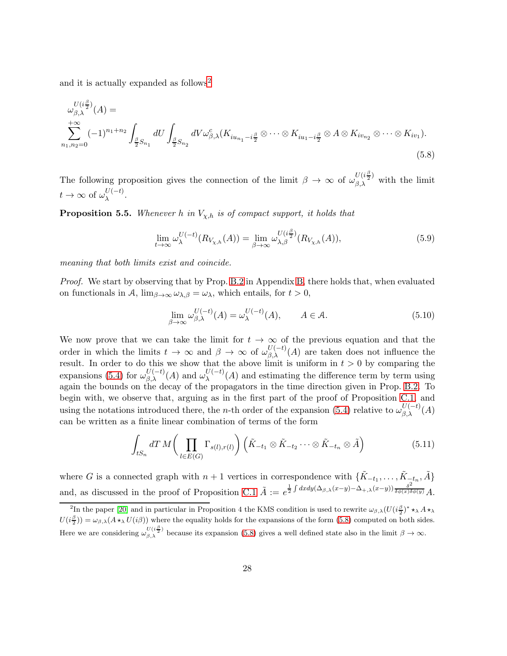and it is actually expanded as follows<sup>[2](#page-27-0)</sup>

$$
\omega_{\beta,\lambda}^{U(i\frac{\beta}{2})}(A) =
$$
  
\n
$$
\sum_{n_1,n_2=0}^{+\infty} (-1)^{n_1+n_2} \int_{\frac{\beta}{2}S_{n_1}} dU \int_{\frac{\beta}{2}S_{n_2}} dV \omega_{\beta,\lambda}^c(K_{iu_{n_1}-i\frac{\beta}{2}} \otimes \cdots \otimes K_{iu_1-i\frac{\beta}{2}} \otimes A \otimes K_{iv_{n_2}} \otimes \cdots \otimes K_{iv_1}).
$$
\n(5.8)

The following proposition gives the connection of the limit  $\beta \to \infty$  of  $\omega_{\beta,\lambda}^{U(i\frac{\beta}{2})}$  with the limit  $t \to \infty$  of  $\omega_{\lambda}^{U(-t)}$ .

<span id="page-27-5"></span>**Proposition 5.5.** Whenever h in  $V_{\chi,h}$  is of compact support, it holds that

<span id="page-27-4"></span><span id="page-27-1"></span>
$$
\lim_{t \to \infty} \omega_{\lambda}^{U(-t)}(R_{V_{\chi,h}}(A)) = \lim_{\beta \to \infty} \omega_{\lambda,\beta}^{U(i\frac{\beta}{2})}(R_{V_{\chi,h}}(A)),
$$
\n(5.9)

meaning that both limits exist and coincide.

Proof. We start by observing that by Prop. [B.2](#page-36-0) in Appendix [B,](#page-35-0) there holds that, when evaluated on functionals in A,  $\lim_{\beta\to\infty} \omega_{\lambda,\beta} = \omega_{\lambda}$ , which entails, for  $t > 0$ ,

<span id="page-27-3"></span>
$$
\lim_{\beta \to \infty} \omega_{\beta,\lambda}^{U(-t)}(A) = \omega_{\lambda}^{U(-t)}(A), \qquad A \in \mathcal{A}.
$$
\n(5.10)

We now prove that we can take the limit for  $t \to \infty$  of the previous equation and that the order in which the limits  $t \to \infty$  and  $\beta \to \infty$  of  $\omega_{\beta,\lambda}^{U(-t)}(A)$  are taken does not influence the result. In order to do this we show that the above limit is uniform in  $t > 0$  by comparing the expansions [\(5.4\)](#page-25-0) for  $\omega_{\beta,\lambda}^{U(-t)}(A)$  and  $\omega_{\lambda}^{U(-t)}(A)$  and estimating the difference term by term using again the bounds on the decay of the propagators in the time direction given in Prop. [B.2.](#page-36-0) To begin with, we observe that, arguing as in the first part of the proof of Proposition [C.1,](#page-39-0) and using the notations introduced there, the *n*-th order of the expansion [\(5.4\)](#page-25-0) relative to  $\omega_{\beta,\lambda}^{U(-t)}(A)$ can be written as a finite linear combination of terms of the form

<span id="page-27-2"></span>
$$
\int_{tS_n} dT M \bigg( \prod_{l \in E(G)} \Gamma_{s(l),r(l)} \bigg) \left( \tilde{K}_{-t_1} \otimes \tilde{K}_{-t_2} \cdots \otimes \tilde{K}_{-t_n} \otimes \tilde{A} \right) \tag{5.11}
$$

where G is a connected graph with  $n+1$  vertices in correspondence with  $\{\tilde{K}_{-t_1}, \ldots, \tilde{K}_{-t_n}, \tilde{A}\}$ and, as discussed in the proof of Proposition [C.1](#page-39-0)  $\tilde{A} := e^{\frac{1}{2}\int dx dy (\Delta_{\beta,\lambda}(x-y) - \Delta_{+,\lambda}(x-y)) \frac{\delta^2}{\delta \phi(x)\delta \phi(y)}} A$ .

<span id="page-27-0"></span><sup>&</sup>lt;sup>2</sup>In the paper [\[20\]](#page-44-11) and in particular in Proposition 4 the KMS condition is used to rewrite  $\omega_{\beta,\lambda}(U(i\frac{\beta}{2})^* \star_{\lambda} A \star_{\lambda} A)$  $U(i\frac{\beta}{2}) = \omega_{\beta,\lambda}(A\star_{\lambda}U(i\beta))$  where the equality holds for the expansions of the form [\(5.8\)](#page-27-1) computed on both sides. Here we are considering  $\omega_{\beta,\lambda}^{U(i\frac{\beta}{2})}$  because its expansion [\(5.8\)](#page-27-1) gives a well defined state also in the limit  $\beta \to \infty$ .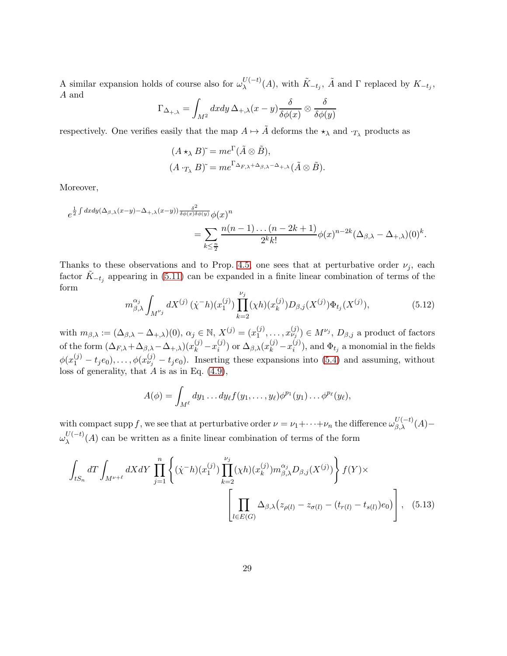A similar expansion holds of course also for  $\omega_{\lambda}^{U(-t)}(A)$ , with  $\tilde{K}_{-t_j}$ ,  $\tilde{A}$  and  $\Gamma$  replaced by  $K_{-t_j}$ , A and

$$
\Gamma_{\Delta_{+,\lambda}} = \int_{M^2} dx dy \, \Delta_{+,\lambda}(x-y) \frac{\delta}{\delta \phi(x)} \otimes \frac{\delta}{\delta \phi(y)}
$$

respectively. One verifies easily that the map  $A \mapsto \tilde{A}$  deforms the  $\star_{\lambda}$  and  $\cdot_{T_{\lambda}}$  products as

$$
(A \star_{\lambda} B)^{\tilde{}} = me^{\Gamma}(\tilde{A} \otimes \tilde{B}),
$$
  

$$
(A \cdot_{T_{\lambda}} B)^{\tilde{}} = me^{\Gamma_{\Delta_{F,\lambda}+\Delta_{\beta,\lambda}-\Delta_{+,\lambda}}}(\tilde{A} \otimes \tilde{B}).
$$

Moreover,

$$
e^{\frac{1}{2}\int dx dy (\Delta_{\beta,\lambda}(x-y)-\Delta_{+,\lambda}(x-y))\frac{\delta^2}{\delta\phi(x)\delta\phi(y)}\phi(x)^n}
$$
  
= 
$$
\sum_{k\leq \frac{n}{2}} \frac{n(n-1)\dots(n-2k+1)}{2^k k!} \phi(x)^{n-2k} (\Delta_{\beta,\lambda}-\Delta_{+,\lambda})(0)^k.
$$

Thanks to these observations and to Prop. [4.5,](#page-19-2) one sees that at perturbative order  $\nu_i$ , each factor  $\tilde{K}_{-t_j}$  appearing in [\(5.11\)](#page-27-2) can be expanded in a finite linear combination of terms of the form

<span id="page-28-1"></span>
$$
m_{\beta,\lambda}^{\alpha_j} \int_{M^{\nu_j}} dX^{(j)}(\dot{\chi}^{-}h)(x_1^{(j)}) \prod_{k=2}^{\nu_j} (\chi h)(x_k^{(j)}) D_{\beta,j}(X^{(j)}) \Phi_{t_j}(X^{(j)}), \tag{5.12}
$$

with  $m_{\beta,\lambda} := (\Delta_{\beta,\lambda} - \Delta_{+,\lambda})(0), \ \alpha_j \in \mathbb{N}, X^{(j)} = (x_1^{(j)})$  $\{(\phi_1^{(j)}, \ldots, \phi_{\nu_j}^{(j)}) \in M^{\nu_j}, D_{\beta, j} \text{ a product of factors}$ of the form  $(\Delta_{F,\lambda} + \Delta_{\beta,\lambda} - \Delta_{+,\lambda})(x_k^{(j)} - x_i^{(j)})$  $\lambda_i^{(j)}$ ) or  $\Delta_{\beta,\lambda}(x_k^{(j)}-x_i^{(j)})$  $\hat{\Phi}_{t_i}^{(j)}$ , and  $\Phi_{t_j}$  a monomial in the fields  $\phi(x_1^{(j)} - t_j e_0), \ldots, \phi(x_{\nu_j}^{(j)} - t_j e_0)$ . Inserting these expansions into [\(5.4\)](#page-25-0) and assuming, without loss of generality, that  $\ddot{A}$  is as in Eq. [\(4.9\)](#page-13-1),

<span id="page-28-0"></span>
$$
A(\phi) = \int_{M^{\ell}} dy_1 \dots dy_{\ell} f(y_1, \dots, y_{\ell}) \phi^{p_1}(y_1) \dots \phi^{p_{\ell}}(y_{\ell}),
$$

with compact supp f, we see that at perturbative order  $\nu = \nu_1 + \cdots + \nu_n$  the difference  $\omega_{\beta,\lambda}^{U(-t)}(A)$  $\omega_{\lambda}^{U(-t)}(A)$  can be written as a finite linear combination of terms of the form

$$
\int_{tS_n} dT \int_{M^{\nu+\ell}} dX dY \prod_{j=1}^n \left\{ (\dot{\chi}^- h)(x_1^{(j)}) \prod_{k=2}^{\nu_j} (\chi h)(x_k^{(j)}) m_{\beta,\lambda}^{\alpha_j} D_{\beta,j}(X^{(j)}) \right\} f(Y) \times \left[ \prod_{l \in E(G)} \Delta_{\beta,\lambda} (z_{\rho(l)} - z_{\sigma(l)} - (t_{r(l)} - t_{s(l)}) e_0) \right], \quad (5.13)
$$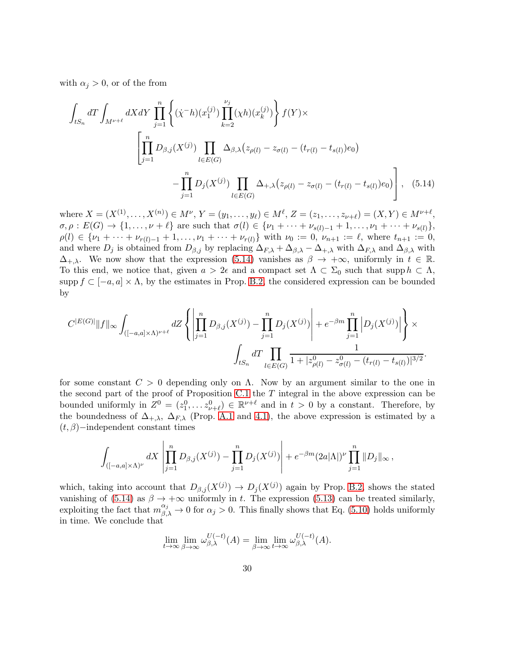with  $\alpha_i > 0$ , or of the from

<span id="page-29-0"></span>
$$
\int_{tS_n} dT \int_{M^{\nu+\ell}} dX dY \prod_{j=1}^n \left\{ (\dot{\chi}^- h)(x_1^{(j)}) \prod_{k=2}^{\nu_j} (\chi h)(x_k^{(j)}) \right\} f(Y) \times
$$
\n
$$
\left[ \prod_{j=1}^n D_{\beta,j}(X^{(j)}) \prod_{l \in E(G)} \Delta_{\beta,\lambda} (z_{\rho(l)} - z_{\sigma(l)} - (t_{r(l)} - t_{s(l)}) e_0) - \prod_{j=1}^n D_j(X^{(j)}) \prod_{l \in E(G)} \Delta_{+,\lambda} (z_{\rho(l)} - z_{\sigma(l)} - (t_{r(l)} - t_{s(l)}) e_0) \right], \quad (5.14)
$$

where  $X = (X^{(1)}, \ldots, X^{(n)}) \in M^{\nu}, Y = (y_1, \ldots, y_{\ell}) \in M^{\ell}, Z = (z_1, \ldots, z_{\nu+\ell}) = (X, Y) \in M^{\nu+\ell},$  $\sigma, \rho : E(G) \to \{1, \ldots, \nu + \ell\}$  are such that  $\sigma(l) \in \{\nu_1 + \cdots + \nu_{s(l)-1} + 1, \ldots, \nu_1 + \cdots + \nu_{s(l)}\},\$  $\rho(l) \in \{\nu_1 + \cdots + \nu_{r(l)-1} + 1, \ldots, \nu_1 + \cdots + \nu_{r(l)}\}$  with  $\nu_0 := 0$ ,  $\nu_{n+1} := \ell$ , where  $t_{n+1} := 0$ , and where  $D_j$  is obtained from  $D_{\beta,j}$  by replacing  $\Delta_{F,\lambda} + \Delta_{\beta,\lambda} - \Delta_{+,\lambda}$  with  $\Delta_{F,\lambda}$  and  $\Delta_{\beta,\lambda}$  with  $\Delta_{+,\lambda}$ . We now show that the expression [\(5.14\)](#page-29-0) vanishes as  $\beta \to +\infty$ , uniformly in  $t \in \mathbb{R}$ . To this end, we notice that, given  $a > 2\epsilon$  and a compact set  $\Lambda \subset \Sigma_0$  such that supp  $h \subset \Lambda$ , supp  $f \subset [-a, a] \times \Lambda$ , by the estimates in Prop. [B.2,](#page-36-0) the considered expression can be bounded by

$$
C^{|E(G)|} \|f\|_{\infty} \int_{([-a,a] \times \Lambda)^{\nu+\ell}} dZ \left\{ \left| \prod_{j=1}^{n} D_{\beta,j}(X^{(j)}) - \prod_{j=1}^{n} D_j(X^{(j)}) \right| + e^{-\beta m} \prod_{j=1}^{n} \left| D_j(X^{(j)}) \right| \right\} \times \\ \int_{tS_n} dT \prod_{l \in E(G)} \frac{1}{1 + |z_{\rho(l)}^0 - z_{\sigma(l)}^0 - (t_{r(l)} - t_{s(l)})|^{3/2}}.
$$

for some constant  $C > 0$  depending only on  $\Lambda$ . Now by an argument similar to the one in the second part of the proof of Proposition [C.1](#page-39-0) the  $T$  integral in the above expression can be bounded uniformly in  $Z^0 = (z_1^0, \ldots z_{\nu+\ell}^0) \in \mathbb{R}^{\nu+\ell}$  and in  $t > 0$  by a constant. Therefore, by the boundedness of  $\Delta_{+,\lambda}$ ,  $\Delta_{F,\lambda}$  (Prop. [A.1](#page-34-0) and [4.1\)](#page-12-0), the above expression is estimated by a  $(t, \beta)$ −independent constant times

$$
\int_{([-a,a]\times\Lambda)^{\nu}} dX \left| \prod_{j=1}^{n} D_{\beta,j}(X^{(j)}) - \prod_{j=1}^{n} D_j(X^{(j)}) \right| + e^{-\beta m} (2a|\Lambda|)^{\nu} \prod_{j=1}^{n} ||D_j||_{\infty},
$$

which, taking into account that  $D_{\beta,j}(X^{(j)}) \to D_j(X^{(j)})$  again by Prop. [B.2,](#page-36-0) shows the stated vanishing of [\(5.14\)](#page-29-0) as  $\beta \to +\infty$  uniformly in t. The expression [\(5.13\)](#page-28-0) can be treated similarly, exploiting the fact that  $m_{\beta,\lambda}^{\alpha_j} \to 0$  for  $\alpha_j > 0$ . This finally shows that Eq. [\(5.10\)](#page-27-3) holds uniformly in time. We conclude that

$$
\lim_{t \to \infty} \lim_{\beta \to \infty} \omega_{\beta,\lambda}^{U(-t)}(A) = \lim_{\beta \to \infty} \lim_{t \to \infty} \omega_{\beta,\lambda}^{U(-t)}(A).
$$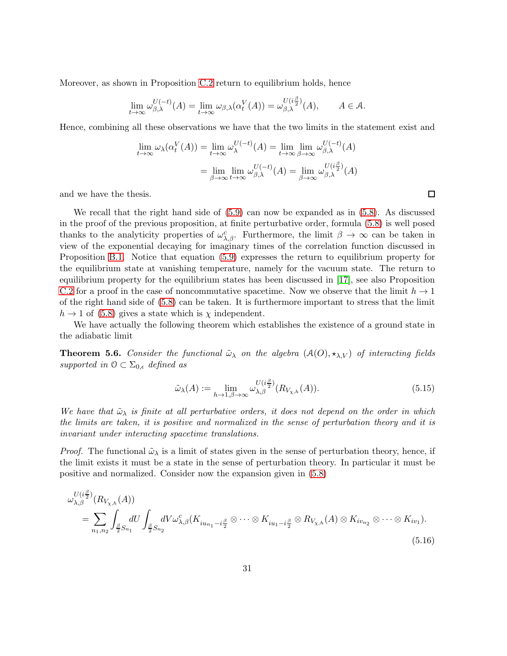Moreover, as shown in Proposition [C.2](#page-41-0) return to equilibrium holds, hence

$$
\lim_{t \to \infty} \omega_{\beta,\lambda}^{U(-t)}(A) = \lim_{t \to \infty} \omega_{\beta,\lambda}(\alpha_t^V(A)) = \omega_{\beta,\lambda}^{U(i\frac{\beta}{2})}(A), \qquad A \in \mathcal{A}.
$$

Hence, combining all these observations we have that the two limits in the statement exist and

$$
\lim_{t \to \infty} \omega_{\lambda}(\alpha_t^V(A)) = \lim_{t \to \infty} \omega_{\lambda}^{U(-t)}(A) = \lim_{t \to \infty} \lim_{\beta \to \infty} \omega_{\beta,\lambda}^{U(-t)}(A)
$$

$$
= \lim_{\beta \to \infty} \lim_{t \to \infty} \omega_{\beta,\lambda}^{U(-t)}(A) = \lim_{\beta \to \infty} \omega_{\beta,\lambda}^{U(i\frac{\beta}{2})}(A)
$$

and we have the thesis.

We recall that the right hand side of [\(5.9\)](#page-27-4) can now be expanded as in [\(5.8\)](#page-27-1). As discussed in the proof of the previous proposition, at finite perturbative order, formula [\(5.8\)](#page-27-1) is well posed thanks to the analyticity properties of  $\omega_{\lambda,\beta}^c$ . Furthermore, the limit  $\beta \to \infty$  can be taken in view of the exponential decaying for imaginary times of the correlation function discussed in Proposition [B.1.](#page-35-1) Notice that equation [\(5.9\)](#page-27-4) expresses the return to equilibrium property for the equilibrium state at vanishing temperature, namely for the vacuum state. The return to equilibrium property for the equilibrium states has been discussed in [\[17\]](#page-43-14), see also Proposition [C.2](#page-41-0) for a proof in the case of noncommutative spacetime. Now we observe that the limit  $h \to 1$ of the right hand side of [\(5.8\)](#page-27-1) can be taken. It is furthermore important to stress that the limit  $h \to 1$  of [\(5.8\)](#page-27-1) gives a state which is  $\chi$  independent.

We have actually the following theorem which establishes the existence of a ground state in the adiabatic limit

**Theorem 5.6.** Consider the functional  $\tilde{\omega}_{\lambda}$  on the algebra  $(\mathcal{A}(O), \star_{\lambda,V})$  of interacting fields supported in  $\mathcal{O} \subset \Sigma_{0,\epsilon}$  defined as

<span id="page-30-1"></span><span id="page-30-0"></span>
$$
\tilde{\omega}_{\lambda}(A) := \lim_{h \to 1, \beta \to \infty} \omega_{\lambda, \beta}^{U(i\frac{\beta}{2})} (R_{V_{\chi, h}}(A)). \tag{5.15}
$$

We have that  $\tilde{\omega}_{\lambda}$  is finite at all perturbative orders, it does not depend on the order in which the limits are taken, it is positive and normalized in the sense of perturbation theory and it is invariant under interacting spacetime translations.

*Proof.* The functional  $\tilde{\omega}_{\lambda}$  is a limit of states given in the sense of perturbation theory, hence, if the limit exists it must be a state in the sense of perturbation theory. In particular it must be positive and normalized. Consider now the expansion given in [\(5.8\)](#page-27-1)

$$
\omega_{\lambda,\beta}^{U(i\frac{\beta}{2})}(R_{V_{\chi,h}}(A))
$$
\n
$$
= \sum_{n_1,n_2} \int_{\frac{\beta}{2}S_{n_1}} dU \int_{\frac{\beta}{2}S_{n_2}} dV \omega_{\lambda,\beta}^c(K_{iu_{n_1}-i\frac{\beta}{2}} \otimes \cdots \otimes K_{iu_1-i\frac{\beta}{2}} \otimes R_{V_{\chi,h}}(A) \otimes K_{iv_{n_2}} \otimes \cdots \otimes K_{iv_1}).
$$
\n(5.16)

 $\Box$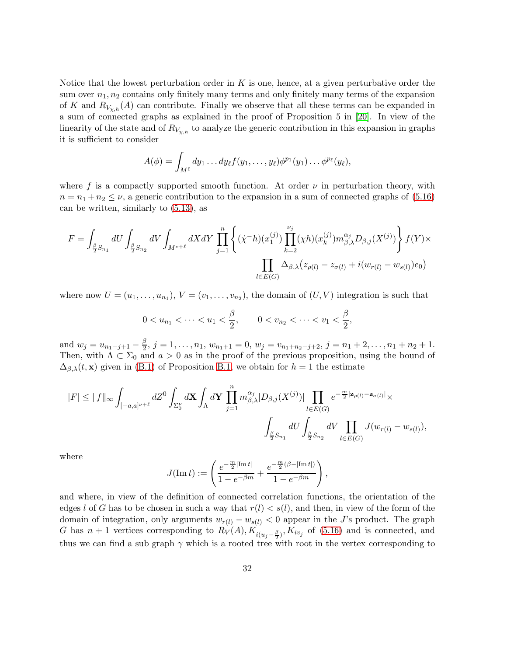Notice that the lowest perturbation order in  $K$  is one, hence, at a given perturbative order the sum over  $n_1, n_2$  contains only finitely many terms and only finitely many terms of the expansion of K and  $R_{V_{\chi,h}}(A)$  can contribute. Finally we observe that all these terms can be expanded in a sum of connected graphs as explained in the proof of Proposition 5 in [\[20\]](#page-44-11). In view of the linearity of the state and of  $R_{V_{\chi,h}}$  to analyze the generic contribution in this expansion in graphs it is sufficient to consider

$$
A(\phi) = \int_{M^{\ell}} dy_1 \dots dy_{\ell} f(y_1, \dots, y_{\ell}) \phi^{p_1}(y_1) \dots \phi^{p_{\ell}}(y_{\ell}),
$$

where f is a compactly supported smooth function. At order  $\nu$  in perturbation theory, with  $n = n_1 + n_2 \leq \nu$ , a generic contribution to the expansion in a sum of connected graphs of [\(5.16\)](#page-30-0) can be written, similarly to [\(5.13\)](#page-28-0), as

$$
F = \int_{\frac{\beta}{2}S_{n_1}} dU \int_{\frac{\beta}{2}S_{n_2}} dV \int_{M^{\nu+\ell}} dX dY \prod_{j=1}^n \left\{ (\dot{\chi}^- h)(x_1^{(j)}) \prod_{k=2}^{\nu_j} (\chi h)(x_k^{(j)}) m_{\beta,\lambda}^{\alpha_j} D_{\beta,j}(X^{(j)}) \right\} f(Y) \times \prod_{l \in E(G)} \Delta_{\beta,\lambda} (z_{\rho(l)} - z_{\sigma(l)} + i(w_{r(l)} - w_{s(l)}) e_0)
$$

where now  $U = (u_1, \ldots, u_{n_1}), V = (v_1, \ldots, v_{n_2}),$  the domain of  $(U, V)$  integration is such that

$$
0 < u_{n_1} < \cdots < u_1 < \frac{\beta}{2}, \qquad 0 < v_{n_2} < \cdots < v_1 < \frac{\beta}{2},
$$

and  $w_j = u_{n_1-j+1} - \frac{\beta}{2}$  $\frac{\beta}{2}, j = 1, \ldots, n_1, w_{n_1+1} = 0, w_j = v_{n_1+n_2-j+2}, j = n_1+2, \ldots, n_1+n_2+1.$ Then, with  $\Lambda \subset \Sigma_0$  and  $a > 0$  as in the proof of the previous proposition, using the bound of  $\Delta_{\beta,\lambda}(t, \mathbf{x})$  given in [\(B.1\)](#page-35-2) of Proposition [B.1,](#page-35-1) we obtain for  $h = 1$  the estimate

$$
\begin{aligned} |F| \leq \|f\|_\infty \int_{[-a,a]^{\nu+\ell}} dZ^0 \int_{\Sigma_0^\nu} d\mathbf{X} \int_{\Lambda} d\mathbf{Y} \, \prod_{j=1}^n m_{\beta,\lambda}^{\alpha_j} |D_{\beta,j}(X^{(j)})| \prod_{l \in E(G)} e^{-\frac{m}{2} |\mathbf{z}_{\rho(l)}-\mathbf{z}_{\sigma(l)}|} \times \\ \int_{\frac{\beta}{2} S_{n_1}} dU \int_{\frac{\beta}{2} S_{n_2}} dV \prod_{l \in E(G)} J(w_{r(l)}-w_{s(l)}), \end{aligned}
$$

where

$$
J(\text{Im } t) := \left( \frac{e^{-\frac{m}{2}|\text{Im } t|}}{1 - e^{-\beta m}} + \frac{e^{-\frac{m}{2}(\beta - |\text{Im } t|)}}{1 - e^{-\beta m}} \right),
$$

and where, in view of the definition of connected correlation functions, the orientation of the edges l of G has to be chosen in such a way that  $r(l) < s(l)$ , and then, in view of the form of the domain of integration, only arguments  $w_{r(l)} - w_{s(l)} < 0$  appear in the J's product. The graph G has  $n+1$  vertices corresponding to  $R_V(A), K_{i(u_j - \frac{\beta}{2})}, K_{iv_j}$  of [\(5.16\)](#page-30-0) and is connected, and thus we can find a sub graph  $\gamma$  which is a rooted tree with root in the vertex corresponding to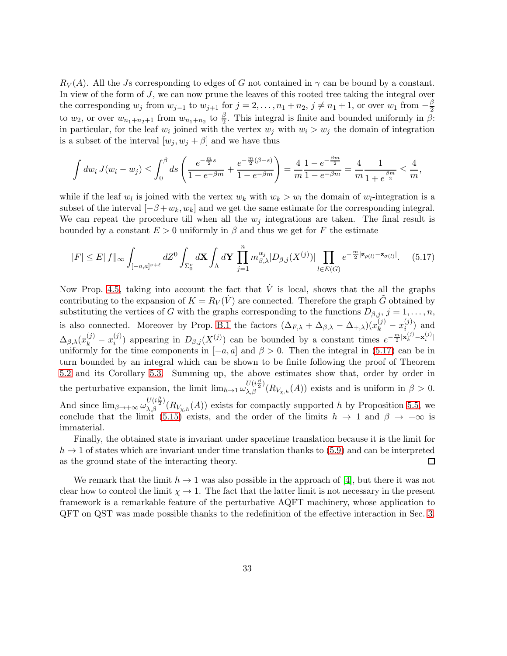$R_V(A)$ . All the Js corresponding to edges of G not contained in  $\gamma$  can be bound by a constant. In view of the form of J, we can now prune the leaves of this rooted tree taking the integral over the corresponding  $w_j$  from  $w_{j-1}$  to  $w_{j+1}$  for  $j = 2, \ldots, n_1 + n_2, j \neq n_1 + 1$ , or over  $w_1$  from  $-\frac{\beta}{2}$ 2 to  $w_2$ , or over  $w_{n_1+n_2+1}$  from  $w_{n_1+n_2}$  to  $\frac{\beta}{2}$ . This integral is finite and bounded uniformly in  $\beta$ : in particular, for the leaf  $w_i$  joined with the vertex  $w_j$  with  $w_i > w_j$  the domain of integration is a subset of the interval  $[w_i, w_j + \beta]$  and we have thus

$$
\int dw_i J(w_i - w_j) \le \int_0^\beta ds \left( \frac{e^{-\frac{m}{2}s}}{1 - e^{-\beta m}} + \frac{e^{-\frac{m}{2}(\beta - s)}}{1 - e^{-\beta m}} \right) = \frac{4}{m} \frac{1 - e^{-\frac{\beta m}{2}}}{1 - e^{-\beta m}} = \frac{4}{m} \frac{1}{1 + e^{\frac{\beta m}{2}}} \le \frac{4}{m},
$$

while if the leaf  $w_l$  is joined with the vertex  $w_k$  with  $w_k > w_l$  the domain of  $w_l$ -integration is a subset of the interval  $[-\beta+w_k, w_k]$  and we get the same estimate for the corresponding integral. We can repeat the procedure till when all the  $w_j$  integrations are taken. The final result is bounded by a constant  $E > 0$  uniformly in  $\beta$  and thus we get for F the estimate

<span id="page-32-0"></span>
$$
|F| \le E||f||_{\infty} \int_{[-a,a]^{\nu+\ell}} dZ^0 \int_{\Sigma_0^{\nu}} d\mathbf{X} \int_{\Lambda} d\mathbf{Y} \prod_{j=1}^n m_{\beta,\lambda}^{\alpha_j} |D_{\beta,j}(X^{(j)})| \prod_{l \in E(G)} e^{-\frac{m}{2} |\mathbf{z}_{\rho(l)} - \mathbf{z}_{\sigma(l)}|}.
$$
 (5.17)

Now Prop. [4.5,](#page-19-2) taking into account the fact that  $\dot{V}$  is local, shows that the all the graphs contributing to the expansion of  $K = R_V(\dot{V})$  are connected. Therefore the graph  $\ddot{G}$  obtained by substituting the vertices of G with the graphs corresponding to the functions  $D_{\beta,j}$ ,  $j = 1, \ldots, n$ , is also connected. Moreover by Prop. [B.1](#page-35-1) the factors  $(\Delta_{F,\lambda} + \Delta_{\beta,\lambda} - \Delta_{+,\lambda})(x_k^{(j)} - x_{i,j}^{(j)})$  $\binom{J}{i}$  and  $\Delta_{\beta,\lambda}(x_k^{(j)} - x_i^{(j)})$ (i) appearing in  $D_{\beta,j}(X^{(j)})$  can be bounded by a constant times  $e^{-\frac{m}{2}|\mathbf{x}_k^{(j)}-\mathbf{x}_i^{(j)}|}$ uniformly for the time components in  $[-a, a]$  and  $\beta > 0$ . Then the integral in [\(5.17\)](#page-32-0) can be in turn bounded by an integral which can be shown to be finite following the proof of Theorem [5.2](#page-21-0) and its Corollary [5.3.](#page-22-0) Summing up, the above estimates show that, order by order in the perturbative expansion, the limit  $\lim_{h\to 1}\omega_{\lambda,\beta}^{U(i\frac{\beta}{2})}(R_{V_{\chi,h}}(A))$  exists and is uniform in  $\beta>0$ . And since  $\lim_{\beta\to+\infty}\omega_{\lambda,\beta}^{U(i\frac{\beta}{2})}(R_{V_{\chi,h}}(A))$  exists for compactly supported h by Proposition [5.5,](#page-27-5) we conclude that the limit [\(5.15\)](#page-30-1) exists, and the order of the limits  $h \to 1$  and  $\beta \to +\infty$  is immaterial.

Finally, the obtained state is invariant under spacetime translation because it is the limit for  $h \to 1$  of states which are invariant under time translation thanks to [\(5.9\)](#page-27-4) and can be interpreted as the ground state of the interacting theory. as the ground state of the interacting theory.

We remark that the limit  $h \to 1$  was also possible in the approach of [\[4\]](#page-43-2), but there it was not clear how to control the limit  $\chi \to 1$ . The fact that the latter limit is not necessary in the present framework is a remarkable feature of the perturbative AQFT machinery, whose application to QFT on QST was made possible thanks to the redefinition of the effective interaction in Sec. [3.](#page-9-0)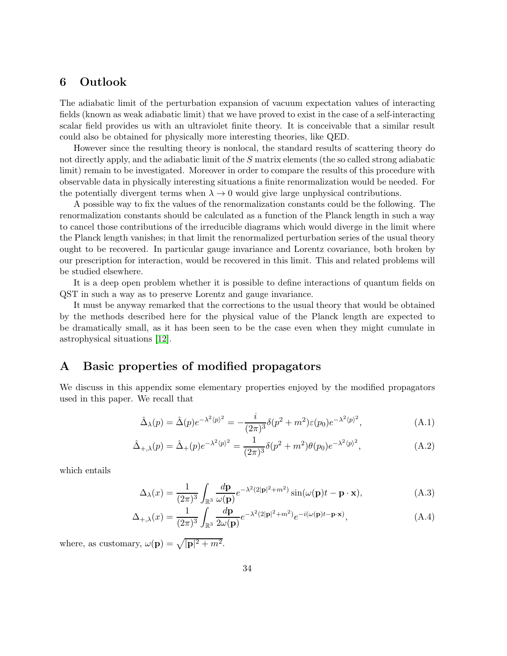# 6 Outlook

The adiabatic limit of the perturbation expansion of vacuum expectation values of interacting fields (known as weak adiabatic limit) that we have proved to exist in the case of a self-interacting scalar field provides us with an ultraviolet finite theory. It is conceivable that a similar result could also be obtained for physically more interesting theories, like QED.

However since the resulting theory is nonlocal, the standard results of scattering theory do not directly apply, and the adiabatic limit of the S matrix elements (the so called strong adiabatic limit) remain to be investigated. Moreover in order to compare the results of this procedure with observable data in physically interesting situations a finite renormalization would be needed. For the potentially divergent terms when  $\lambda \to 0$  would give large unphysical contributions.

A possible way to fix the values of the renormalization constants could be the following. The renormalization constants should be calculated as a function of the Planck length in such a way to cancel those contributions of the irreducible diagrams which would diverge in the limit where the Planck length vanishes; in that limit the renormalized perturbation series of the usual theory ought to be recovered. In particular gauge invariance and Lorentz covariance, both broken by our prescription for interaction, would be recovered in this limit. This and related problems will be studied elsewhere.

It is a deep open problem whether it is possible to define interactions of quantum fields on QST in such a way as to preserve Lorentz and gauge invariance.

It must be anyway remarked that the corrections to the usual theory that would be obtained by the methods described here for the physical value of the Planck length are expected to be dramatically small, as it has been seen to be the case even when they might cumulate in astrophysical situations [\[12\]](#page-43-5).

# <span id="page-33-0"></span>A Basic properties of modified propagators

We discuss in this appendix some elementary properties enjoyed by the modified propagators used in this paper. We recall that

<span id="page-33-2"></span>
$$
\hat{\Delta}_{\lambda}(p) = \hat{\Delta}(p)e^{-\lambda^2\langle p\rangle^2} = -\frac{i}{(2\pi)^3}\delta(p^2 + m^2)\varepsilon(p_0)e^{-\lambda^2\langle p\rangle^2},\tag{A.1}
$$

$$
\hat{\Delta}_{+,\lambda}(p) = \hat{\Delta}_{+}(p)e^{-\lambda^{2}\langle p\rangle^{2}} = \frac{1}{(2\pi)^{3}}\delta(p^{2} + m^{2})\theta(p_{0})e^{-\lambda^{2}\langle p\rangle^{2}},
$$
\n(A.2)

which entails

<span id="page-33-1"></span>
$$
\Delta_{\lambda}(x) = \frac{1}{(2\pi)^3} \int_{\mathbb{R}^3} \frac{d\mathbf{p}}{\omega(\mathbf{p})} e^{-\lambda^2 (2|\mathbf{p}|^2 + m^2)} \sin(\omega(\mathbf{p})t - \mathbf{p} \cdot \mathbf{x}), \tag{A.3}
$$

$$
\Delta_{+,\lambda}(x) = \frac{1}{(2\pi)^3} \int_{\mathbb{R}^3} \frac{d\mathbf{p}}{2\omega(\mathbf{p})} e^{-\lambda^2 (2|\mathbf{p}|^2 + m^2)} e^{-i(\omega(\mathbf{p})t - \mathbf{p}\cdot\mathbf{x})},\tag{A.4}
$$

where, as customary,  $\omega(\mathbf{p}) = \sqrt{|\mathbf{p}|^2 + m^2}$ .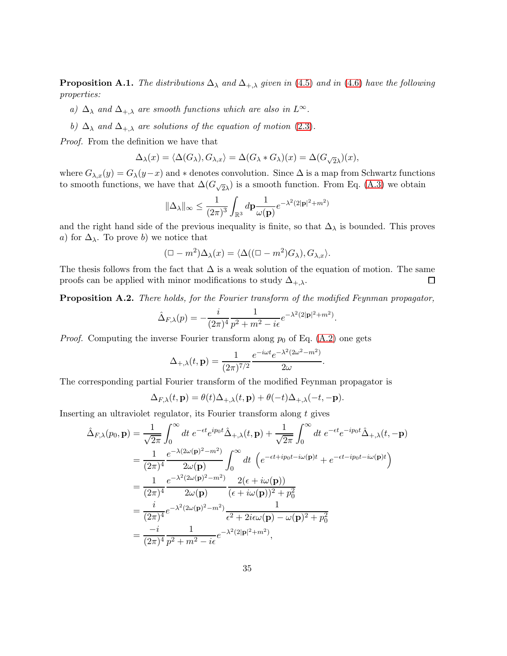<span id="page-34-0"></span>**Proposition A.1.** The distributions  $\Delta_{\lambda}$  and  $\Delta_{+,\lambda}$  given in [\(4.5\)](#page-11-2) and in [\(4.6\)](#page-12-2) have the following properties:

- a)  $\Delta_{\lambda}$  and  $\Delta_{+\lambda}$  are smooth functions which are also in  $L^{\infty}$ .
- b)  $\Delta_{\lambda}$  and  $\Delta_{+,\lambda}$  are solutions of the equation of motion [\(2.3\)](#page-6-0).

Proof. From the definition we have that

$$
\Delta_{\lambda}(x) = \langle \Delta(G_{\lambda}), G_{\lambda, x} \rangle = \Delta(G_{\lambda} * G_{\lambda})(x) = \Delta(G_{\sqrt{2}\lambda})(x),
$$

where  $G_{\lambda,x}(y) = G_{\lambda}(y-x)$  and  $*$  denotes convolution. Since  $\Delta$  is a map from Schwartz functions to smooth functions, we have that  $\Delta(G_{\sqrt{2}\lambda})$  is a smooth function. From Eq. [\(A.3\)](#page-33-1) we obtain

$$
\|\Delta_\lambda\|_\infty \le \frac{1}{(2\pi)^3} \int_{\mathbb{R}^3} d\mathbf{p} \frac{1}{\omega(\mathbf{p})} e^{-\lambda^2(2|\mathbf{p}|^2 + m^2)}
$$

and the right hand side of the previous inequality is finite, so that  $\Delta_{\lambda}$  is bounded. This proves a) for  $\Delta_{\lambda}$ . To prove b) we notice that

$$
(\Box - m^2) \Delta_{\lambda}(x) = \langle \Delta((\Box - m^2)G_{\lambda}), G_{\lambda, x} \rangle.
$$

The thesis follows from the fact that  $\Delta$  is a weak solution of the equation of motion. The same proofs can be applied with minor modifications to study  $\Delta_{+,\lambda}$ .  $\Box$ 

<span id="page-34-1"></span>Proposition A.2. There holds, for the Fourier transform of the modified Feynman propagator,

$$
\hat{\Delta}_{F,\lambda}(p) = -\frac{i}{(2\pi)^4} \frac{1}{p^2 + m^2 - i\epsilon} e^{-\lambda^2 (2|\mathbf{p}|^2 + m^2)}.
$$

*Proof.* Computing the inverse Fourier transform along  $p_0$  of Eq. [\(A.2\)](#page-33-2) one gets

$$
\Delta_{+,\lambda}(t,\mathbf{p}) = \frac{1}{(2\pi)^{7/2}} \frac{e^{-i\omega t} e^{-\lambda^2 (2\omega^2 - m^2)}}{2\omega}.
$$

The corresponding partial Fourier transform of the modified Feynman propagator is

$$
\Delta_{F,\lambda}(t,\mathbf{p}) = \theta(t)\Delta_{+,\lambda}(t,\mathbf{p}) + \theta(-t)\Delta_{+,\lambda}(-t,-\mathbf{p}).
$$

Inserting an ultraviolet regulator, its Fourier transform along t gives

$$
\begin{split}\n\hat{\Delta}_{F,\lambda}(p_{0},\mathbf{p}) &= \frac{1}{\sqrt{2\pi}} \int_{0}^{\infty} dt \ e^{-\epsilon t} e^{ip_{0}t} \hat{\Delta}_{+,\lambda}(t,\mathbf{p}) + \frac{1}{\sqrt{2\pi}} \int_{0}^{\infty} dt \ e^{-\epsilon t} e^{-ip_{0}t} \hat{\Delta}_{+,\lambda}(t,-\mathbf{p}) \\
&= \frac{1}{(2\pi)^{4}} \frac{e^{-\lambda(2\omega(\mathbf{p})^{2}-m^{2})}}{2\omega(\mathbf{p})} \int_{0}^{\infty} dt \ \left(e^{-\epsilon t+ip_{0}t-i\omega(\mathbf{p})t} + e^{-\epsilon t-ip_{0}t-i\omega(\mathbf{p})t}\right) \\
&= \frac{1}{(2\pi)^{4}} \frac{e^{-\lambda^{2}(2\omega(\mathbf{p})^{2}-m^{2})}}{2\omega(\mathbf{p})} \frac{2(\epsilon+i\omega(\mathbf{p}))}{(\epsilon+i\omega(\mathbf{p}))^{2}+p_{0}^{2}} \\
&= \frac{i}{(2\pi)^{4}} e^{-\lambda^{2}(2\omega(\mathbf{p})^{2}-m^{2})} \frac{1}{\epsilon^{2}+2i\epsilon\omega(\mathbf{p})-\omega(\mathbf{p})^{2}+p_{0}^{2}} \\
&= \frac{-i}{(2\pi)^{4}} \frac{1}{p^{2}+m^{2}-i\epsilon} e^{-\lambda^{2}(2|\mathbf{p}|^{2}+m^{2})},\n\end{split}
$$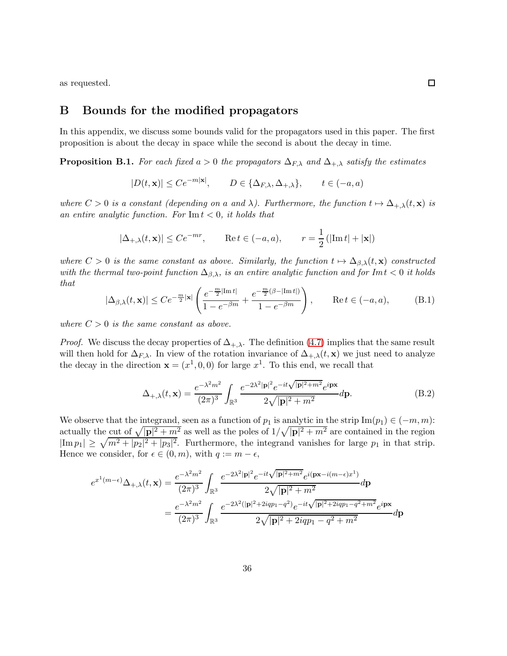<span id="page-35-0"></span>as requested.

#### B Bounds for the modified propagators

In this appendix, we discuss some bounds valid for the propagators used in this paper. The first proposition is about the decay in space while the second is about the decay in time.

<span id="page-35-1"></span>**Proposition B.1.** For each fixed a > 0 the propagators  $\Delta_{F,\lambda}$  and  $\Delta_{+,\lambda}$  satisfy the estimates

$$
|D(t, \mathbf{x})| \le Ce^{-m|\mathbf{x}|}, \qquad D \in \{\Delta_{F,\lambda}, \Delta_{+,\lambda}\}, \qquad t \in (-a, a)
$$

where  $C > 0$  is a constant (depending on a and  $\lambda$ ). Furthermore, the function  $t \mapsto \Delta_{+\lambda}(t, \mathbf{x})$  is an entire analytic function. For  $\text{Im } t < 0$ , it holds that

$$
|\Delta_{+,\lambda}(t,\mathbf{x})| \le Ce^{-mr}
$$
,  $\text{Re } t \in (-a,a)$ ,  $r = \frac{1}{2}(|\text{Im } t| + |\mathbf{x}|)$ 

where  $C > 0$  is the same constant as above. Similarly, the function  $t \mapsto \Delta_{\beta,\lambda}(t, \mathbf{x})$  constructed with the thermal two-point function  $\Delta_{\beta,\lambda}$ , is an entire analytic function and for Im  $t < 0$  it holds that

<span id="page-35-2"></span>
$$
|\Delta_{\beta,\lambda}(t,\mathbf{x})| \le Ce^{-\frac{m}{2}|\mathbf{x}|} \left( \frac{e^{-\frac{m}{2}|\text{Im }t|}}{1 - e^{-\beta m}} + \frac{e^{-\frac{m}{2}(\beta - |\text{Im }t|)}}{1 - e^{-\beta m}} \right), \qquad \text{Re }t \in (-a,a), \tag{B.1}
$$

where  $C > 0$  is the same constant as above.

*Proof.* We discuss the decay properties of  $\Delta_{+\lambda}$ . The definition [\(4.7\)](#page-12-1) implies that the same result will then hold for  $\Delta_{F,\lambda}$ . In view of the rotation invariance of  $\Delta_{+,\lambda}(t, \mathbf{x})$  we just need to analyze the decay in the direction  $\mathbf{x} = (x^1, 0, 0)$  for large  $x^1$ . To this end, we recall that

<span id="page-35-3"></span>
$$
\Delta_{+,\lambda}(t,\mathbf{x}) = \frac{e^{-\lambda^2 m^2}}{(2\pi)^3} \int_{\mathbb{R}^3} \frac{e^{-2\lambda^2 |\mathbf{p}|^2} e^{-it\sqrt{|\mathbf{p}|^2 + m^2}} e^{i\mathbf{p}\mathbf{x}}}{2\sqrt{|\mathbf{p}|^2 + m^2}} d\mathbf{p}.
$$
(B.2)

We observe that the integrand, seen as a function of  $p_1$  is analytic in the strip Im $(p_1) \in (-m, m)$ : actually the cut of  $\sqrt{|\mathbf{p}|^2 + m^2}$  as well as the poles of  $1/\sqrt{|\mathbf{p}|^2 + m^2}$  are contained in the region  $|\text{Im } p_1| \geq \sqrt{m^2 + |p_2|^2 + |p_3|^2}$ . Furthermore, the integrand vanishes for large  $p_1$  in that strip. Hence we consider, for  $\epsilon \in (0, m)$ , with  $q := m - \epsilon$ ,

$$
e^{x^1(m-\epsilon)}\Delta_{+,\lambda}(t,\mathbf{x}) = \frac{e^{-\lambda^2 m^2}}{(2\pi)^3} \int_{\mathbb{R}^3} \frac{e^{-2\lambda^2 |\mathbf{p}|^2} e^{-it\sqrt{|\mathbf{p}|^2 + m^2}} e^{i(\mathbf{p}\mathbf{x} - i(m-\epsilon)x^1)}}{2\sqrt{|\mathbf{p}|^2 + m^2}} d\mathbf{p}
$$
  

$$
= \frac{e^{-\lambda^2 m^2}}{(2\pi)^3} \int_{\mathbb{R}^3} \frac{e^{-2\lambda^2 (|\mathbf{p}|^2 + 2iqp_1 - q^2)} e^{-it\sqrt{|\mathbf{p}|^2 + 2iqp_1 - q^2 + m^2}} e^{i\mathbf{p}\mathbf{x}}}{2\sqrt{|\mathbf{p}|^2 + 2iqp_1 - q^2 + m^2}} d\mathbf{p}
$$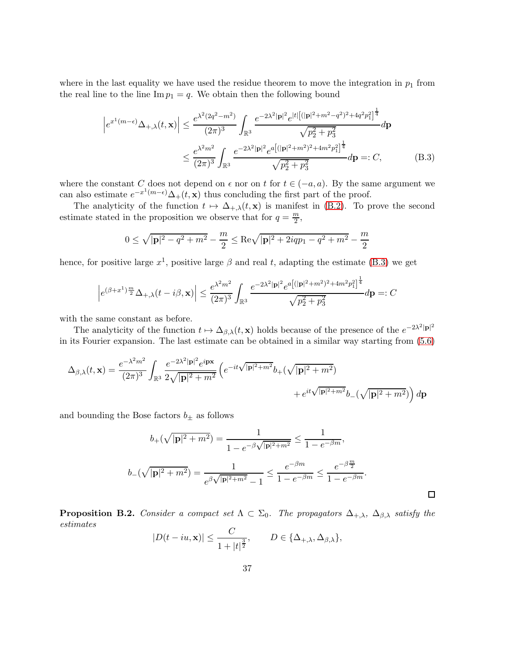where in the last equality we have used the residue theorem to move the integration in  $p_1$  from the real line to the line  $\text{Im } p_1 = q$ . We obtain then the following bound

$$
\left| e^{x^1(m-\epsilon)} \Delta_{+,\lambda}(t, \mathbf{x}) \right| \leq \frac{e^{\lambda^2 (2q^2 - m^2)}}{(2\pi)^3} \int_{\mathbb{R}^3} \frac{e^{-2\lambda^2 |\mathbf{p}|^2} e^{|t| \left[ (|\mathbf{p}|^2 + m^2 - q^2)^2 + 4q^2 p_1^2 \right]^{\frac{1}{4}}}}{\sqrt{p_2^2 + p_3^2}} d\mathbf{p}
$$
  
 
$$
\leq \frac{e^{\lambda^2 m^2}}{(2\pi)^3} \int_{\mathbb{R}^3} \frac{e^{-2\lambda^2 |\mathbf{p}|^2} e^{a \left[ (|\mathbf{p}|^2 + m^2)^2 + 4m^2 p_1^2 \right]^{\frac{1}{4}}}}{\sqrt{p_2^2 + p_3^2}} d\mathbf{p} =: C,
$$
 (B.3)

where the constant C does not depend on  $\epsilon$  nor on t for  $t \in (-a, a)$ . By the same argument we can also estimate  $e^{-x^1(m-\epsilon)}\Delta_+(t, \mathbf{x})$  thus concluding the first part of the proof.

The analyticity of the function  $t \mapsto \Delta_{+,\lambda}(t, \mathbf{x})$  is manifest in [\(B.2\)](#page-35-3). To prove the second estimate stated in the proposition we observe that for  $q = \frac{m}{2}$  $\frac{n}{2}$ 

<span id="page-36-1"></span>
$$
0 \leq \sqrt{|{\bf p}|^2 - q^2 + m^2} - \frac{m}{2} \leq {\rm Re} \sqrt{|{\bf p}|^2 + 2iqp_1 - q^2 + m^2} - \frac{m}{2}
$$

hence, for positive large  $x^1$ , positive large  $\beta$  and real t, adapting the estimate [\(B.3\)](#page-36-1) we get

$$
\left| e^{(\beta + x^1)\frac{m}{2}} \Delta_{+, \lambda}(t - i\beta, \mathbf{x}) \right| \le \frac{e^{\lambda^2 m^2}}{(2\pi)^3} \int_{\mathbb{R}^3} \frac{e^{-2\lambda^2 |\mathbf{p}|^2} e^{a[(|\mathbf{p}|^2 + m^2)^2 + 4m^2 p_1^2]^{\frac{1}{4}}}}{\sqrt{p_2^2 + p_3^2}} d\mathbf{p} =: C
$$

with the same constant as before.

The analyticity of the function  $t \mapsto \Delta_{\beta,\lambda}(t, \mathbf{x})$  holds because of the presence of the  $e^{-2\lambda^2 |\mathbf{p}|^2}$ in its Fourier expansion. The last estimate can be obtained in a similar way starting from [\(5.6\)](#page-26-0)

$$
\Delta_{\beta,\lambda}(t,\mathbf{x}) = \frac{e^{-\lambda^2 m^2}}{(2\pi)^3} \int_{\mathbb{R}^3} \frac{e^{-2\lambda^2 |\mathbf{p}|^2} e^{i\mathbf{p}\mathbf{x}}}{2\sqrt{|\mathbf{p}|^2 + m^2}} \left( e^{-it\sqrt{|\mathbf{p}|^2 + m^2}} b_+(\sqrt{|\mathbf{p}|^2 + m^2}) + e^{it\sqrt{|\mathbf{p}|^2 + m^2}} b_-(\sqrt{|\mathbf{p}|^2 + m^2}) \right) d\mathbf{p}
$$

and bounding the Bose factors  $b_{\pm}$  as follows

$$
b_{+}(\sqrt{|\mathbf{p}|^{2}+m^{2}}) = \frac{1}{1-e^{-\beta\sqrt{|\mathbf{p}|^{2}+m^{2}}}} \le \frac{1}{1-e^{-\beta m}},
$$
  

$$
b_{-}(\sqrt{|\mathbf{p}|^{2}+m^{2}}) = \frac{1}{e^{\beta\sqrt{|\mathbf{p}|^{2}+m^{2}}}-1} \le \frac{e^{-\beta m}}{1-e^{-\beta m}} \le \frac{e^{-\beta \frac{m}{2}}}{1-e^{-\beta m}}.
$$

<span id="page-36-0"></span>**Proposition B.2.** Consider a compact set  $\Lambda \subset \Sigma_0$ . The propagators  $\Delta_{+,\lambda}$ ,  $\Delta_{\beta,\lambda}$  satisfy the estimates

$$
|D(t-iu,\mathbf{x})| \leq \frac{C}{1+|t|^{\frac{3}{2}}}, \qquad D \in \{\Delta_{+,\lambda}, \Delta_{\beta,\lambda}\},\
$$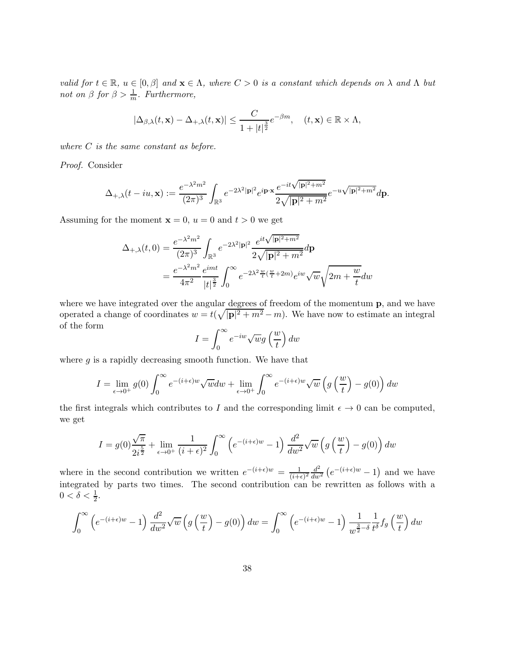valid for  $t \in \mathbb{R}$ ,  $u \in [0, \beta]$  and  $\mathbf{x} \in \Lambda$ , where  $C > 0$  is a constant which depends on  $\lambda$  and  $\Lambda$  but not on  $\beta$  for  $\beta > \frac{1}{m}$ . Furthermore,

$$
|\Delta_{\beta,\lambda}(t,\mathbf{x}) - \Delta_{+,\lambda}(t,\mathbf{x})| \leq \frac{C}{1+|t|^{\frac{3}{2}}}e^{-\beta m}, \quad (t,\mathbf{x}) \in \mathbb{R} \times \Lambda,
$$

where  $C$  is the same constant as before.

Proof. Consider

$$
\Delta_{+,\lambda}(t-iu,{\bf x}):=\frac{e^{-\lambda^2m^2}}{(2\pi)^3}\int_{\mathbb{R}^3}e^{-2\lambda^2|{\bf p}|^2}e^{i{\bf p}\cdot{\bf x}}\frac{e^{-it\sqrt{|{\bf p}|^2+m^2}}}{2\sqrt{|{\bf p}|^2+m^2}}e^{-u\sqrt{|{\bf p}|^2+m^2}}d{\bf p}.
$$

Assuming for the moment  $x = 0$ ,  $u = 0$  and  $t > 0$  we get

$$
\Delta_{+,\lambda}(t,0) = \frac{e^{-\lambda^2 m^2}}{(2\pi)^3} \int_{\mathbb{R}^3} e^{-2\lambda^2 |\mathbf{p}|^2} \frac{e^{it\sqrt{|\mathbf{p}|^2 + m^2}}}{2\sqrt{|\mathbf{p}|^2 + m^2}} d\mathbf{p}
$$
  
= 
$$
\frac{e^{-\lambda^2 m^2}}{4\pi^2} \frac{e^{imt}}{|t|^{\frac{3}{2}}} \int_0^\infty e^{-2\lambda^2 \frac{w}{t} (\frac{w}{t} + 2m)} e^{iw} \sqrt{w} \sqrt{2m + \frac{w}{t}} dw
$$

where we have integrated over the angular degrees of freedom of the momentum p, and we have operated a change of coordinates  $w = t(\sqrt{|\mathbf{p}|^2 + m^2} - m)$ . We have now to estimate an integral of the form

$$
I = \int_0^\infty e^{-iw} \sqrt{w} g\left(\frac{w}{t}\right) dw
$$

where  $g$  is a rapidly decreasing smooth function. We have that

$$
I = \lim_{\epsilon \to 0^+} g(0) \int_0^\infty e^{-(i+\epsilon)w} \sqrt{w} dw + \lim_{\epsilon \to 0^+} \int_0^\infty e^{-(i+\epsilon)w} \sqrt{w} \left( g\left(\frac{w}{t}\right) - g(0) \right) dw
$$

the first integrals which contributes to I and the corresponding limit  $\epsilon \to 0$  can be computed, we get

$$
I = g(0)\frac{\sqrt{\pi}}{2i^{\frac{5}{2}}} + \lim_{\epsilon \to 0^+} \frac{1}{(i+\epsilon)^2} \int_0^\infty \left( e^{-(i+\epsilon)w} - 1 \right) \frac{d^2}{dw^2} \sqrt{w} \left( g\left(\frac{w}{t}\right) - g(0) \right) dw
$$

where in the second contribution we written  $e^{-(i+\epsilon)w} = \frac{1}{(i+\epsilon)}$  $\frac{1}{(i+\epsilon)^2}\frac{d^2}{dw}$  $\frac{d^2}{dw^2}\left(e^{-(i+\epsilon)w}-1\right)$  and we have integrated by parts two times. The second contribution can be rewritten as follows with a  $0 < \delta < \frac{1}{2}$ .

$$
\int_0^\infty \left( e^{-(i+\epsilon)w} - 1 \right) \frac{d^2}{dw^2} \sqrt{w} \left( g \left( \frac{w}{t} \right) - g(0) \right) dw = \int_0^\infty \left( e^{-(i+\epsilon)w} - 1 \right) \frac{1}{w^{\frac{3}{2} - \delta}} \frac{1}{t^{\delta}} f_g \left( \frac{w}{t} \right) dw
$$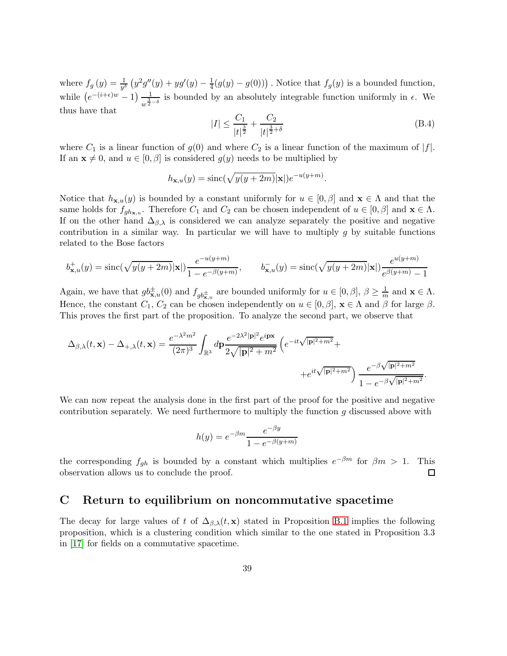where  $f_g(y) = \frac{1}{y^\delta} (y^2 g''(y) + y g'(y) - \frac{1}{4})$  $\frac{1}{4}(g(y) - g(0)))$ . Notice that  $f_g(y)$  is a bounded function, while  $(e^{-(i+\epsilon)w}-1)\frac{1}{w^{\frac{3}{2}}}$  $\frac{1}{w^{\frac{3}{2}-\delta}}$  is bounded by an absolutely integrable function uniformly in  $\epsilon$ . We thus have that

$$
|I| \le \frac{C_1}{|t|^{\frac{3}{2}}} + \frac{C_2}{|t|^{\frac{3}{2} + \delta}} \tag{B.4}
$$

where  $C_1$  is a linear function of  $g(0)$  and where  $C_2$  is a linear function of the maximum of  $|f|$ . If an  $\mathbf{x} \neq 0$ , and  $u \in [0, \beta]$  is considered  $g(y)$  needs to be multiplied by

$$
h_{\mathbf{x},u}(y) = \mathrm{sinc}(\sqrt{y(y+2m)}|\mathbf{x}|)e^{-u(y+m)}.
$$

Notice that  $h_{\mathbf{x},u}(y)$  is bounded by a constant uniformly for  $u \in [0,\beta]$  and  $\mathbf{x} \in \Lambda$  and that the same holds for  $f_{gh_{\mathbf{x},u}}$ . Therefore  $C_1$  and  $C_2$  can be chosen independent of  $u \in [0,\beta]$  and  $\mathbf{x} \in \Lambda$ . If on the other hand  $\Delta_{\beta,\lambda}$  is considered we can analyze separately the positive and negative contribution in a similar way. In particular we will have to multiply  $g$  by suitable functions related to the Bose factors

$$
b_{\mathbf{x},u}^+(y) = \text{sinc}(\sqrt{y(y+2m)}|\mathbf{x}|) \frac{e^{-u(y+m)}}{1 - e^{-\beta(y+m)}}, \qquad b_{\mathbf{x},u}^-(y) = \text{sinc}(\sqrt{y(y+2m)}|\mathbf{x}|) \frac{e^{u(y+m)}}{e^{\beta(y+m)} - 1}
$$

Again, we have that  $gb_{\mathbf{x},u}^{\pm}(0)$  and  $f_{gb_{\mathbf{x},u}^{\pm}}$  are bounded uniformly for  $u \in [0,\beta], \beta \geq \frac{1}{m}$  and  $\mathbf{x} \in \Lambda$ . Hence, the constant  $C_1$ ,  $C_2$  can be chosen independently on  $u \in [0, \beta]$ ,  $\mathbf{x} \in \Lambda$  and  $\beta$  for large  $\beta$ . This proves the first part of the proposition. To analyze the second part, we observe that

$$
\Delta_{\beta,\lambda}(t,\mathbf{x}) - \Delta_{+,\lambda}(t,\mathbf{x}) = \frac{e^{-\lambda^2 m^2}}{(2\pi)^3} \int_{\mathbb{R}^3} d\mathbf{p} \frac{e^{-2\lambda^2 |\mathbf{p}|^2} e^{i\mathbf{p}\mathbf{x}}}{2\sqrt{|\mathbf{p}|^2 + m^2}} \left( e^{-it\sqrt{|\mathbf{p}|^2 + m^2}} + e^{it\sqrt{|\mathbf{p}|^2 + m^2}} \right) \frac{e^{-\beta \sqrt{|\mathbf{p}|^2 + m^2}}}{1 - e^{-\beta \sqrt{|\mathbf{p}|^2 + m^2}}}.
$$

We can now repeat the analysis done in the first part of the proof for the positive and negative contribution separately. We need furthermore to multiply the function g discussed above with

$$
h(y) = e^{-\beta m} \frac{e^{-\beta y}}{1 - e^{-\beta (y + m)}}
$$

the corresponding  $f_{gh}$  is bounded by a constant which multiplies  $e^{-\beta m}$  for  $\beta m > 1$ . This observation allows us to conclude the proof. □

### <span id="page-38-0"></span>C Return to equilibrium on noncommutative spacetime

The decay for large values of t of  $\Delta_{\beta,\lambda}(t, \mathbf{x})$  stated in Proposition [B.1](#page-35-1) implies the following proposition, which is a clustering condition which similar to the one stated in Proposition 3.3 in [\[17\]](#page-43-14) for fields on a commutative spacetime.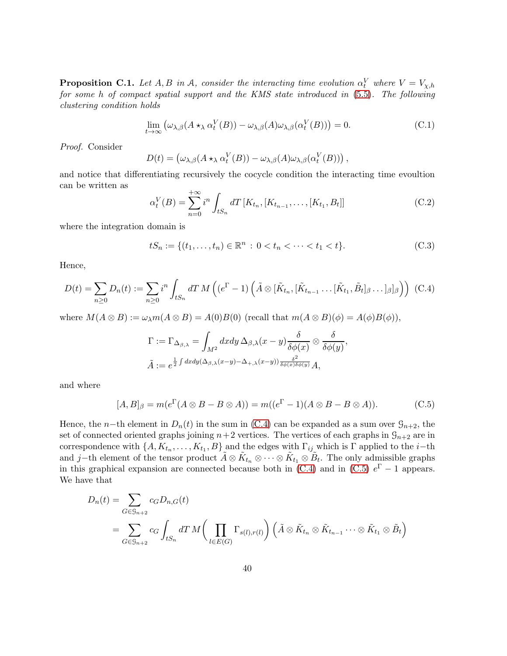<span id="page-39-0"></span>**Proposition C.1.** Let  $A, B$  in  $A$ , consider the interacting time evolution  $\alpha_t^V$  where  $V = V_{\chi,h}$ for some h of compact spatial support and the KMS state introduced in [\(5.5\)](#page-26-1). The following clustering condition holds

<span id="page-39-5"></span>
$$
\lim_{t \to \infty} \left( \omega_{\lambda,\beta}(A \star_{\lambda} \alpha_t^V(B)) - \omega_{\lambda,\beta}(A)\omega_{\lambda,\beta}(\alpha_t^V(B)) \right) = 0. \tag{C.1}
$$

Proof. Consider

$$
D(t) = (\omega_{\lambda,\beta}(A \star_{\lambda} \alpha_t^V(B)) - \omega_{\lambda,\beta}(A)\omega_{\lambda,\beta}(\alpha_t^V(B))) ,
$$

and notice that differentiating recursively the cocycle condition the interacting time evoultion can be written as

<span id="page-39-4"></span>
$$
\alpha_t^V(B) = \sum_{n=0}^{+\infty} i^n \int_{tS_n} dT \left[ K_{t_n}, [K_{t_{n-1}}, \dots, [K_{t_1}, B_t]] \right]
$$
(C.2)

where the integration domain is

<span id="page-39-3"></span>
$$
tS_n := \{(t_1, \dots, t_n) \in \mathbb{R}^n : 0 < t_n < \dots < t_1 < t\}.\tag{C.3}
$$

Hence,

<span id="page-39-1"></span>
$$
D(t) = \sum_{n\geq 0} D_n(t) := \sum_{n\geq 0} i^n \int_{tS_n} dT M \left( (e^{\Gamma} - 1) \left( \tilde{A} \otimes [\tilde{K}_{t_n}, [\tilde{K}_{t_{n-1}} \dots [\tilde{K}_{t_1}, \tilde{B}_t]_{\beta} \dots]_{\beta}]_{\beta} \right) \right) (C.4)
$$

where  $M(A \otimes B) := \omega_{\lambda} m(A \otimes B) = A(0)B(0)$  (recall that  $m(A \otimes B)(\phi) = A(\phi)B(\phi)$ ),

$$
\Gamma := \Gamma_{\Delta_{\beta,\lambda}} = \int_{M^2} dx dy \, \Delta_{\beta,\lambda}(x-y) \frac{\delta}{\delta \phi(x)} \otimes \frac{\delta}{\delta \phi(y)},
$$
  

$$
\tilde{A} := e^{\frac{1}{2} \int dx dy (\Delta_{\beta,\lambda}(x-y) - \Delta_{+,\lambda}(x-y)) \frac{\delta^2}{\delta \phi(x) \delta \phi(y)}} A,
$$

and where

<span id="page-39-2"></span>
$$
[A, B]_{\beta} = m(e^{\Gamma}(A \otimes B - B \otimes A)) = m((e^{\Gamma} - 1)(A \otimes B - B \otimes A)).
$$
 (C.5)

Hence, the n−th element in  $D_n(t)$  in the sum in [\(C.4\)](#page-39-1) can be expanded as a sum over  $\mathcal{G}_{n+2}$ , the set of connected oriented graphs joining  $n+2$  vertices. The vertices of each graphs in  $\mathcal{G}_{n+2}$  are in correspondence with  $\{A, K_{t_n}, \ldots, K_{t_1}, B\}$  and the edges with  $\Gamma_{ij}$  which is  $\Gamma$  applied to the *i*-th and j–th element of the tensor product  $\tilde{A} \otimes \tilde{K}_{t_n} \otimes \cdots \otimes \tilde{K}_{t_1} \otimes \tilde{B}_t$ . The only admissible graphs in this graphical expansion are connected because both in [\(C.4\)](#page-39-1) and in [\(C.5\)](#page-39-2)  $e^{\Gamma} - 1$  appears. We have that

$$
D_n(t) = \sum_{G \in \mathcal{G}_{n+2}} c_G D_{n,G}(t)
$$
  
= 
$$
\sum_{G \in \mathcal{G}_{n+2}} c_G \int_{tS_n} dT M \bigg(\prod_{l \in E(G)} \Gamma_{s(l),r(l)}\bigg) \left(\tilde{A} \otimes \tilde{K}_{t_n} \otimes \tilde{K}_{t_{n-1}} \cdots \otimes \tilde{K}_{t_1} \otimes \tilde{B}_t\right)
$$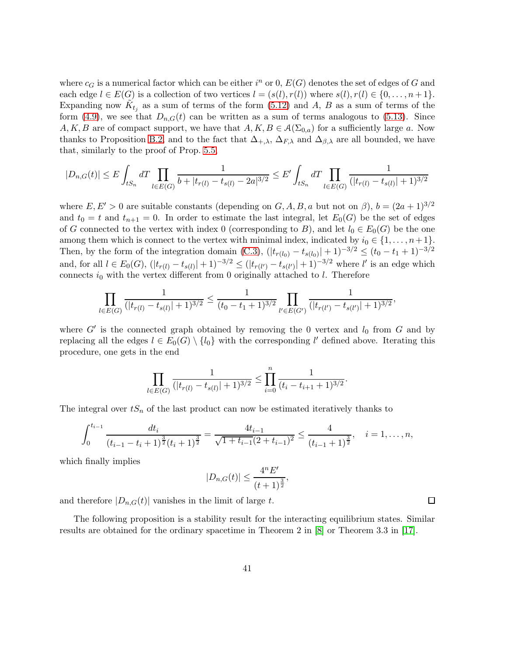where  $c_G$  is a numerical factor which can be either  $i^n$  or 0,  $E(G)$  denotes the set of edges of G and each edge  $l \in E(G)$  is a collection of two vertices  $l = (s(l), r(l))$  where  $s(l), r(l) \in \{0, \ldots, n+1\}$ . Expanding now  $\tilde{K}_{t_j}$  as a sum of terms of the form [\(5.12\)](#page-28-1) and A, B as a sum of terms of the form [\(4.9\)](#page-13-1), we see that  $D_{n,G}(t)$  can be written as a sum of terms analogous to [\(5.13\)](#page-28-0). Since A, K, B are of compact support, we have that  $A, K, B \in \mathcal{A}(\Sigma_{0,a})$  for a sufficiently large a. Now thanks to Proposition [B.2,](#page-36-0) and to the fact that  $\Delta_{+,\lambda}$ ,  $\Delta_{F,\lambda}$  and  $\Delta_{\beta,\lambda}$  are all bounded, we have that, similarly to the proof of Prop. [5.5,](#page-27-5)

$$
|D_{n,G}(t)| \le E \int_{tS_n} dT \prod_{l \in E(G)} \frac{1}{b + |t_{r(l)} - t_{s(l)} - 2a|^{3/2}} \le E' \int_{tS_n} dT \prod_{l \in E(G)} \frac{1}{(|t_{r(l)} - t_{s(l)}| + 1)^{3/2}}
$$

where  $E, E' > 0$  are suitable constants (depending on  $G, A, B, a$  but not on  $\beta$ ),  $b = (2a + 1)^{3/2}$ and  $t_0 = t$  and  $t_{n+1} = 0$ . In order to estimate the last integral, let  $E_0(G)$  be the set of edges of G connected to the vertex with index 0 (corresponding to B), and let  $l_0 \in E_0(G)$  be the one among them which is connect to the vertex with minimal index, indicated by  $i_0 \in \{1, \ldots, n+1\}$ . Then, by the form of the integration domain [\(C.3\)](#page-39-3),  $(|t_{r(l_0)} - t_{s(l_0)}| + 1)^{-3/2} \le (t_0 - t_1 + 1)^{-3/2}$ and, for all  $l \in E_0(G)$ ,  $(|t_{r(l)} - t_{s(l)}| + 1)^{-3/2} \leq (|t_{r(l')} - t_{s(l')}| + 1)^{-3/2}$  where l' is an edge which connects  $i_0$  with the vertex different from 0 originally attached to l. Therefore

$$
\prod_{l \in E(G)} \frac{1}{(|t_{r(l)} - t_{s(l)}| + 1)^{3/2}} \le \frac{1}{(t_0 - t_1 + 1)^{3/2}} \prod_{l' \in E(G')} \frac{1}{(|t_{r(l')} - t_{s(l')}| + 1)^{3/2}},
$$

where  $G'$  is the connected graph obtained by removing the 0 vertex and  $l_0$  from  $G$  and by replacing all the edges  $l \in E_0(G) \setminus \{l_0\}$  with the corresponding  $l'$  defined above. Iterating this procedure, one gets in the end

$$
\prod_{l \in E(G)} \frac{1}{(|t_{r(l)} - t_{s(l)}| + 1)^{3/2}} \le \prod_{i=0}^n \frac{1}{(t_i - t_{i+1} + 1)^{3/2}}.
$$

The integral over  $tS_n$  of the last product can now be estimated iteratively thanks to

$$
\int_0^{t_{i-1}} \frac{dt_i}{(t_{i-1}-t_i+1)^{\frac{3}{2}}(t_i+1)^{\frac{3}{2}}} = \frac{4t_{i-1}}{\sqrt{1+t_{i-1}(2+t_{i-1})^2}} \le \frac{4}{(t_{i-1}+1)^{\frac{3}{2}}}, \quad i=1,\ldots,n,
$$

which finally implies

$$
|D_{n,G}(t)| \le \frac{4^n E'}{(t+1)^{\frac{3}{2}}},
$$

and therefore  $|D_{n,G}(t)|$  vanishes in the limit of large t.

The following proposition is a stability result for the interacting equilibrium states. Similar results are obtained for the ordinary spacetime in Theorem 2 in [\[8\]](#page-43-13) or Theorem 3.3 in [\[17\]](#page-43-14).

 $\Box$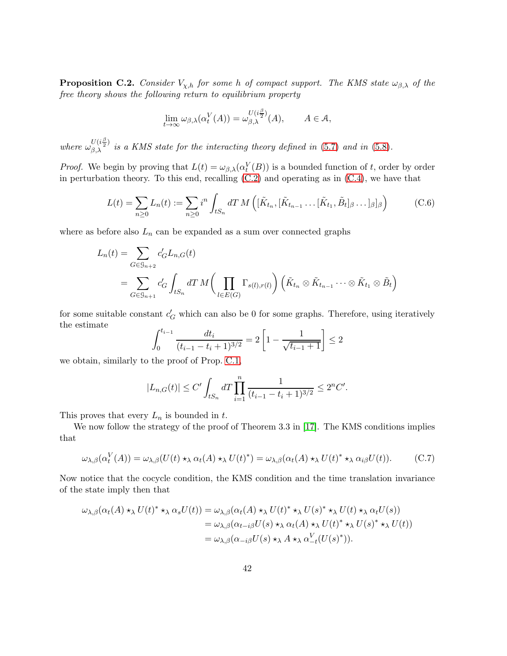<span id="page-41-0"></span>**Proposition C.2.** Consider  $V_{\chi,h}$  for some h of compact support. The KMS state  $\omega_{\beta,\lambda}$  of the free theory shows the following return to equilibrium property

$$
\lim_{t \to \infty} \omega_{\beta,\lambda}(\alpha_t^V(A)) = \omega_{\beta,\lambda}^{U(i\frac{\beta}{2})}(A), \qquad A \in \mathcal{A},
$$

where  $\omega_{\beta,\lambda}^{U(i\frac{\beta}{2})}$  is a KMS state for the interacting theory defined in [\(5.7\)](#page-26-2) and in [\(5.8\)](#page-27-1).

*Proof.* We begin by proving that  $L(t) = \omega_{\beta,\lambda}(\alpha_t^V(B))$  is a bounded function of t, order by order in perturbation theory. To this end, recalling [\(C.2\)](#page-39-4) and operating as in [\(C.4\)](#page-39-1), we have that

$$
L(t) = \sum_{n\geq 0} L_n(t) := \sum_{n\geq 0} i^n \int_{tS_n} dT M\left( [\tilde{K}_{t_n}, [\tilde{K}_{t_{n-1}} \dots [\tilde{K}_{t_1}, \tilde{B}_t]_{\beta} \dots ]_{\beta}]_{\beta} \right) \tag{C.6}
$$

where as before also  $L_n$  can be expanded as a sum over connected graphs

$$
L_n(t) = \sum_{G \in \mathcal{G}_{n+2}} c'_G L_{n,G}(t)
$$
  
= 
$$
\sum_{G \in \mathcal{G}_{n+1}} c'_G \int_{tS_n} dT M \bigg(\prod_{l \in E(G)} \Gamma_{s(l),r(l)}\bigg) \left(\tilde{K}_{t_n} \otimes \tilde{K}_{t_{n-1}} \cdots \otimes \tilde{K}_{t_1} \otimes \tilde{B}_t\right)
$$

for some suitable constant  $c_G'$  which can also be 0 for some graphs. Therefore, using iteratively the estimate

$$
\int_0^{t_{i-1}} \frac{dt_i}{(t_{i-1} - t_i + 1)^{3/2}} = 2\left[1 - \frac{1}{\sqrt{t_{i-1} + 1}}\right] \le 2
$$

we obtain, similarly to the proof of Prop. [C.1,](#page-39-0)

$$
|L_{n,G}(t)| \le C' \int_{tS_n} dT \prod_{i=1}^n \frac{1}{(t_{i-1} - t_i + 1)^{3/2}} \le 2^n C'.
$$

This proves that every  $L_n$  is bounded in t.

We now follow the strategy of the proof of Theorem 3.3 in [\[17\]](#page-43-14). The KMS conditions implies that

<span id="page-41-1"></span>
$$
\omega_{\lambda,\beta}(\alpha_t^V(A)) = \omega_{\lambda,\beta}(U(t) \star_{\lambda} \alpha_t(A) \star_{\lambda} U(t)^*) = \omega_{\lambda,\beta}(\alpha_t(A) \star_{\lambda} U(t)^* \star_{\lambda} \alpha_{i\beta} U(t)).
$$
 (C.7)

Now notice that the cocycle condition, the KMS condition and the time translation invariance of the state imply then that

$$
\omega_{\lambda,\beta}(\alpha_t(A) \star_{\lambda} U(t)^* \star_{\lambda} \alpha_s U(t)) = \omega_{\lambda,\beta}(\alpha_t(A) \star_{\lambda} U(t)^* \star_{\lambda} U(s)^* \star_{\lambda} U(t) \star_{\lambda} \alpha_t U(s))
$$
  
\n
$$
= \omega_{\lambda,\beta}(\alpha_{t-i\beta} U(s) \star_{\lambda} \alpha_t(A) \star_{\lambda} U(t)^* \star_{\lambda} U(s)^* \star_{\lambda} U(t))
$$
  
\n
$$
= \omega_{\lambda,\beta}(\alpha_{-i\beta} U(s) \star_{\lambda} A \star_{\lambda} \alpha_{-t}^V(U(s)^*)).
$$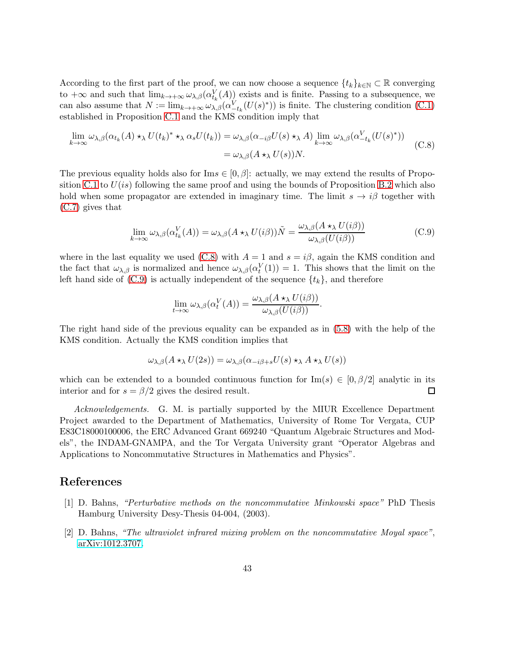According to the first part of the proof, we can now choose a sequence  $\{t_k\}_{k\in\mathbb{N}}\subset\mathbb{R}$  converging to  $+\infty$  and such that  $\lim_{k\to+\infty} \omega_{\lambda,\beta}(\alpha_{t_k}^V(A))$  exists and is finite. Passing to a subsequence, we can also assume that  $N := \lim_{k \to +\infty} \omega_{\lambda,\beta}(\alpha_{-t_k}^V(U(s)^*))$  is finite. The clustering condition [\(C.1\)](#page-39-5) established in Proposition [C.1](#page-39-0) and the KMS condition imply that

<span id="page-42-2"></span>
$$
\lim_{k \to \infty} \omega_{\lambda,\beta}(\alpha_{t_k}(A) \star_{\lambda} U(t_k)^* \star_{\lambda} \alpha_s U(t_k)) = \omega_{\lambda,\beta}(\alpha_{-i\beta} U(s) \star_{\lambda} A) \lim_{k \to \infty} \omega_{\lambda,\beta}(\alpha_{-t_k}^V(U(s)^*))
$$
\n
$$
= \omega_{\lambda,\beta}(A \star_{\lambda} U(s))N.
$$
\n(C.8)

The previous equality holds also for Im $s \in [0, \beta]$ : actually, we may extend the results of Propo-sition [C.1](#page-39-0) to  $U(is)$  following the same proof and using the bounds of Proposition [B.2](#page-36-0) which also hold when some propagator are extended in imaginary time. The limit  $s \to i\beta$  together with [\(C.7\)](#page-41-1) gives that

<span id="page-42-3"></span>
$$
\lim_{k \to \infty} \omega_{\lambda,\beta}(\alpha_{t_k}^V(A)) = \omega_{\lambda,\beta}(A \star_{\lambda} U(i\beta))\tilde{N} = \frac{\omega_{\lambda,\beta}(A \star_{\lambda} U(i\beta))}{\omega_{\lambda,\beta}(U(i\beta))}
$$
(C.9)

where in the last equality we used [\(C.8\)](#page-42-2) with  $A = 1$  and  $s = i\beta$ , again the KMS condition and the fact that  $\omega_{\lambda,\beta}$  is normalized and hence  $\omega_{\lambda,\beta}(\alpha_t^V(1)) = 1$ . This shows that the limit on the left hand side of  $(C.9)$  is actually independent of the sequence  $\{t_k\}$ , and therefore

$$
\lim_{t \to \infty} \omega_{\lambda,\beta}(\alpha_t^V(A)) = \frac{\omega_{\lambda,\beta}(A \star_\lambda U(i\beta))}{\omega_{\lambda,\beta}(U(i\beta))}.
$$

The right hand side of the previous equality can be expanded as in [\(5.8\)](#page-27-1) with the help of the KMS condition. Actually the KMS condition implies that

$$
\omega_{\lambda,\beta}(A \star_{\lambda} U(2s)) = \omega_{\lambda,\beta}(\alpha_{-i\beta+s}U(s) \star_{\lambda} A \star_{\lambda} U(s))
$$

which can be extended to a bounded continuous function for Im(s)  $\in [0, \beta/2]$  analytic in its interior and for  $s = \beta/2$  gives the desired result. interior and for  $s = \frac{\beta}{2}$  gives the desired result.

Acknowledgements. G. M. is partially supported by the MIUR Excellence Department Project awarded to the Department of Mathematics, University of Rome Tor Vergata, CUP E83C18000100006, the ERC Advanced Grant 669240 "Quantum Algebraic Structures and Models", the INDAM-GNAMPA, and the Tor Vergata University grant "Operator Algebras and Applications to Noncommutative Structures in Mathematics and Physics".

#### <span id="page-42-1"></span>References

- [1] D. Bahns, "Perturbative methods on the noncommutative Minkowski space" PhD Thesis Hamburg University Desy-Thesis 04-004, (2003).
- <span id="page-42-0"></span>[2] D. Bahns, "The ultraviolet infrared mixing problem on the noncommutative Moyal space", [arXiv:1012.3707.](http://arxiv.org/abs/1012.3707)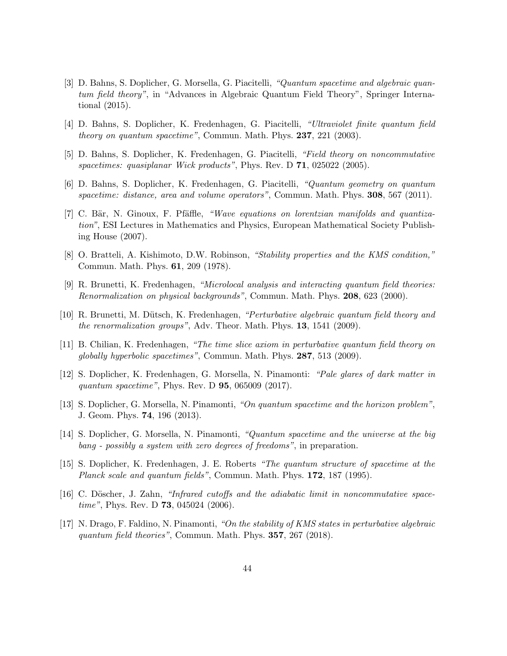- <span id="page-43-7"></span>[3] D. Bahns, S. Doplicher, G. Morsella, G. Piacitelli, "Quantum spacetime and algebraic quantum field theory", in "Advances in Algebraic Quantum Field Theory", Springer International (2015).
- <span id="page-43-6"></span><span id="page-43-2"></span>[4] D. Bahns, S. Doplicher, K. Fredenhagen, G. Piacitelli, "Ultraviolet finite quantum field theory on quantum spacetime", Commun. Math. Phys. 237, 221 (2003).
- <span id="page-43-1"></span>[5] D. Bahns, S. Doplicher, K. Fredenhagen, G. Piacitelli, "Field theory on noncommutative spacetimes: quasiplanar Wick products", Phys. Rev. D 71, 025022 (2005).
- <span id="page-43-10"></span>[6] D. Bahns, S. Doplicher, K. Fredenhagen, G. Piacitelli, "Quantum geometry on quantum spacetime: distance, area and volume operators", Commun. Math. Phys. 308, 567 (2011).
- [7] C. Bär, N. Ginoux, F. Pfäffle, "Wave equations on lorentzian manifolds and quantization", ESI Lectures in Mathematics and Physics, European Mathematical Society Publishing House (2007).
- <span id="page-43-13"></span><span id="page-43-11"></span>[8] O. Bratteli, A. Kishimoto, D.W. Robinson, "Stability properties and the KMS condition," Commun. Math. Phys. 61, 209 (1978).
- [9] R. Brunetti, K. Fredenhagen, "Microlocal analysis and interacting quantum field theories: Renormalization on physical backgrounds", Commun. Math. Phys. 208, 623 (2000).
- <span id="page-43-12"></span><span id="page-43-9"></span>[10] R. Brunetti, M. D¨utsch, K. Fredenhagen, "Perturbative algebraic quantum field theory and the renormalization groups", Adv. Theor. Math. Phys. 13, 1541 (2009).
- [11] B. Chilian, K. Fredenhagen, "The time slice axiom in perturbative quantum field theory on globally hyperbolic spacetimes", Commun. Math. Phys. 287, 513 (2009).
- <span id="page-43-5"></span>[12] S. Doplicher, K. Fredenhagen, G. Morsella, N. Pinamonti: "Pale glares of dark matter in quantum spacetime", Phys. Rev. D **95**, 065009 (2017).
- <span id="page-43-4"></span><span id="page-43-3"></span>[13] S. Doplicher, G. Morsella, N. Pinamonti, "On quantum spacetime and the horizon problem", J. Geom. Phys. 74, 196 (2013).
- <span id="page-43-0"></span>[14] S. Doplicher, G. Morsella, N. Pinamonti, "Quantum spacetime and the universe at the big bang - possibly a system with zero degrees of freedoms", in preparation.
- [15] S. Doplicher, K. Fredenhagen, J. E. Roberts "The quantum structure of spacetime at the Planck scale and quantum fields", Commun. Math. Phys. 172, 187 (1995).
- <span id="page-43-8"></span>[16] C. Döscher, J. Zahn, "Infrared cutoffs and the adiabatic limit in noncommutative spacetime", Phys. Rev. D **73**, 045024 (2006).
- <span id="page-43-14"></span>[17] N. Drago, F. Faldino, N. Pinamonti, "On the stability of KMS states in perturbative algebraic quantum field theories", Commun. Math. Phys. 357, 267 (2018).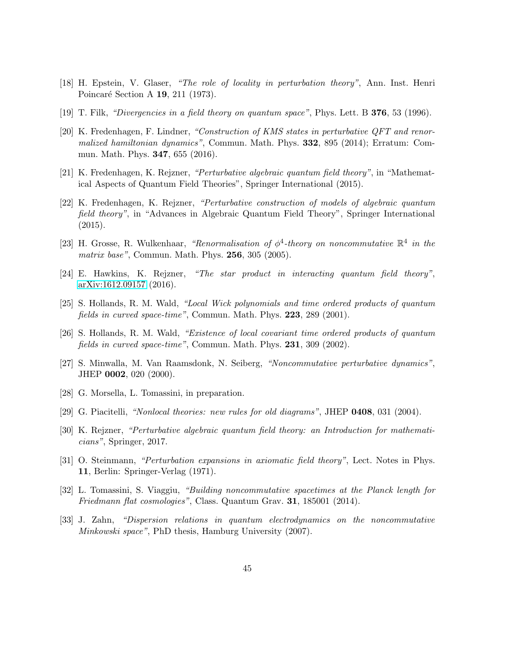- <span id="page-44-13"></span><span id="page-44-3"></span>[18] H. Epstein, V. Glaser, "The role of locality in perturbation theory", Ann. Inst. Henri Poincaré Section A 19, 211 (1973).
- <span id="page-44-11"></span>[19] T. Filk, "Divergencies in a field theory on quantum space", Phys. Lett. B 376, 53 (1996).
- [20] K. Fredenhagen, F. Lindner, "Construction of KMS states in perturbative QFT and renormalized hamiltonian dynamics", Commun. Math. Phys. **332**, 895 (2014); Erratum: Commun. Math. Phys. 347, 655 (2016).
- <span id="page-44-7"></span><span id="page-44-6"></span>[21] K. Fredenhagen, K. Rejzner, "Perturbative algebraic quantum field theory", in "Mathematical Aspects of Quantum Field Theories", Springer International (2015).
- [22] K. Fredenhagen, K. Rejzner, "Perturbative construction of models of algebraic quantum field theory", in "Advances in Algebraic Quantum Field Theory", Springer International (2015).
- <span id="page-44-5"></span>[23] H. Grosse, R. Wulkenhaar, "Renormalisation of  $\phi^4$ -theory on noncommutative  $\mathbb{R}^4$  in the matrix base", Commun. Math. Phys. 256, 305 (2005).
- <span id="page-44-15"></span>[24] E. Hawkins, K. Rejzner, "The star product in interacting quantum field theory", [arXiv:1612.09157](http://arxiv.org/abs/1612.09157) (2016).
- <span id="page-44-8"></span>[25] S. Hollands, R. M. Wald, "Local Wick polynomials and time ordered products of quantum fields in curved space-time", Commun. Math. Phys. 223, 289 (2001).
- <span id="page-44-9"></span><span id="page-44-4"></span>[26] S. Hollands, R. M. Wald, "Existence of local covariant time ordered products of quantum fields in curved space-time", Commun. Math. Phys. 231, 309 (2002).
- [27] S. Minwalla, M. Van Raamsdonk, N. Seiberg, "Noncommutative perturbative dynamics", JHEP 0002, 020 (2000).
- <span id="page-44-12"></span><span id="page-44-1"></span>[28] G. Morsella, L. Tomassini, in preparation.
- <span id="page-44-10"></span>[29] G. Piacitelli, "Nonlocal theories: new rules for old diagrams", JHEP 0408, 031 (2004).
- <span id="page-44-14"></span>[30] K. Rejzner, "Perturbative algebraic quantum field theory: an Introduction for mathematicians", Springer, 2017.
- <span id="page-44-0"></span>[31] O. Steinmann, "Perturbation expansions in axiomatic field theory", Lect. Notes in Phys. 11, Berlin: Springer-Verlag (1971).
- <span id="page-44-2"></span>[32] L. Tomassini, S. Viaggiu, "Building noncommutative spacetimes at the Planck length for Friedmann flat cosmologies", Class. Quantum Grav. 31, 185001 (2014).
- [33] J. Zahn, "Dispersion relations in quantum electrodynamics on the noncommutative Minkowski space", PhD thesis, Hamburg University (2007).